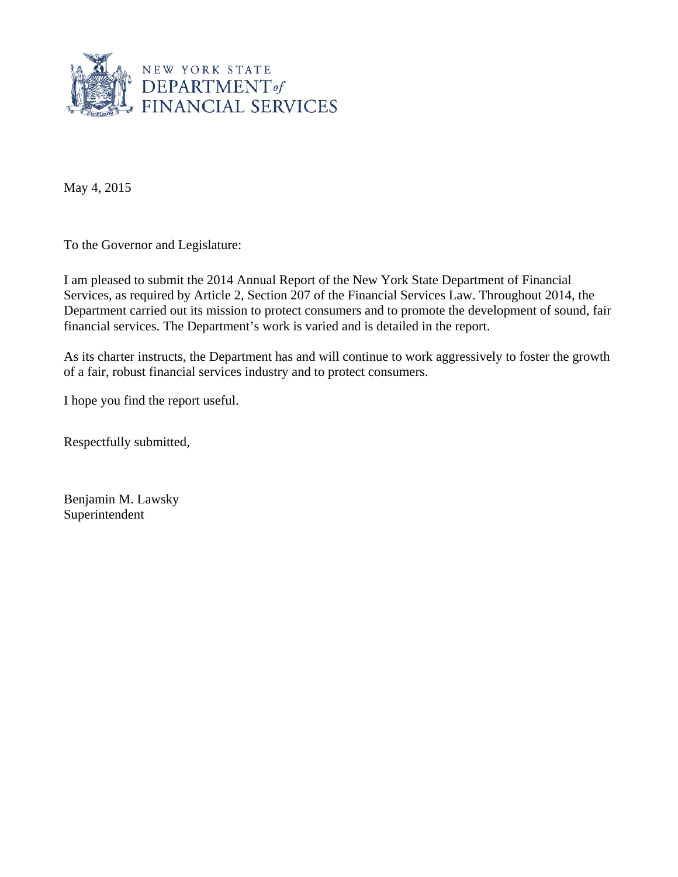

May 4, 2015

To the Governor and Legislature:

I am pleased to submit the 2014 Annual Report of the New York State Department of Financial Services, as required by Article 2, Section 207 of the Financial Services Law. Throughout 2014, the Department carried out its mission to protect consumers and to promote the development of sound, fair financial services. The Department's work is varied and is detailed in the report.

As its charter instructs, the Department has and will continue to work aggressively to foster the growth of a fair, robust financial services industry and to protect consumers.

I hope you find the report useful.

Respectfully submitted,

Benjamin M. Lawsky Superintendent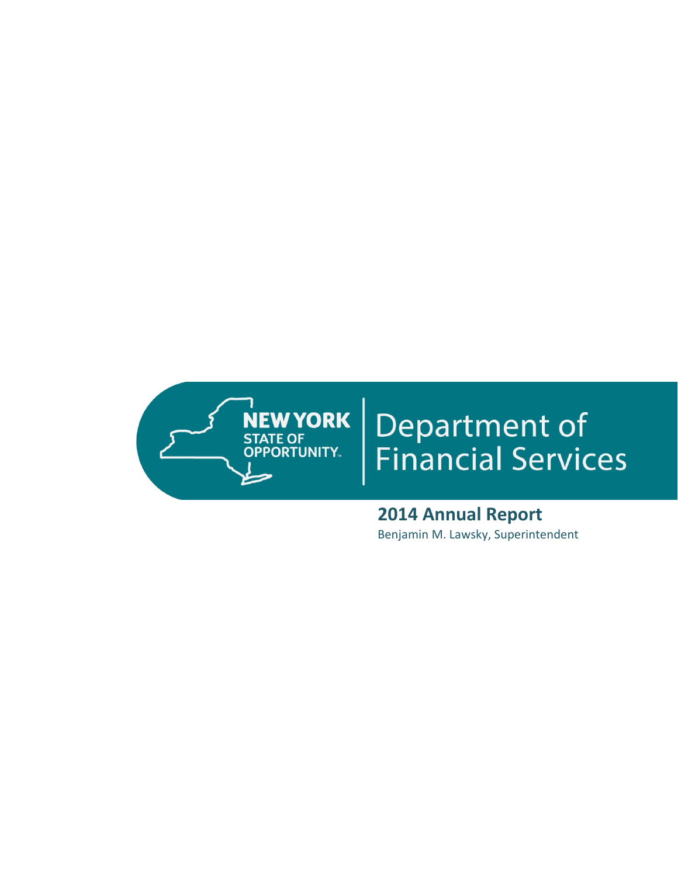

# **Department of<br>Financial Services**

 **2014 Annual Report** Benjamin M. Lawsky, Superintendent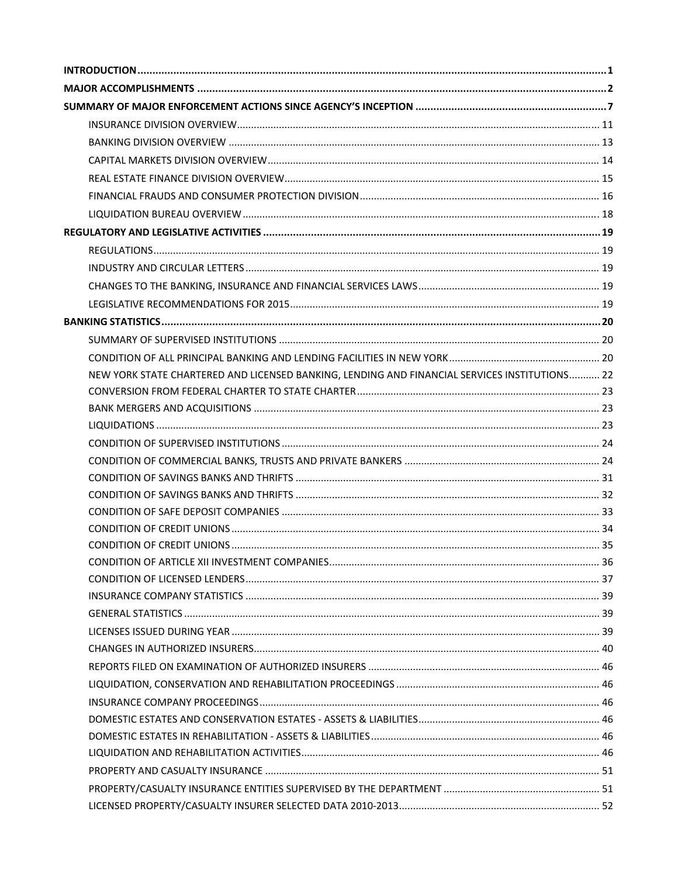| NEW YORK STATE CHARTERED AND LICENSED BANKING, LENDING AND FINANCIAL SERVICES INSTITUTIONS 22 |  |
|-----------------------------------------------------------------------------------------------|--|
|                                                                                               |  |
|                                                                                               |  |
|                                                                                               |  |
|                                                                                               |  |
|                                                                                               |  |
|                                                                                               |  |
|                                                                                               |  |
|                                                                                               |  |
|                                                                                               |  |
|                                                                                               |  |
|                                                                                               |  |
|                                                                                               |  |
|                                                                                               |  |
|                                                                                               |  |
|                                                                                               |  |
|                                                                                               |  |
|                                                                                               |  |
|                                                                                               |  |
|                                                                                               |  |
|                                                                                               |  |
|                                                                                               |  |
|                                                                                               |  |
|                                                                                               |  |
|                                                                                               |  |
|                                                                                               |  |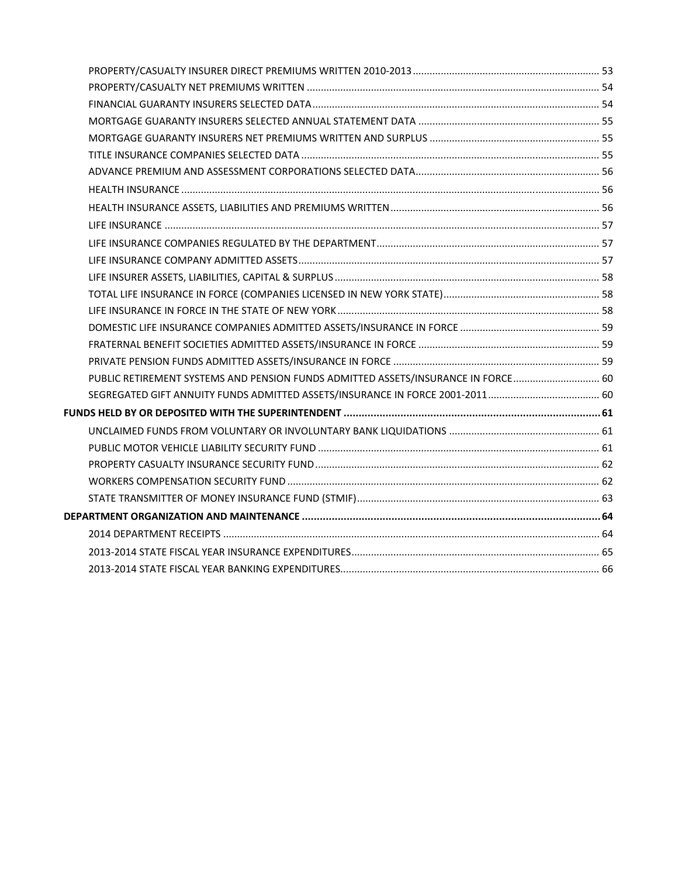| PUBLIC RETIREMENT SYSTEMS AND PENSION FUNDS ADMITTED ASSETS/INSURANCE IN FORCE 60 |  |
|-----------------------------------------------------------------------------------|--|
|                                                                                   |  |
|                                                                                   |  |
|                                                                                   |  |
|                                                                                   |  |
|                                                                                   |  |
|                                                                                   |  |
|                                                                                   |  |
|                                                                                   |  |
|                                                                                   |  |
|                                                                                   |  |
|                                                                                   |  |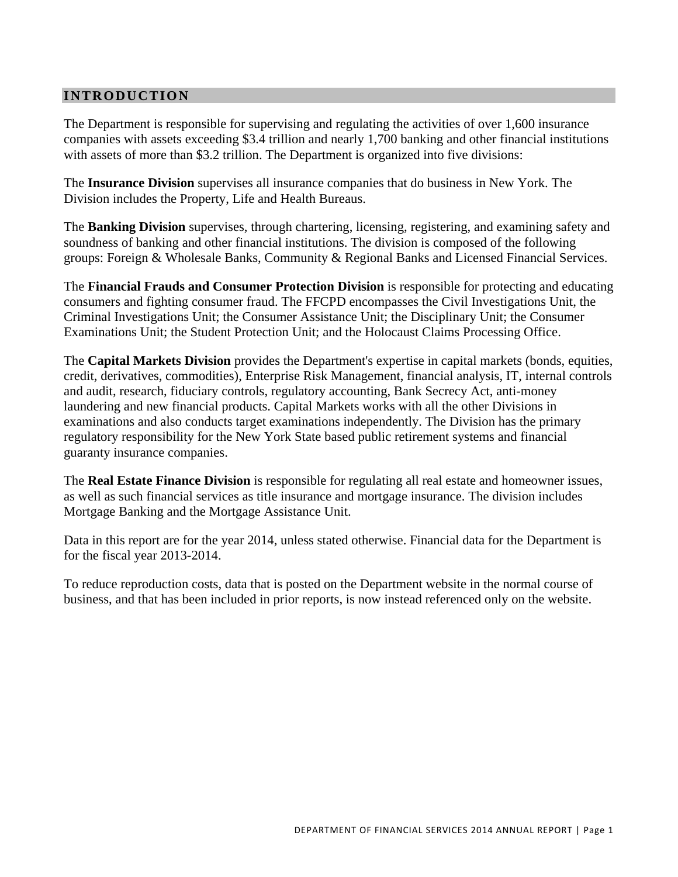# **INTRODUCTION**

The Department is responsible for supervising and regulating the activities of over 1,600 insurance companies with assets exceeding \$3.4 trillion and nearly 1,700 banking and other financial institutions with assets of more than \$3.2 trillion. The Department is organized into five divisions:

The **Insurance Division** supervises all insurance companies that do business in New York. The Division includes the Property, Life and Health Bureaus.

The **Banking Division** supervises, through chartering, licensing, registering, and examining safety and soundness of banking and other financial institutions. The division is composed of the following groups: Foreign & Wholesale Banks, Community & Regional Banks and Licensed Financial Services.

The **Financial Frauds and Consumer Protection Division** is responsible for protecting and educating consumers and fighting consumer fraud. The FFCPD encompasses the Civil Investigations Unit, the Criminal Investigations Unit; the Consumer Assistance Unit; the Disciplinary Unit; the Consumer Examinations Unit; the Student Protection Unit; and the Holocaust Claims Processing Office.

The **Capital Markets Division** provides the Department's expertise in capital markets (bonds, equities, credit, derivatives, commodities), Enterprise Risk Management, financial analysis, IT, internal controls and audit, research, fiduciary controls, regulatory accounting, Bank Secrecy Act, anti-money laundering and new financial products. Capital Markets works with all the other Divisions in examinations and also conducts target examinations independently. The Division has the primary regulatory responsibility for the New York State based public retirement systems and financial guaranty insurance companies.

The **Real Estate Finance Division** is responsible for regulating all real estate and homeowner issues, as well as such financial services as title insurance and mortgage insurance. The division includes Mortgage Banking and the Mortgage Assistance Unit.

Data in this report are for the year 2014, unless stated otherwise. Financial data for the Department is for the fiscal year 2013-2014.

To reduce reproduction costs, data that is posted on the Department website in the normal course of business, and that has been included in prior reports, is now instead referenced only on the website.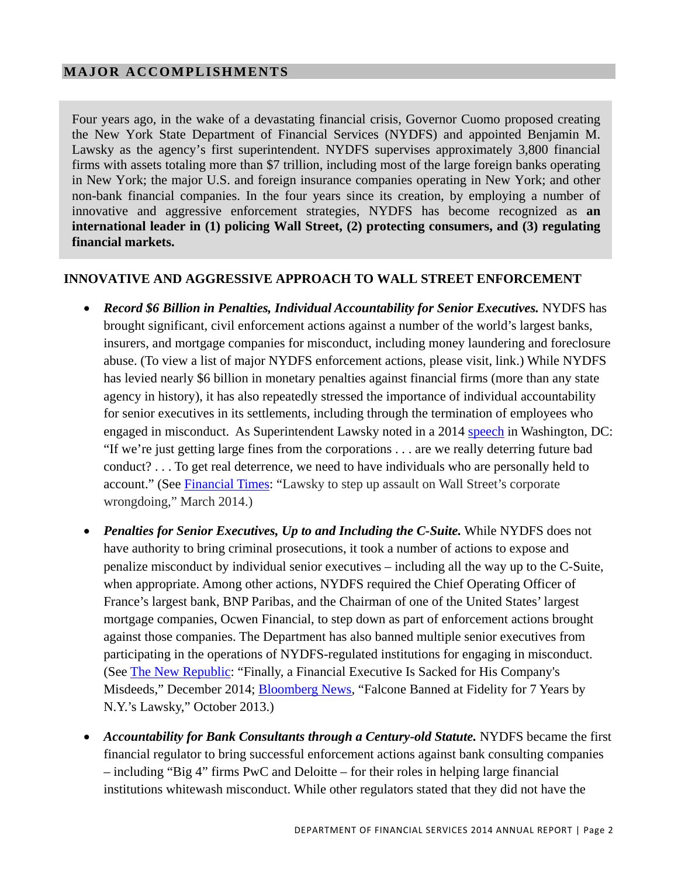# <span id="page-5-0"></span>**MAJOR ACCOMPLISHMENTS**

Four years ago, in the wake of a devastating financial crisis, Governor Cuomo proposed creating the New York State Department of Financial Services (NYDFS) and appointed Benjamin M. Lawsky as the agency's first superintendent. NYDFS supervises approximately 3,800 financial firms with assets totaling more than \$7 trillion, including most of the large foreign banks operating in New York; the major U.S. and foreign insurance companies operating in New York; and other non-bank financial companies. In the four years since its creation, by employing a number of innovative and aggressive enforcement strategies, NYDFS has become recognized as **an international leader in (1) policing Wall Street, (2) protecting consumers, and (3) regulating financial markets.** 

## **INNOVATIVE AND AGGRESSIVE APPROACH TO WALL STREET ENFORCEMENT**

- *Record \$6 Billion in Penalties, Individual Accountability for Senior Executives.* NYDFS has brought significant, civil enforcement actions against a number of the world's largest banks, insurers, and mortgage companies for misconduct, including money laundering and foreclosure abuse. (To view a list of major NYDFS enforcement actions, please visit, link.) While NYDFS has levied nearly \$6 billion in monetary penalties against financial firms (more than any state agency in history), it has also repeatedly stressed the importance of individual accountability for senior executives in its settlements, including through the termination of employees who engaged in misconduct. As Superintendent Lawsky noted in a 2014 speech in Washington, DC: "If we're just getting large fines from the corporations . . . are we really deterring future bad conduct? . . . To get real deterrence, we need to have individuals who are personally held to account." (See Financial Times: "Lawsky to step up assault on Wall Street's corporate wrongdoing," March 2014.)
- Penalties for Senior Executives, Up to and Including the C-Suite. While NYDFS does not have authority to bring criminal prosecutions, it took a number of actions to expose and penalize misconduct by individual senior executives – including all the way up to the C-Suite, when appropriate. Among other actions, NYDFS required the Chief Operating Officer of France's largest bank, BNP Paribas, and the Chairman of one of the United States' largest mortgage companies, Ocwen Financial, to step down as part of enforcement actions brought against those companies. The Department has also banned multiple senior executives from participating in the operations of NYDFS-regulated institutions for engaging in misconduct. (See The New Republic: "Finally, a Financial Executive Is Sacked for His Company's Misdeeds," December 2014; Bloomberg News, "Falcone Banned at Fidelity for 7 Years by N.Y.'s Lawsky," October 2013.)
- Accountability for Bank Consultants through a Century-old Statute. NYDFS became the first financial regulator to bring successful enforcement actions against bank consulting companies – including "Big 4" firms PwC and Deloitte – for their roles in helping large financial institutions whitewash misconduct. While other regulators stated that they did not have the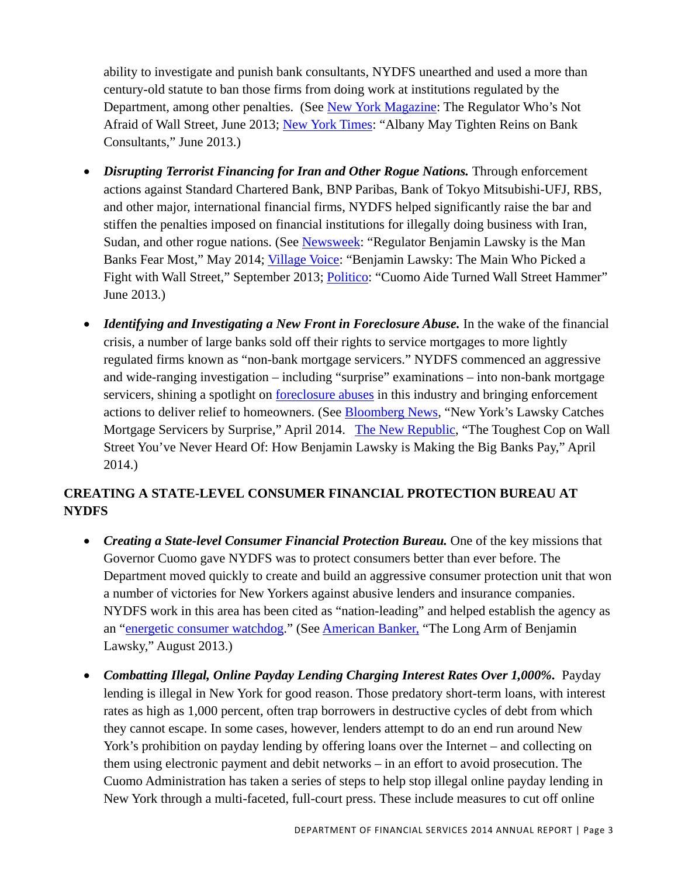ability to investigate and punish bank consultants, NYDFS unearthed and used a more than century-old statute to ban those firms from doing work at institutions regulated by the Department, among other penalties. (See New York Magazine: The Regulator Who's Not Afraid of Wall Street, June 2013; New York Times: "Albany May Tighten Reins on Bank Consultants," June 2013.)

- *Disrupting Terrorist Financing for Iran and Other Rogue Nations.* Through enforcement actions against Standard Chartered Bank, BNP Paribas, Bank of Tokyo Mitsubishi-UFJ, RBS, and other major, international financial firms, NYDFS helped significantly raise the bar and stiffen the penalties imposed on financial institutions for illegally doing business with Iran, Sudan, and other rogue nations. (See Newsweek: "Regulator Benjamin Lawsky is the Man Banks Fear Most," May 2014; Village Voice: "Benjamin Lawsky: The Main Who Picked a Fight with Wall Street," September 2013; Politico: "Cuomo Aide Turned Wall Street Hammer" June 2013.)
- *Identifying and Investigating a New Front in Foreclosure Abuse*. In the wake of the financial crisis, a number of large banks sold off their rights to service mortgages to more lightly regulated firms known as "non-bank mortgage servicers." NYDFS commenced an aggressive and wide-ranging investigation – including "surprise" examinations – into non-bank mortgage servicers, shining a spotlight on foreclosure abuses in this industry and bringing enforcement actions to deliver relief to homeowners. (See Bloomberg News, "New York's Lawsky Catches Mortgage Servicers by Surprise," April 2014. The New Republic, "The Toughest Cop on Wall Street You've Never Heard Of: How Benjamin Lawsky is Making the Big Banks Pay," April 2014.)

# **CREATING A STATE-LEVEL CONSUMER FINANCIAL PROTECTION BUREAU AT NYDFS**

- Creating a State-level Consumer Financial Protection Bureau. One of the key missions that Governor Cuomo gave NYDFS was to protect consumers better than ever before. The Department moved quickly to create and build an aggressive consumer protection unit that won a number of victories for New Yorkers against abusive lenders and insurance companies. NYDFS work in this area has been cited as "nation-leading" and helped establish the agency as an "energetic consumer watchdog." (See American Banker, "The Long Arm of Benjamin Lawsky," August 2013.)
- *Combatting Illegal, Online Payday Lending Charging Interest Rates Over 1,000%.* Payday lending is illegal in New York for good reason. Those predatory short-term loans, with interest rates as high as 1,000 percent, often trap borrowers in destructive cycles of debt from which they cannot escape. In some cases, however, lenders attempt to do an end run around New York's prohibition on payday lending by offering loans over the Internet – and collecting on them using electronic payment and debit networks – in an effort to avoid prosecution. The Cuomo Administration has taken a series of steps to help stop illegal online payday lending in New York through a multi-faceted, full-court press. These include measures to cut off online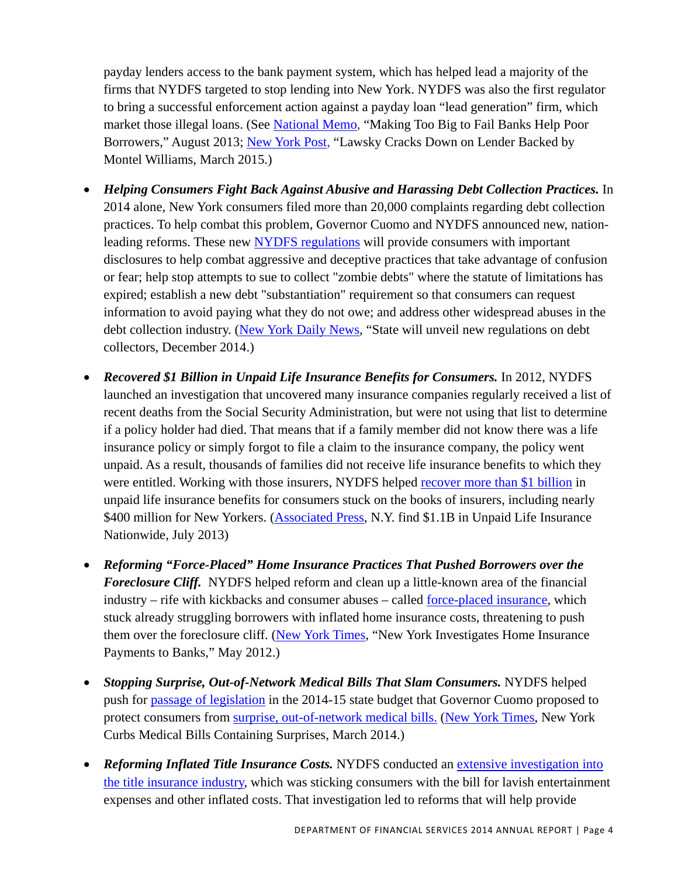payday lenders access to the bank payment system, which has helped lead a majority of the firms that NYDFS targeted to stop lending into New York. NYDFS was also the first regulator to bring a successful enforcement action against a payday loan "lead generation" firm, which market those illegal loans. (See National Memo, "Making Too Big to Fail Banks Help Poor Borrowers," August 2013; New York Post, "Lawsky Cracks Down on Lender Backed by Montel Williams, March 2015.)

- *Helping Consumers Fight Back Against Abusive and Harassing Debt Collection Practices.* In 2014 alone, New York consumers filed more than 20,000 complaints regarding debt collection practices. To help combat this problem, Governor Cuomo and NYDFS announced new, nationleading reforms. These new NYDFS regulations will provide consumers with important disclosures to help combat aggressive and deceptive practices that take advantage of confusion or fear; help stop attempts to sue to collect "zombie debts" where the statute of limitations has expired; establish a new debt "substantiation" requirement so that consumers can request information to avoid paying what they do not owe; and address other widespread abuses in the debt collection industry. (New York Daily News, "State will unveil new regulations on debt collectors, December 2014.)
- *Recovered \$1 Billion in Unpaid Life Insurance Benefits for Consumers.* In 2012, NYDFS launched an investigation that uncovered many insurance companies regularly received a list of recent deaths from the Social Security Administration, but were not using that list to determine if a policy holder had died. That means that if a family member did not know there was a life insurance policy or simply forgot to file a claim to the insurance company, the policy went unpaid. As a result, thousands of families did not receive life insurance benefits to which they were entitled. Working with those insurers, NYDFS helped recover more than \$1 billion in unpaid life insurance benefits for consumers stuck on the books of insurers, including nearly \$400 million for New Yorkers. (Associated Press, N.Y. find \$1.1B in Unpaid Life Insurance Nationwide, July 2013)
- *Reforming "Force-Placed" Home Insurance Practices That Pushed Borrowers over the Foreclosure Cliff.* NYDFS helped reform and clean up a little-known area of the financial industry – rife with kickbacks and consumer abuses – called force-placed insurance, which stuck already struggling borrowers with inflated home insurance costs, threatening to push them over the foreclosure cliff. (New York Times, "New York Investigates Home Insurance Payments to Banks," May 2012.)
- *Stopping Surprise, Out-of-Network Medical Bills That Slam Consumers.* NYDFS helped push for passage of legislation in the 2014-15 state budget that Governor Cuomo proposed to protect consumers from surprise, out-of-network medical bills. (New York Times, New York Curbs Medical Bills Containing Surprises, March 2014.)
- *Reforming Inflated Title Insurance Costs.* NYDFS conducted an extensive investigation into the title insurance industry, which was sticking consumers with the bill for lavish entertainment expenses and other inflated costs. That investigation led to reforms that will help provide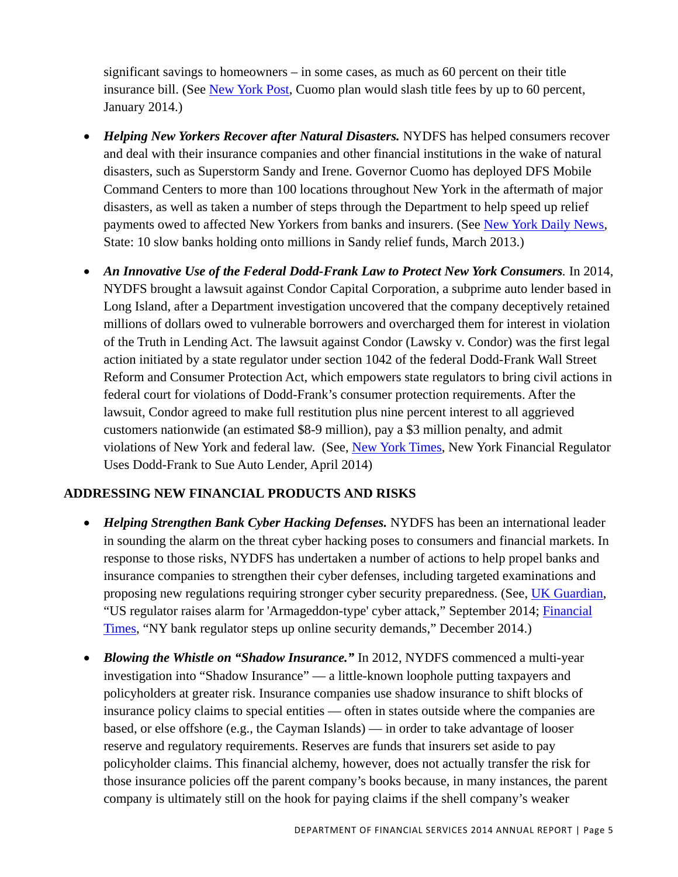significant savings to homeowners – in some cases, as much as 60 percent on their title insurance bill. (See New York Post, Cuomo plan would slash title fees by up to 60 percent, January 2014.)

- *Helping New Yorkers Recover after Natural Disasters.* NYDFS has helped consumers recover and deal with their insurance companies and other financial institutions in the wake of natural disasters, such as Superstorm Sandy and Irene. Governor Cuomo has deployed DFS Mobile Command Centers to more than 100 locations throughout New York in the aftermath of major disasters, as well as taken a number of steps through the Department to help speed up relief payments owed to affected New Yorkers from banks and insurers. (See New York Daily News, State: 10 slow banks holding onto millions in Sandy relief funds, March 2013.)
- *An Innovative Use of the Federal Dodd-Frank Law to Protect New York Consumers.* In 2014, NYDFS brought a lawsuit against Condor Capital Corporation, a subprime auto lender based in Long Island, after a Department investigation uncovered that the company deceptively retained millions of dollars owed to vulnerable borrowers and overcharged them for interest in violation of the Truth in Lending Act. The lawsuit against Condor (Lawsky v. Condor) was the first legal action initiated by a state regulator under section 1042 of the federal Dodd-Frank Wall Street Reform and Consumer Protection Act, which empowers state regulators to bring civil actions in federal court for violations of Dodd-Frank's consumer protection requirements. After the lawsuit, Condor agreed to make full restitution plus nine percent interest to all aggrieved customers nationwide (an estimated \$8-9 million), pay a \$3 million penalty, and admit violations of New York and federal law. (See, New York Times, New York Financial Regulator Uses Dodd-Frank to Sue Auto Lender, April 2014)

# **ADDRESSING NEW FINANCIAL PRODUCTS AND RISKS**

- *Helping Strengthen Bank Cyber Hacking Defenses.* NYDFS has been an international leader in sounding the alarm on the threat cyber hacking poses to consumers and financial markets. In response to those risks, NYDFS has undertaken a number of actions to help propel banks and insurance companies to strengthen their cyber defenses, including targeted examinations and proposing new regulations requiring stronger cyber security preparedness. (See, UK Guardian, "US regulator raises alarm for 'Armageddon-type' cyber attack," September 2014; Financial Times, "NY bank regulator steps up online security demands," December 2014.)
- *Blowing the Whistle on "Shadow Insurance."* In 2012, NYDFS commenced a multi-year investigation into "Shadow Insurance" — a little-known loophole putting taxpayers and policyholders at greater risk. Insurance companies use shadow insurance to shift blocks of insurance policy claims to special entities — often in states outside where the companies are based, or else offshore (e.g., the Cayman Islands) — in order to take advantage of looser reserve and regulatory requirements. Reserves are funds that insurers set aside to pay policyholder claims. This financial alchemy, however, does not actually transfer the risk for those insurance policies off the parent company's books because, in many instances, the parent company is ultimately still on the hook for paying claims if the shell company's weaker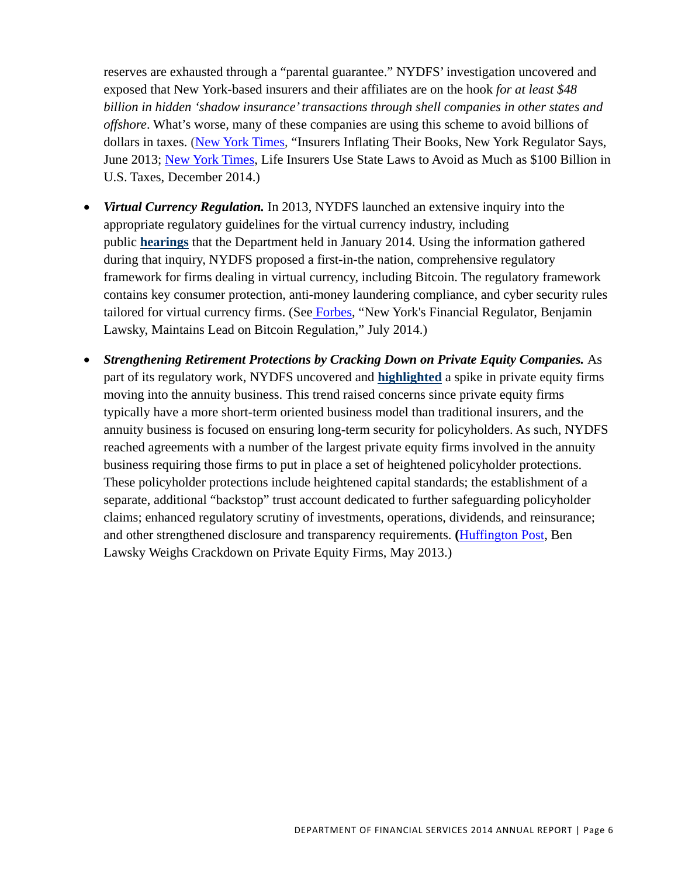reserves are exhausted through a "parental guarantee." NYDFS' investigation uncovered and exposed that New York-based insurers and their affiliates are on the hook *for at least \$48 billion in hidden 'shadow insurance' transactions through shell companies in other states and offshore*. What's worse, many of these companies are using this scheme to avoid billions of dollars in taxes. (New York Times, "Insurers Inflating Their Books, New York Regulator Says, June 2013; New York Times, Life Insurers Use State Laws to Avoid as Much as \$100 Billion in U.S. Taxes, December 2014.)

- *Virtual Currency Regulation.* In 2013, NYDFS launched an extensive inquiry into the appropriate regulatory guidelines for the virtual currency industry, including public **hearings** that the Department held in January 2014. Using the information gathered during that inquiry, NYDFS proposed a first-in-the nation, comprehensive regulatory framework for firms dealing in virtual currency, including Bitcoin. The regulatory framework contains key consumer protection, anti-money laundering compliance, and cyber security rules tailored for virtual currency firms. (See Forbes, "New York's Financial Regulator, Benjamin Lawsky, Maintains Lead on Bitcoin Regulation," July 2014.)
- *Strengthening Retirement Protections by Cracking Down on Private Equity Companies.* As part of its regulatory work, NYDFS uncovered and **highlighted** a spike in private equity firms moving into the annuity business. This trend raised concerns since private equity firms typically have a more short-term oriented business model than traditional insurers, and the annuity business is focused on ensuring long-term security for policyholders. As such, NYDFS reached agreements with a number of the largest private equity firms involved in the annuity business requiring those firms to put in place a set of heightened policyholder protections. These policyholder protections include heightened capital standards; the establishment of a separate, additional "backstop" trust account dedicated to further safeguarding policyholder claims; enhanced regulatory scrutiny of investments, operations, dividends, and reinsurance; and other strengthened disclosure and transparency requirements. **(**Huffington Post, Ben Lawsky Weighs Crackdown on Private Equity Firms, May 2013.)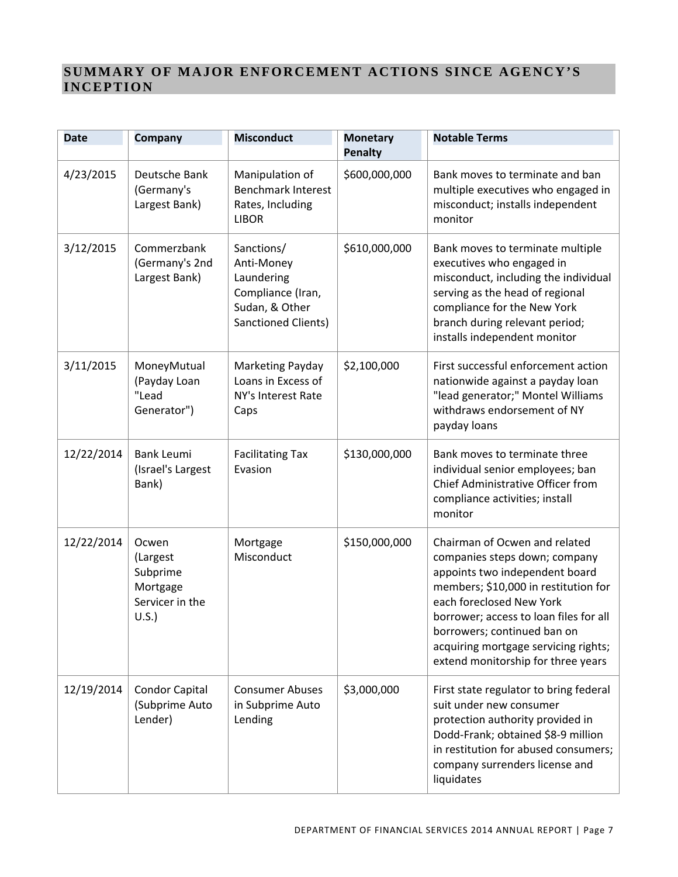# **SUMMARY OF MAJOR ENFORCEMENT ACTIONS SINCE AGENCY'S INCEPTION**

| <b>Date</b> | Company                                                                  | <b>Misconduct</b>                                                                                           | <b>Monetary</b><br><b>Penalty</b> | <b>Notable Terms</b>                                                                                                                                                                                                                                                                                                        |
|-------------|--------------------------------------------------------------------------|-------------------------------------------------------------------------------------------------------------|-----------------------------------|-----------------------------------------------------------------------------------------------------------------------------------------------------------------------------------------------------------------------------------------------------------------------------------------------------------------------------|
| 4/23/2015   | Deutsche Bank<br>(Germany's<br>Largest Bank)                             | Manipulation of<br><b>Benchmark Interest</b><br>Rates, Including<br><b>LIBOR</b>                            | \$600,000,000                     | Bank moves to terminate and ban<br>multiple executives who engaged in<br>misconduct; installs independent<br>monitor                                                                                                                                                                                                        |
| 3/12/2015   | Commerzbank<br>(Germany's 2nd<br>Largest Bank)                           | Sanctions/<br>Anti-Money<br>Laundering<br>Compliance (Iran,<br>Sudan, & Other<br><b>Sanctioned Clients)</b> | \$610,000,000                     | Bank moves to terminate multiple<br>executives who engaged in<br>misconduct, including the individual<br>serving as the head of regional<br>compliance for the New York<br>branch during relevant period;<br>installs independent monitor                                                                                   |
| 3/11/2015   | MoneyMutual<br>(Payday Loan<br>"Lead<br>Generator")                      | Marketing Payday<br>Loans in Excess of<br>NY's Interest Rate<br>Caps                                        | \$2,100,000                       | First successful enforcement action<br>nationwide against a payday loan<br>"lead generator;" Montel Williams<br>withdraws endorsement of NY<br>payday loans                                                                                                                                                                 |
| 12/22/2014  | <b>Bank Leumi</b><br>(Israel's Largest<br>Bank)                          | <b>Facilitating Tax</b><br>Evasion                                                                          | \$130,000,000                     | Bank moves to terminate three<br>individual senior employees; ban<br>Chief Administrative Officer from<br>compliance activities; install<br>monitor                                                                                                                                                                         |
| 12/22/2014  | Ocwen<br>(Largest<br>Subprime<br>Mortgage<br>Servicer in the<br>$U.S.$ ) | Mortgage<br>Misconduct                                                                                      | \$150,000,000                     | Chairman of Ocwen and related<br>companies steps down; company<br>appoints two independent board<br>members; \$10,000 in restitution for<br>each foreclosed New York<br>borrower; access to loan files for all<br>borrowers; continued ban on<br>acquiring mortgage servicing rights;<br>extend monitorship for three years |
| 12/19/2014  | <b>Condor Capital</b><br>(Subprime Auto<br>Lender)                       | <b>Consumer Abuses</b><br>in Subprime Auto<br>Lending                                                       | \$3,000,000                       | First state regulator to bring federal<br>suit under new consumer<br>protection authority provided in<br>Dodd-Frank; obtained \$8-9 million<br>in restitution for abused consumers;<br>company surrenders license and<br>liquidates                                                                                         |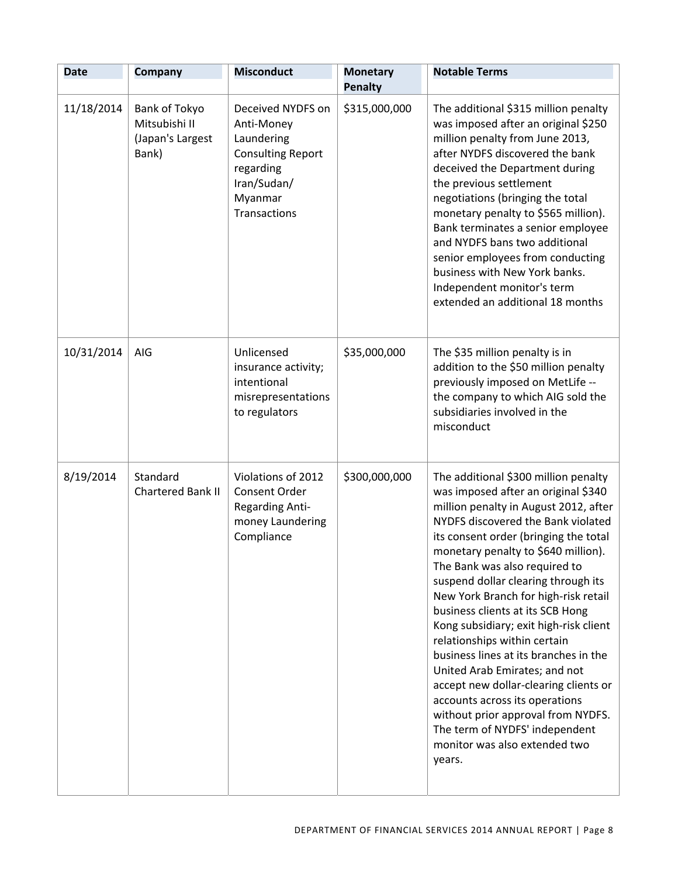| <b>Date</b> | <b>Company</b>                                              | <b>Misconduct</b>                                                                                                                | <b>Monetary</b><br><b>Penalty</b> | <b>Notable Terms</b>                                                                                                                                                                                                                                                                                                                                                                                                                                                                                                                                                                                                                                                                                                                             |
|-------------|-------------------------------------------------------------|----------------------------------------------------------------------------------------------------------------------------------|-----------------------------------|--------------------------------------------------------------------------------------------------------------------------------------------------------------------------------------------------------------------------------------------------------------------------------------------------------------------------------------------------------------------------------------------------------------------------------------------------------------------------------------------------------------------------------------------------------------------------------------------------------------------------------------------------------------------------------------------------------------------------------------------------|
| 11/18/2014  | Bank of Tokyo<br>Mitsubishi II<br>(Japan's Largest<br>Bank) | Deceived NYDFS on<br>Anti-Money<br>Laundering<br><b>Consulting Report</b><br>regarding<br>Iran/Sudan/<br>Myanmar<br>Transactions | \$315,000,000                     | The additional \$315 million penalty<br>was imposed after an original \$250<br>million penalty from June 2013,<br>after NYDFS discovered the bank<br>deceived the Department during<br>the previous settlement<br>negotiations (bringing the total<br>monetary penalty to \$565 million).<br>Bank terminates a senior employee<br>and NYDFS bans two additional<br>senior employees from conducting<br>business with New York banks.<br>Independent monitor's term<br>extended an additional 18 months                                                                                                                                                                                                                                           |
| 10/31/2014  | AIG                                                         | Unlicensed<br>insurance activity;<br>intentional<br>misrepresentations<br>to regulators                                          | \$35,000,000                      | The \$35 million penalty is in<br>addition to the \$50 million penalty<br>previously imposed on MetLife --<br>the company to which AIG sold the<br>subsidiaries involved in the<br>misconduct                                                                                                                                                                                                                                                                                                                                                                                                                                                                                                                                                    |
| 8/19/2014   | Standard<br>Chartered Bank II                               | Violations of 2012<br>Consent Order<br><b>Regarding Anti-</b><br>money Laundering<br>Compliance                                  | \$300,000,000                     | The additional \$300 million penalty<br>was imposed after an original \$340<br>million penalty in August 2012, after<br>NYDFS discovered the Bank violated<br>its consent order (bringing the total<br>monetary penalty to \$640 million).<br>The Bank was also required to<br>suspend dollar clearing through its<br>New York Branch for high-risk retail<br>business clients at its SCB Hong<br>Kong subsidiary; exit high-risk client<br>relationships within certain<br>business lines at its branches in the<br>United Arab Emirates; and not<br>accept new dollar-clearing clients or<br>accounts across its operations<br>without prior approval from NYDFS.<br>The term of NYDFS' independent<br>monitor was also extended two<br>years. |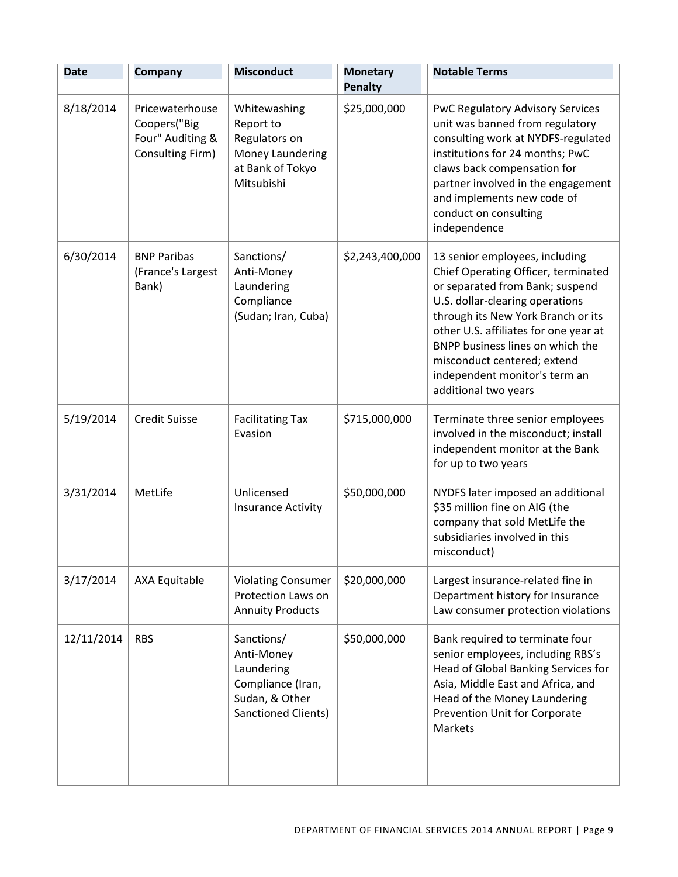| <b>Date</b> | <b>Company</b>                                                          | <b>Misconduct</b>                                                                                           | <b>Monetary</b><br><b>Penalty</b> | <b>Notable Terms</b>                                                                                                                                                                                                                                                                                                                                   |
|-------------|-------------------------------------------------------------------------|-------------------------------------------------------------------------------------------------------------|-----------------------------------|--------------------------------------------------------------------------------------------------------------------------------------------------------------------------------------------------------------------------------------------------------------------------------------------------------------------------------------------------------|
| 8/18/2014   | Pricewaterhouse<br>Coopers("Big<br>Four" Auditing &<br>Consulting Firm) | Whitewashing<br>Report to<br>Regulators on<br>Money Laundering<br>at Bank of Tokyo<br>Mitsubishi            | \$25,000,000                      | <b>PwC Regulatory Advisory Services</b><br>unit was banned from regulatory<br>consulting work at NYDFS-regulated<br>institutions for 24 months; PwC<br>claws back compensation for<br>partner involved in the engagement<br>and implements new code of<br>conduct on consulting<br>independence                                                        |
| 6/30/2014   | <b>BNP Paribas</b><br>(France's Largest<br>Bank)                        | Sanctions/<br>Anti-Money<br>Laundering<br>Compliance<br>(Sudan; Iran, Cuba)                                 | \$2,243,400,000                   | 13 senior employees, including<br>Chief Operating Officer, terminated<br>or separated from Bank; suspend<br>U.S. dollar-clearing operations<br>through its New York Branch or its<br>other U.S. affiliates for one year at<br>BNPP business lines on which the<br>misconduct centered; extend<br>independent monitor's term an<br>additional two years |
| 5/19/2014   | <b>Credit Suisse</b>                                                    | <b>Facilitating Tax</b><br>Evasion                                                                          | \$715,000,000                     | Terminate three senior employees<br>involved in the misconduct; install<br>independent monitor at the Bank<br>for up to two years                                                                                                                                                                                                                      |
| 3/31/2014   | MetLife                                                                 | Unlicensed<br><b>Insurance Activity</b>                                                                     | \$50,000,000                      | NYDFS later imposed an additional<br>\$35 million fine on AIG (the<br>company that sold MetLife the<br>subsidiaries involved in this<br>misconduct)                                                                                                                                                                                                    |
| 3/17/2014   | <b>AXA Equitable</b>                                                    | <b>Violating Consumer</b><br>Protection Laws on<br><b>Annuity Products</b>                                  | \$20,000,000                      | Largest insurance-related fine in<br>Department history for Insurance<br>Law consumer protection violations                                                                                                                                                                                                                                            |
| 12/11/2014  | <b>RBS</b>                                                              | Sanctions/<br>Anti-Money<br>Laundering<br>Compliance (Iran,<br>Sudan, & Other<br><b>Sanctioned Clients)</b> | \$50,000,000                      | Bank required to terminate four<br>senior employees, including RBS's<br>Head of Global Banking Services for<br>Asia, Middle East and Africa, and<br>Head of the Money Laundering<br>Prevention Unit for Corporate<br>Markets                                                                                                                           |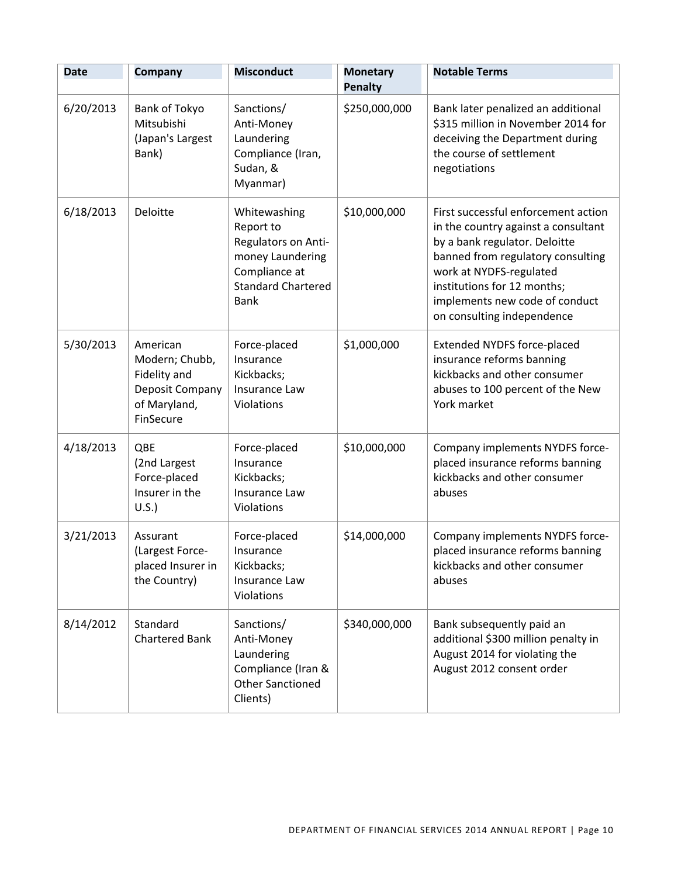| <b>Date</b> | Company                                                                                    | <b>Misconduct</b>                                                                                                                 | <b>Monetary</b>                 | <b>Notable Terms</b>                                                                                                                                                                                                                                                       |
|-------------|--------------------------------------------------------------------------------------------|-----------------------------------------------------------------------------------------------------------------------------------|---------------------------------|----------------------------------------------------------------------------------------------------------------------------------------------------------------------------------------------------------------------------------------------------------------------------|
| 6/20/2013   | Bank of Tokyo<br>Mitsubishi<br>(Japan's Largest<br>Bank)                                   | Sanctions/<br>Anti-Money<br>Laundering<br>Compliance (Iran,<br>Sudan, &<br>Myanmar)                                               | <b>Penalty</b><br>\$250,000,000 | Bank later penalized an additional<br>\$315 million in November 2014 for<br>deceiving the Department during<br>the course of settlement<br>negotiations                                                                                                                    |
| 6/18/2013   | <b>Deloitte</b>                                                                            | Whitewashing<br>Report to<br>Regulators on Anti-<br>money Laundering<br>Compliance at<br><b>Standard Chartered</b><br><b>Bank</b> | \$10,000,000                    | First successful enforcement action<br>in the country against a consultant<br>by a bank regulator. Deloitte<br>banned from regulatory consulting<br>work at NYDFS-regulated<br>institutions for 12 months;<br>implements new code of conduct<br>on consulting independence |
| 5/30/2013   | American<br>Modern; Chubb,<br>Fidelity and<br>Deposit Company<br>of Maryland,<br>FinSecure | Force-placed<br>Insurance<br>Kickbacks;<br>Insurance Law<br>Violations                                                            | \$1,000,000                     | <b>Extended NYDFS force-placed</b><br>insurance reforms banning<br>kickbacks and other consumer<br>abuses to 100 percent of the New<br>York market                                                                                                                         |
| 4/18/2013   | QBE<br>(2nd Largest<br>Force-placed<br>Insurer in the<br>U.S.                              | Force-placed<br>Insurance<br>Kickbacks;<br>Insurance Law<br>Violations                                                            | \$10,000,000                    | Company implements NYDFS force-<br>placed insurance reforms banning<br>kickbacks and other consumer<br>abuses                                                                                                                                                              |
| 3/21/2013   | Assurant<br>(Largest Force-<br>placed Insurer in<br>the Country)                           | Force-placed<br>Insurance<br>Kickbacks;<br>Insurance Law<br>Violations                                                            | \$14,000,000                    | Company implements NYDFS force-<br>placed insurance reforms banning<br>kickbacks and other consumer<br>abuses                                                                                                                                                              |
| 8/14/2012   | Standard<br><b>Chartered Bank</b>                                                          | Sanctions/<br>Anti-Money<br>Laundering<br>Compliance (Iran &<br><b>Other Sanctioned</b><br>Clients)                               | \$340,000,000                   | Bank subsequently paid an<br>additional \$300 million penalty in<br>August 2014 for violating the<br>August 2012 consent order                                                                                                                                             |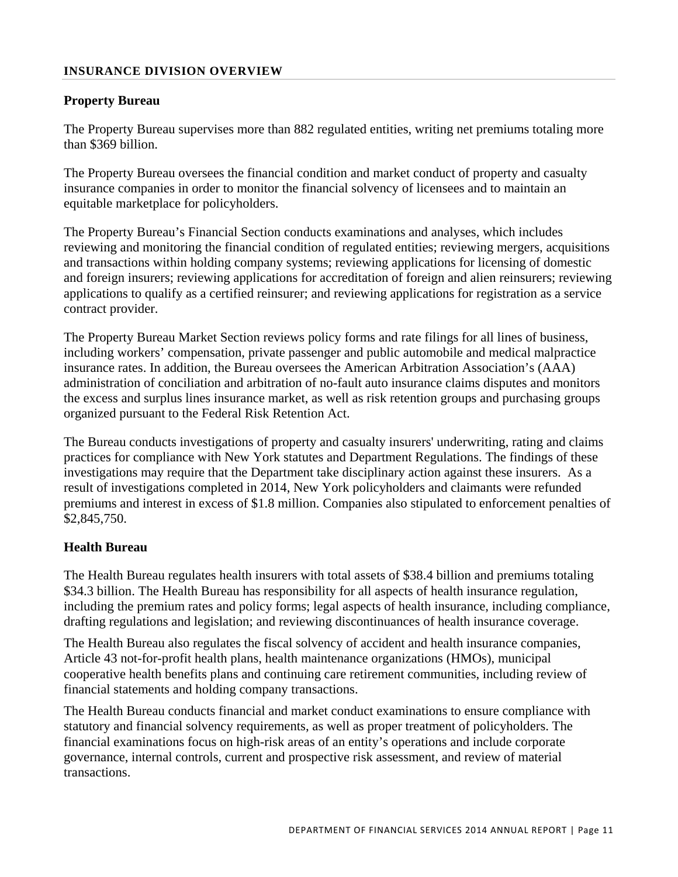## **INSURANCE DIVISION OVERVIEW**

## **Property Bureau**

The Property Bureau supervises more than 882 regulated entities, writing net premiums totaling more than \$369 billion.

The Property Bureau oversees the financial condition and market conduct of property and casualty insurance companies in order to monitor the financial solvency of licensees and to maintain an equitable marketplace for policyholders.

The Property Bureau's Financial Section conducts examinations and analyses, which includes reviewing and monitoring the financial condition of regulated entities; reviewing mergers, acquisitions and transactions within holding company systems; reviewing applications for licensing of domestic and foreign insurers; reviewing applications for accreditation of foreign and alien reinsurers; reviewing applications to qualify as a certified reinsurer; and reviewing applications for registration as a service contract provider.

The Property Bureau Market Section reviews policy forms and rate filings for all lines of business, including workers' compensation, private passenger and public automobile and medical malpractice insurance rates. In addition, the Bureau oversees the American Arbitration Association's (AAA) administration of conciliation and arbitration of no-fault auto insurance claims disputes and monitors the excess and surplus lines insurance market, as well as risk retention groups and purchasing groups organized pursuant to the Federal Risk Retention Act.

The Bureau conducts investigations of property and casualty insurers' underwriting, rating and claims practices for compliance with New York statutes and Department Regulations. The findings of these investigations may require that the Department take disciplinary action against these insurers. As a result of investigations completed in 2014, New York policyholders and claimants were refunded premiums and interest in excess of \$1.8 million. Companies also stipulated to enforcement penalties of \$2,845,750.

## **Health Bureau**

The Health Bureau regulates health insurers with total assets of \$38.4 billion and premiums totaling \$34.3 billion. The Health Bureau has responsibility for all aspects of health insurance regulation, including the premium rates and policy forms; legal aspects of health insurance, including compliance, drafting regulations and legislation; and reviewing discontinuances of health insurance coverage.

The Health Bureau also regulates the fiscal solvency of accident and health insurance companies, Article 43 not-for-profit health plans, health maintenance organizations (HMOs), municipal cooperative health benefits plans and continuing care retirement communities, including review of financial statements and holding company transactions.

 transactions. The Health Bureau conducts financial and market conduct examinations to ensure compliance with statutory and financial solvency requirements, as well as proper treatment of policyholders. The financial examinations focus on high-risk areas of an entity's operations and include corporate governance, internal controls, current and prospective risk assessment, and review of material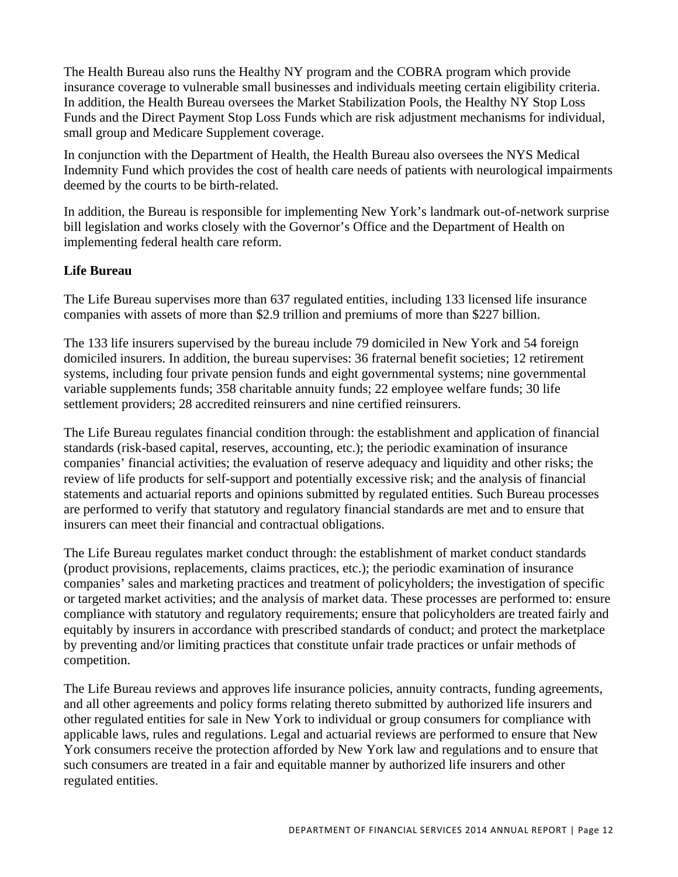The Health Bureau also runs the Healthy NY program and the COBRA program which provide insurance coverage to vulnerable small businesses and individuals meeting certain eligibility criteria. In addition, the Health Bureau oversees the Market Stabilization Pools, the Healthy NY Stop Loss Funds and the Direct Payment Stop Loss Funds which are risk adjustment mechanisms for individual, small group and Medicare Supplement coverage.

In conjunction with the Department of Health, the Health Bureau also oversees the NYS Medical Indemnity Fund which provides the cost of health care needs of patients with neurological impairments deemed by the courts to be birth-related.

In addition, the Bureau is responsible for implementing New York's landmark out-of-network surprise bill legislation and works closely with the Governor's Office and the Department of Health on implementing federal health care reform.

# **Life Bureau**

The Life Bureau supervises more than 637 regulated entities, including 133 licensed life insurance companies with assets of more than \$2.9 trillion and premiums of more than \$227 billion.

The 133 life insurers supervised by the bureau include 79 domiciled in New York and 54 foreign domiciled insurers. In addition, the bureau supervises: 36 fraternal benefit societies; 12 retirement systems, including four private pension funds and eight governmental systems; nine governmental variable supplements funds; 358 charitable annuity funds; 22 employee welfare funds; 30 life settlement providers; 28 accredited reinsurers and nine certified reinsurers.

The Life Bureau regulates financial condition through: the establishment and application of financial standards (risk-based capital, reserves, accounting, etc.); the periodic examination of insurance companies' financial activities; the evaluation of reserve adequacy and liquidity and other risks; the review of life products for self-support and potentially excessive risk; and the analysis of financial statements and actuarial reports and opinions submitted by regulated entities. Such Bureau processes are performed to verify that statutory and regulatory financial standards are met and to ensure that insurers can meet their financial and contractual obligations.

The Life Bureau regulates market conduct through: the establishment of market conduct standards (product provisions, replacements, claims practices, etc.); the periodic examination of insurance companies' sales and marketing practices and treatment of policyholders; the investigation of specific or targeted market activities; and the analysis of market data. These processes are performed to: ensure compliance with statutory and regulatory requirements; ensure that policyholders are treated fairly and equitably by insurers in accordance with prescribed standards of conduct; and protect the marketplace by preventing and/or limiting practices that constitute unfair trade practices or unfair methods of competition.

The Life Bureau reviews and approves life insurance policies, annuity contracts, funding agreements, and all other agreements and policy forms relating thereto submitted by authorized life insurers and other regulated entities for sale in New York to individual or group consumers for compliance with applicable laws, rules and regulations. Legal and actuarial reviews are performed to ensure that New York consumers receive the protection afforded by New York law and regulations and to ensure that such consumers are treated in a fair and equitable manner by authorized life insurers and other regulated entities.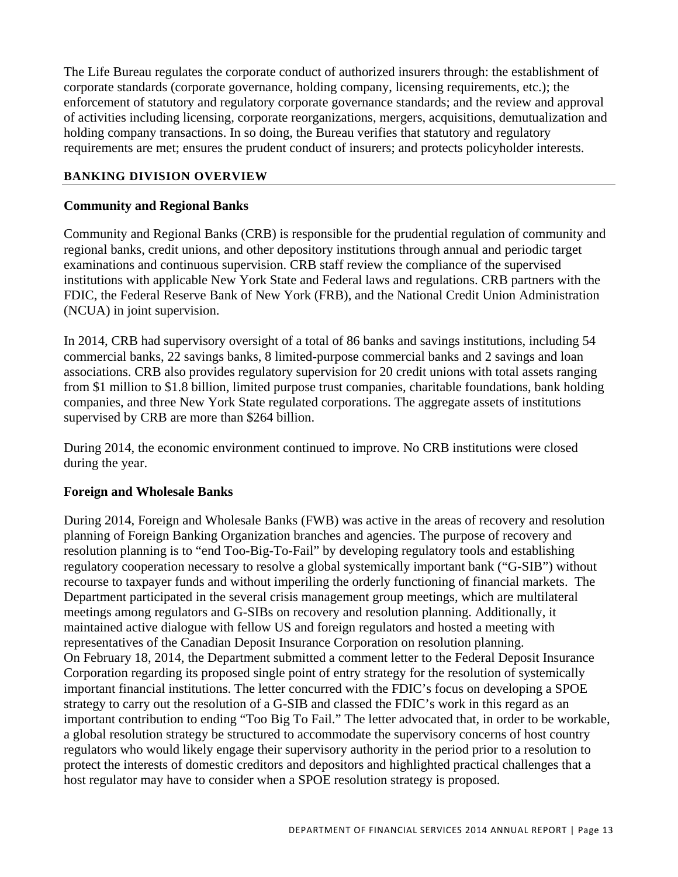The Life Bureau regulates the corporate conduct of authorized insurers through: the establishment of corporate standards (corporate governance, holding company, licensing requirements, etc.); the enforcement of statutory and regulatory corporate governance standards; and the review and approval of activities including licensing, corporate reorganizations, mergers, acquisitions, demutualization and holding company transactions. In so doing, the Bureau verifies that statutory and regulatory requirements are met; ensures the prudent conduct of insurers; and protects policyholder interests.

# **BANKING DIVISION OVERVIEW**

# **Community and Regional Banks**

Community and Regional Banks (CRB) is responsible for the prudential regulation of community and regional banks, credit unions, and other depository institutions through annual and periodic target examinations and continuous supervision. CRB staff review the compliance of the supervised institutions with applicable New York State and Federal laws and regulations. CRB partners with the FDIC, the Federal Reserve Bank of New York (FRB), and the National Credit Union Administration (NCUA) in joint supervision.

In 2014, CRB had supervisory oversight of a total of 86 banks and savings institutions, including 54 commercial banks, 22 savings banks, 8 limited-purpose commercial banks and 2 savings and loan associations. CRB also provides regulatory supervision for 20 credit unions with total assets ranging from \$1 million to \$1.8 billion, limited purpose trust companies, charitable foundations, bank holding companies, and three New York State regulated corporations. The aggregate assets of institutions supervised by CRB are more than \$264 billion.

During 2014, the economic environment continued to improve. No CRB institutions were closed during the year.

## **Foreign and Wholesale Banks**

During 2014, Foreign and Wholesale Banks (FWB) was active in the areas of recovery and resolution planning of Foreign Banking Organization branches and agencies. The purpose of recovery and resolution planning is to "end Too-Big-To-Fail" by developing regulatory tools and establishing regulatory cooperation necessary to resolve a global systemically important bank ("G-SIB") without recourse to taxpayer funds and without imperiling the orderly functioning of financial markets. The Department participated in the several crisis management group meetings, which are multilateral meetings among regulators and G-SIBs on recovery and resolution planning. Additionally, it maintained active dialogue with fellow US and foreign regulators and hosted a meeting with representatives of the Canadian Deposit Insurance Corporation on resolution planning. On February 18, 2014, the Department submitted a comment letter to the Federal Deposit Insurance Corporation regarding its proposed single point of entry strategy for the resolution of systemically important financial institutions. The letter concurred with the FDIC's focus on developing a SPOE strategy to carry out the resolution of a G-SIB and classed the FDIC's work in this regard as an important contribution to ending "Too Big To Fail." The letter advocated that, in order to be workable, a global resolution strategy be structured to accommodate the supervisory concerns of host country regulators who would likely engage their supervisory authority in the period prior to a resolution to protect the interests of domestic creditors and depositors and highlighted practical challenges that a host regulator may have to consider when a SPOE resolution strategy is proposed.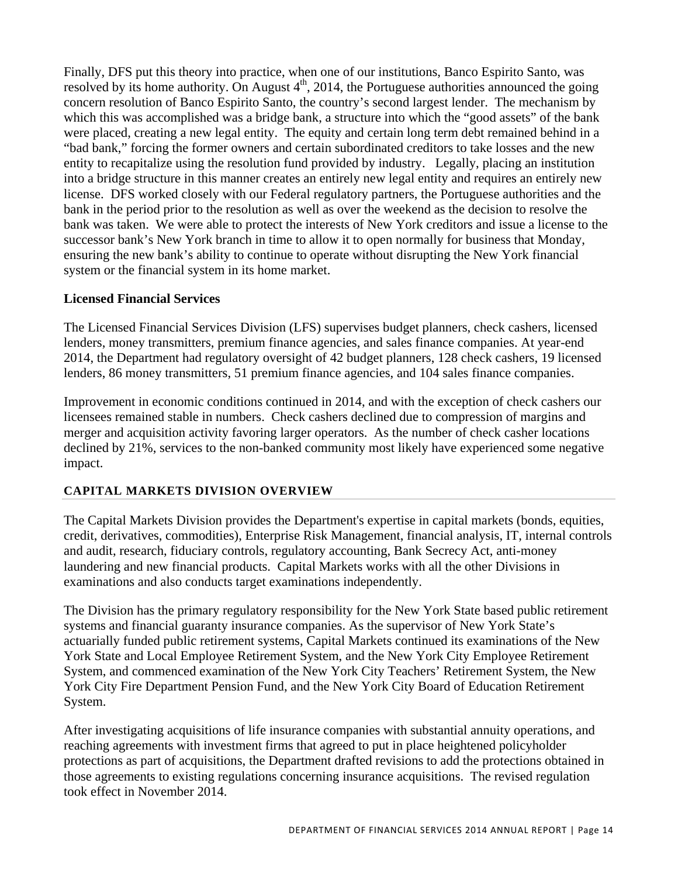Finally, DFS put this theory into practice, when one of our institutions, Banco Espirito Santo, was resolved by its home authority. On August  $4<sup>th</sup>$ , 2014, the Portuguese authorities announced the going concern resolution of Banco Espirito Santo, the country's second largest lender. The mechanism by which this was accomplished was a bridge bank, a structure into which the "good assets" of the bank were placed, creating a new legal entity. The equity and certain long term debt remained behind in a "bad bank," forcing the former owners and certain subordinated creditors to take losses and the new entity to recapitalize using the resolution fund provided by industry. Legally, placing an institution into a bridge structure in this manner creates an entirely new legal entity and requires an entirely new license. DFS worked closely with our Federal regulatory partners, the Portuguese authorities and the bank in the period prior to the resolution as well as over the weekend as the decision to resolve the bank was taken. We were able to protect the interests of New York creditors and issue a license to the successor bank's New York branch in time to allow it to open normally for business that Monday, ensuring the new bank's ability to continue to operate without disrupting the New York financial system or the financial system in its home market.

# **Licensed Financial Services**

The Licensed Financial Services Division (LFS) supervises budget planners, check cashers, licensed lenders, money transmitters, premium finance agencies, and sales finance companies. At year-end 2014, the Department had regulatory oversight of 42 budget planners, 128 check cashers, 19 licensed lenders, 86 money transmitters, 51 premium finance agencies, and 104 sales finance companies.

Improvement in economic conditions continued in 2014, and with the exception of check cashers our licensees remained stable in numbers. Check cashers declined due to compression of margins and merger and acquisition activity favoring larger operators. As the number of check casher locations declined by 21%, services to the non-banked community most likely have experienced some negative impact.

# **CAPITAL MARKETS DIVISION OVERVIEW**

The Capital Markets Division provides the Department's expertise in capital markets (bonds, equities, credit, derivatives, commodities), Enterprise Risk Management, financial analysis, IT, internal controls and audit, research, fiduciary controls, regulatory accounting, Bank Secrecy Act, anti-money laundering and new financial products. Capital Markets works with all the other Divisions in examinations and also conducts target examinations independently.

The Division has the primary regulatory responsibility for the New York State based public retirement systems and financial guaranty insurance companies. As the supervisor of New York State's actuarially funded public retirement systems, Capital Markets continued its examinations of the New York State and Local Employee Retirement System, and the New York City Employee Retirement System, and commenced examination of the New York City Teachers' Retirement System, the New York City Fire Department Pension Fund, and the New York City Board of Education Retirement System.

After investigating acquisitions of life insurance companies with substantial annuity operations, and reaching agreements with investment firms that agreed to put in place heightened policyholder protections as part of acquisitions, the Department drafted revisions to add the protections obtained in those agreements to existing regulations concerning insurance acquisitions. The revised regulation took effect in November 2014.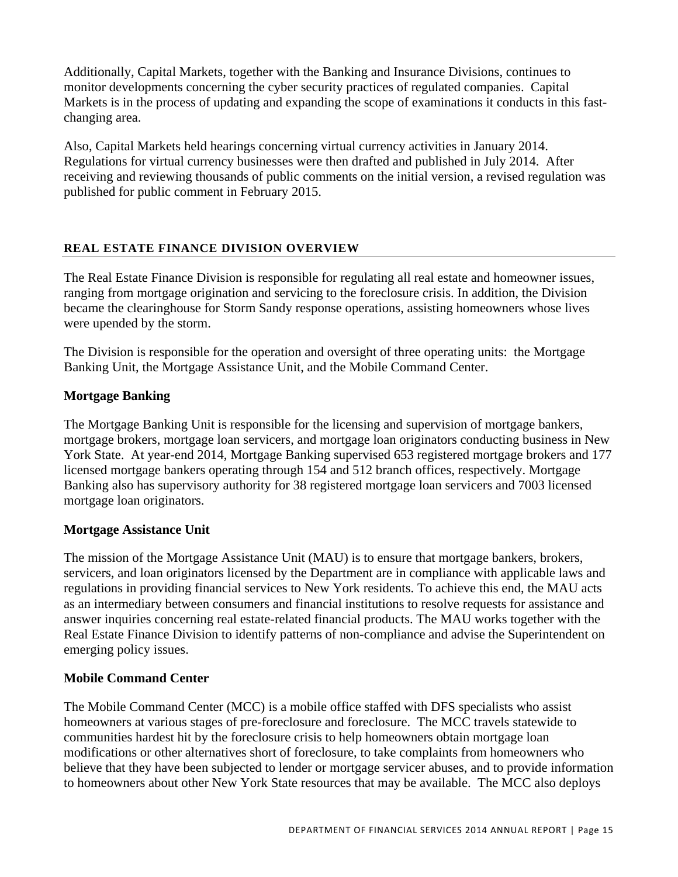Additionally, Capital Markets, together with the Banking and Insurance Divisions, continues to monitor developments concerning the cyber security practices of regulated companies. Capital Markets is in the process of updating and expanding the scope of examinations it conducts in this fastchanging area.

Also, Capital Markets held hearings concerning virtual currency activities in January 2014. Regulations for virtual currency businesses were then drafted and published in July 2014. After receiving and reviewing thousands of public comments on the initial version, a revised regulation was published for public comment in February 2015.

# **REAL ESTATE FINANCE DIVISION OVERVIEW**

The Real Estate Finance Division is responsible for regulating all real estate and homeowner issues, ranging from mortgage origination and servicing to the foreclosure crisis. In addition, the Division became the clearinghouse for Storm Sandy response operations, assisting homeowners whose lives were upended by the storm.

The Division is responsible for the operation and oversight of three operating units: the Mortgage Banking Unit, the Mortgage Assistance Unit, and the Mobile Command Center.

# **Mortgage Banking**

The Mortgage Banking Unit is responsible for the licensing and supervision of mortgage bankers, mortgage brokers, mortgage loan servicers, and mortgage loan originators conducting business in New York State. At year-end 2014, Mortgage Banking supervised 653 registered mortgage brokers and 177 licensed mortgage bankers operating through 154 and 512 branch offices, respectively. Mortgage Banking also has supervisory authority for 38 registered mortgage loan servicers and 7003 licensed mortgage loan originators.

# **Mortgage Assistance Unit**

The mission of the Mortgage Assistance Unit (MAU) is to ensure that mortgage bankers, brokers, servicers, and loan originators licensed by the Department are in compliance with applicable laws and regulations in providing financial services to New York residents. To achieve this end, the MAU acts as an intermediary between consumers and financial institutions to resolve requests for assistance and answer inquiries concerning real estate-related financial products. The MAU works together with the Real Estate Finance Division to identify patterns of non-compliance and advise the Superintendent on emerging policy issues.

## **Mobile Command Center**

The Mobile Command Center (MCC) is a mobile office staffed with DFS specialists who assist homeowners at various stages of pre-foreclosure and foreclosure. The MCC travels statewide to communities hardest hit by the foreclosure crisis to help homeowners obtain mortgage loan modifications or other alternatives short of foreclosure, to take complaints from homeowners who believe that they have been subjected to lender or mortgage servicer abuses, and to provide information to homeowners about other New York State resources that may be available. The MCC also deploys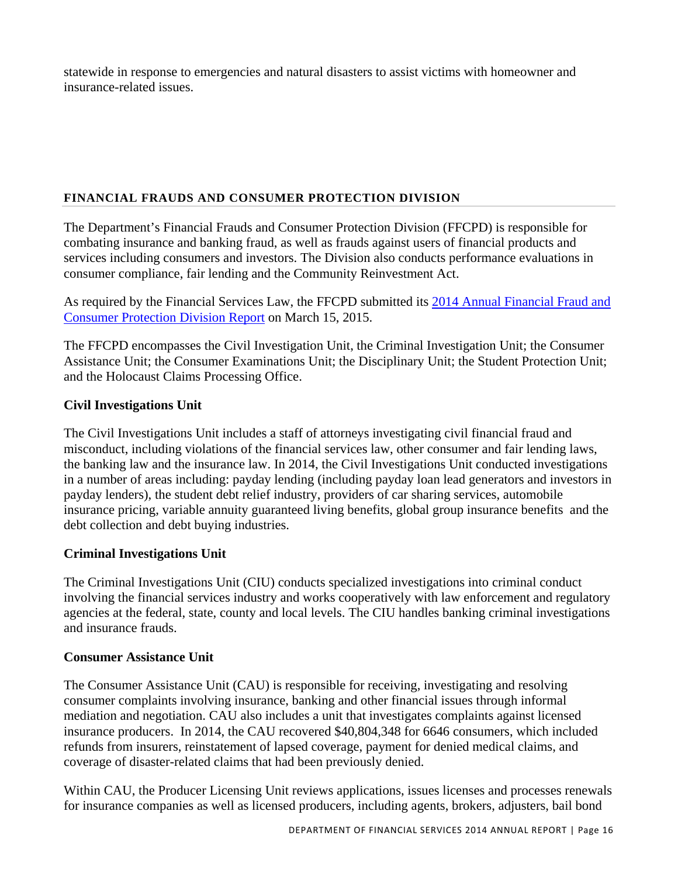statewide in response to emergencies and natural disasters to assist victims with homeowner and insurance-related issues.

# **FINANCIAL FRAUDS AND CONSUMER PROTECTION DIVISION**

The Department's Financial Frauds and Consumer Protection Division (FFCPD) is responsible for combating insurance and banking fraud, as well as frauds against users of financial products and services including consumers and investors. The Division also conducts performance evaluations in consumer compliance, fair lending and the Community Reinvestment Act.

As required by the Financial Services Law, the FFCPD submitted its 2014 Annual Financial Fraud and Consumer Protection Division Report on March 15, 2015.

The FFCPD encompasses the Civil Investigation Unit, the Criminal Investigation Unit; the Consumer Assistance Unit; the Consumer Examinations Unit; the Disciplinary Unit; the Student Protection Unit; and the Holocaust Claims Processing Office.

# **Civil Investigations Unit**

The Civil Investigations Unit includes a staff of attorneys investigating civil financial fraud and misconduct, including violations of the financial services law, other consumer and fair lending laws, the banking law and the insurance law. In 2014, the Civil Investigations Unit conducted investigations in a number of areas including: payday lending (including payday loan lead generators and investors in payday lenders), the student debt relief industry, providers of car sharing services, automobile insurance pricing, variable annuity guaranteed living benefits, global group insurance benefits and the debt collection and debt buying industries.

# **Criminal Investigations Unit**

The Criminal Investigations Unit (CIU) conducts specialized investigations into criminal conduct involving the financial services industry and works cooperatively with law enforcement and regulatory agencies at the federal, state, county and local levels. The CIU handles banking criminal investigations and insurance frauds.

# **Consumer Assistance Unit**

The Consumer Assistance Unit (CAU) is responsible for receiving, investigating and resolving consumer complaints involving insurance, banking and other financial issues through informal mediation and negotiation. CAU also includes a unit that investigates complaints against licensed insurance producers. In 2014, the CAU recovered \$40,804,348 for 6646 consumers, which included refunds from insurers, reinstatement of lapsed coverage, payment for denied medical claims, and coverage of disaster-related claims that had been previously denied.

Within CAU, the Producer Licensing Unit reviews applications, issues licenses and processes renewals for insurance companies as well as licensed producers, including agents, brokers, adjusters, bail bond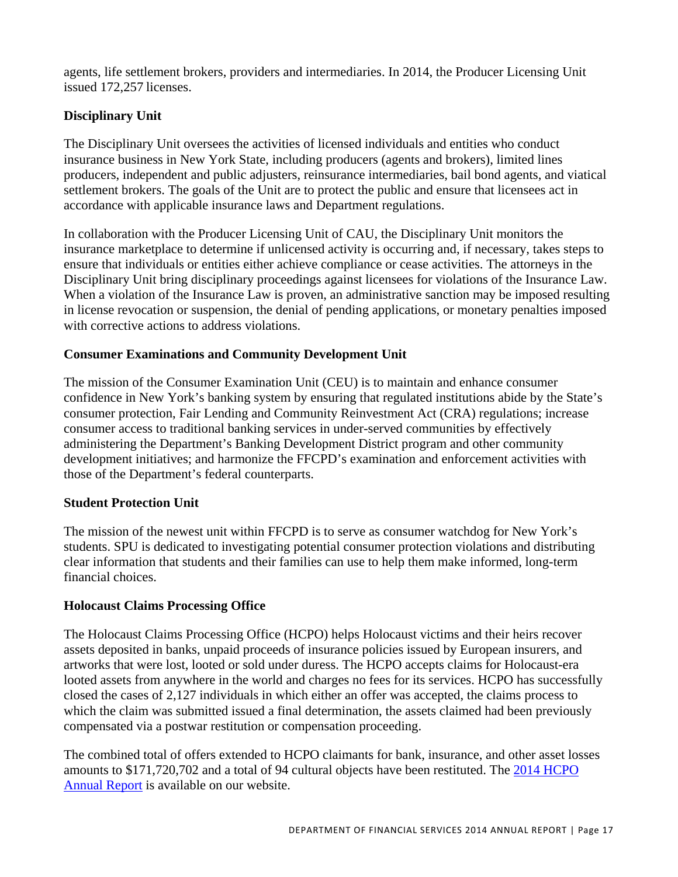agents, life settlement brokers, providers and intermediaries. In 2014, the Producer Licensing Unit issued 172,257 licenses.

# **Disciplinary Unit**

The Disciplinary Unit oversees the activities of licensed individuals and entities who conduct insurance business in New York State, including producers (agents and brokers), limited lines producers, independent and public adjusters, reinsurance intermediaries, bail bond agents, and viatical settlement brokers. The goals of the Unit are to protect the public and ensure that licensees act in accordance with applicable insurance laws and Department regulations.

In collaboration with the Producer Licensing Unit of CAU, the Disciplinary Unit monitors the insurance marketplace to determine if unlicensed activity is occurring and, if necessary, takes steps to ensure that individuals or entities either achieve compliance or cease activities. The attorneys in the Disciplinary Unit bring disciplinary proceedings against licensees for violations of the Insurance Law. When a violation of the Insurance Law is proven, an administrative sanction may be imposed resulting in license revocation or suspension, the denial of pending applications, or monetary penalties imposed with corrective actions to address violations.

# **Consumer Examinations and Community Development Unit**

The mission of the Consumer Examination Unit (CEU) is to maintain and enhance consumer confidence in New York's banking system by ensuring that regulated institutions abide by the State's consumer protection, Fair Lending and Community Reinvestment Act (CRA) regulations; increase consumer access to traditional banking services in under-served communities by effectively administering the Department's Banking Development District program and other community development initiatives; and harmonize the FFCPD's examination and enforcement activities with those of the Department's federal counterparts.

# **Student Protection Unit**

The mission of the newest unit within FFCPD is to serve as consumer watchdog for New York's students. SPU is dedicated to investigating potential consumer protection violations and distributing clear information that students and their families can use to help them make informed, long-term financial choices.

# **Holocaust Claims Processing Office**

The Holocaust Claims Processing Office (HCPO) helps Holocaust victims and their heirs recover assets deposited in banks, unpaid proceeds of insurance policies issued by European insurers, and artworks that were lost, looted or sold under duress. The HCPO accepts claims for Holocaust-era looted assets from anywhere in the world and charges no fees for its services. HCPO has successfully closed the cases of 2,127 individuals in which either an offer was accepted, the claims process to which the claim was submitted issued a final determination, the assets claimed had been previously compensated via a postwar restitution or compensation proceeding.

The combined total of offers extended to HCPO claimants for bank, insurance, and other asset losses amounts to \$171,720,702 and a total of 94 cultural objects have been restituted. The 2014 HCPO Annual Report is available on our website.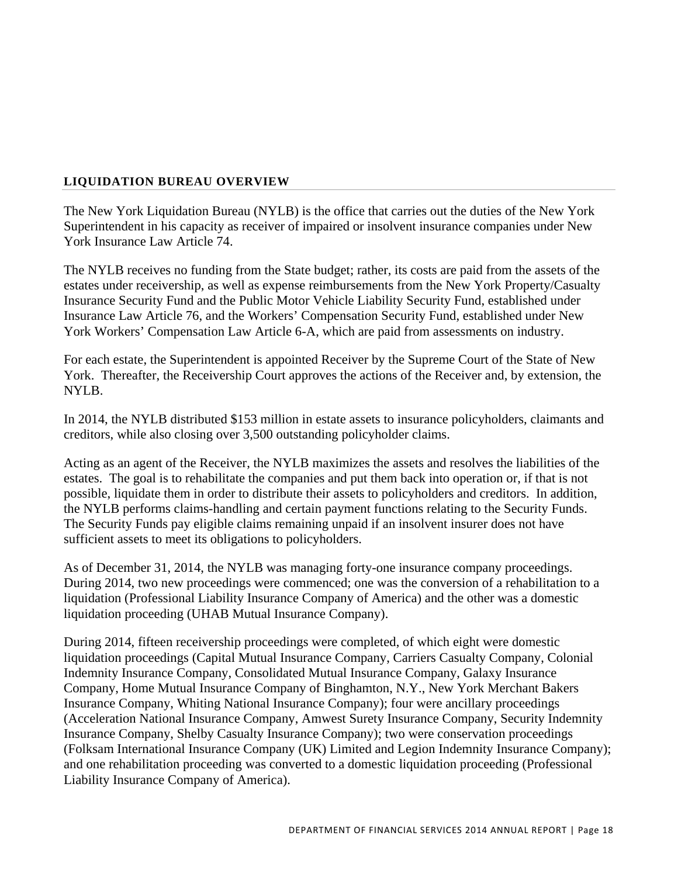## **LIQUIDATION BUREAU OVERVIEW**

The New York Liquidation Bureau (NYLB) is the office that carries out the duties of the New York Superintendent in his capacity as receiver of impaired or insolvent insurance companies under New York Insurance Law Article 74.

The NYLB receives no funding from the State budget; rather, its costs are paid from the assets of the estates under receivership, as well as expense reimbursements from the New York Property/Casualty Insurance Security Fund and the Public Motor Vehicle Liability Security Fund, established under Insurance Law Article 76, and the Workers' Compensation Security Fund, established under New York Workers' Compensation Law Article 6-A, which are paid from assessments on industry.

For each estate, the Superintendent is appointed Receiver by the Supreme Court of the State of New York. Thereafter, the Receivership Court approves the actions of the Receiver and, by extension, the NYLB.

In 2014, the NYLB distributed \$153 million in estate assets to insurance policyholders, claimants and creditors, while also closing over 3,500 outstanding policyholder claims.

Acting as an agent of the Receiver, the NYLB maximizes the assets and resolves the liabilities of the estates. The goal is to rehabilitate the companies and put them back into operation or, if that is not possible, liquidate them in order to distribute their assets to policyholders and creditors. In addition, the NYLB performs claims-handling and certain payment functions relating to the Security Funds. The Security Funds pay eligible claims remaining unpaid if an insolvent insurer does not have sufficient assets to meet its obligations to policyholders.

As of December 31, 2014, the NYLB was managing forty-one insurance company proceedings. During 2014, two new proceedings were commenced; one was the conversion of a rehabilitation to a liquidation (Professional Liability Insurance Company of America) and the other was a domestic liquidation proceeding (UHAB Mutual Insurance Company).

During 2014, fifteen receivership proceedings were completed, of which eight were domestic liquidation proceedings (Capital Mutual Insurance Company, Carriers Casualty Company, Colonial Indemnity Insurance Company, Consolidated Mutual Insurance Company, Galaxy Insurance Company, Home Mutual Insurance Company of Binghamton, N.Y., New York Merchant Bakers Insurance Company, Whiting National Insurance Company); four were ancillary proceedings (Acceleration National Insurance Company, Amwest Surety Insurance Company, Security Indemnity Insurance Company, Shelby Casualty Insurance Company); two were conservation proceedings (Folksam International Insurance Company (UK) Limited and Legion Indemnity Insurance Company); and one rehabilitation proceeding was converted to a domestic liquidation proceeding (Professional Liability Insurance Company of America).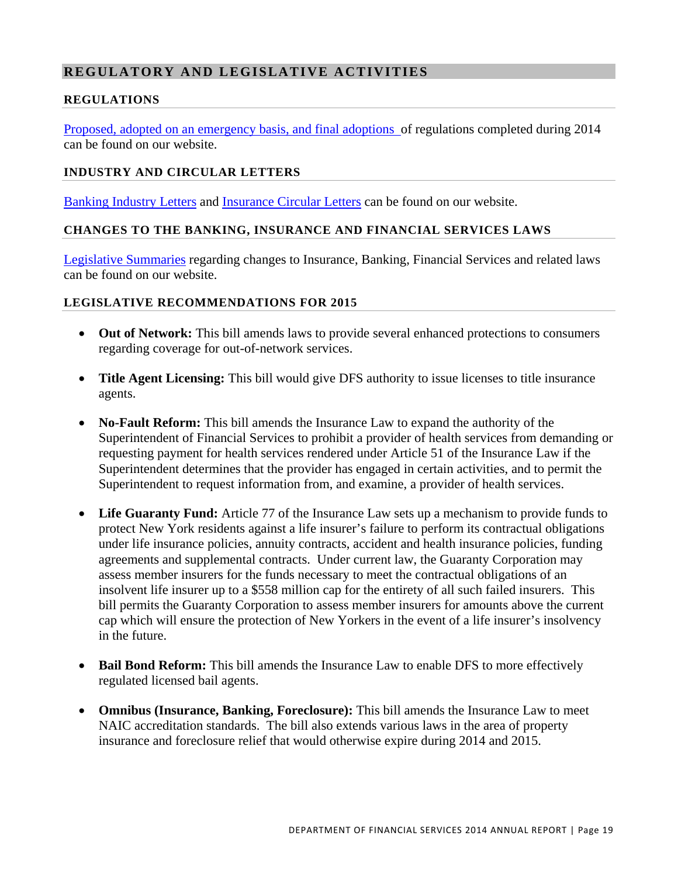# **REGULATORY AND LEGISLATIVE ACTIVITIES**

## **REGULATIONS**

Proposed, adopted on an emergency basis, and final adoptions of regulations completed during 2014 can be found on our website.

## **INDUSTRY AND CIRCULAR LETTERS**

Banking Industry Letters and Insurance Circular Letters can be found on our website.

## **CHANGES TO THE BANKING, INSURANCE AND FINANCIAL SERVICES LAWS**

Legislative Summaries regarding changes to Insurance, Banking, Financial Services and related laws can be found on our website.

## **LEGISLATIVE RECOMMENDATIONS FOR 2015**

- **Out of Network:** This bill amends laws to provide several enhanced protections to consumers regarding coverage for out-of-network services.
- **Title Agent Licensing:** This bill would give DFS authority to issue licenses to title insurance agents.
- **No-Fault Reform:** This bill amends the Insurance Law to expand the authority of the Superintendent of Financial Services to prohibit a provider of health services from demanding or requesting payment for health services rendered under Article 51 of the Insurance Law if the Superintendent determines that the provider has engaged in certain activities, and to permit the Superintendent to request information from, and examine, a provider of health services.
- Life Guaranty Fund: Article 77 of the Insurance Law sets up a mechanism to provide funds to protect New York residents against a life insurer's failure to perform its contractual obligations under life insurance policies, annuity contracts, accident and health insurance policies, funding agreements and supplemental contracts. Under current law, the Guaranty Corporation may assess member insurers for the funds necessary to meet the contractual obligations of an insolvent life insurer up to a \$558 million cap for the entirety of all such failed insurers. This bill permits the Guaranty Corporation to assess member insurers for amounts above the current cap which will ensure the protection of New Yorkers in the event of a life insurer's insolvency in the future.
- **Bail Bond Reform:** This bill amends the Insurance Law to enable DFS to more effectively regulated licensed bail agents.
- **Omnibus (Insurance, Banking, Foreclosure):** This bill amends the Insurance Law to meet NAIC accreditation standards. The bill also extends various laws in the area of property insurance and foreclosure relief that would otherwise expire during 2014 and 2015.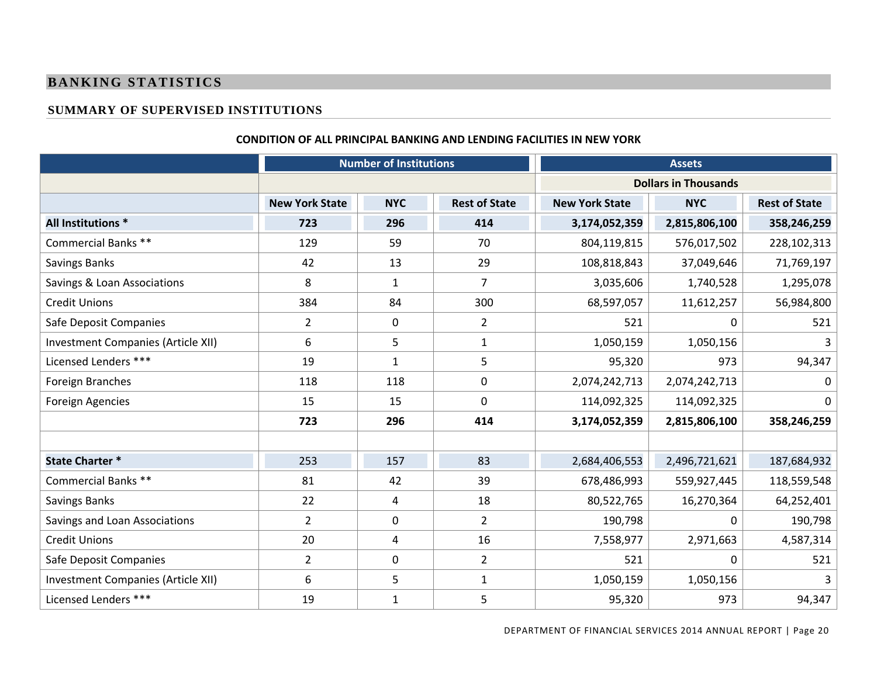## **BANKING STATISTICS**

## **SUMMARY OF SUPERVISED INSTITUTIONS**

#### **Number of Institutions Assets Dollars in Thousands New York State NYC Rest of State New York State NYC Rest of State All Institutions \* 723 296 414 3,174,052,359 2,815,806,100 358,246,259** Commercial Banks \*\* 129 59 70 804,119,815 576,017,502 228,102,313 Savings Banks 42 13 29 108,818,843 37,049,646 71,769,197 Savings & Loan Associations 8 1 1 1 1 7 1 3,035,606 1,740,528 1,295,078 Credit Unions 384 84 300 68,597,057 11,612,257 56,984,800 Safe Deposit Companies 2 0 2 521 0 521 Investment Companies (Article XII) | 6 | 5 | 1 1,050,159 | 1,050,156 | 3 Licensed Lenders \*\*\* d Lenders \*\*\* 19 | 1 5 | 95,320 | 973 | 94,347 Foreign Branches 118 118 118 118 0 2,074,242,713 2,074,242,713 1 0 Foreign Agencies 15 15 15 15 15 0 114,092,325 114,092,325 0 114,092,325 0 **723 296 414 3,174,052,359 2,815,806,100 358,246,259 State Charter \*** 253 157 83 2,684,406,553 2,496,721,621 187,684,932 Commercial Banks \*\*\* 81 42 39 678,486,993 559,927,445 118,559,548 Savings Banks 22 | 4 | 18 | 80,522,765 | 16,270,364 | 64,252,401 Savings and Loan Associations  $\begin{array}{cccc} \vert & 2 & \vert & 0 & \vert & 2 & \vert \end{array}$  190,798 0 190,798 Credit Unionss and  $\sim$  20 4 16 7,558,977 2,971,663 4,587,314 Safe Deposit Companies 2 0 2 521 0 521 Investment Companies (Article XII) | 6 | 5 | 1 1,050,159 | 1,050,156 | 3 Licensed Lenders \*\*\* 19 1 5  $95,320$  973 94,347

#### **CONDITION OF ALL PRINCIPAL BANKING AND LENDING FACILITIES IN NEW YORK**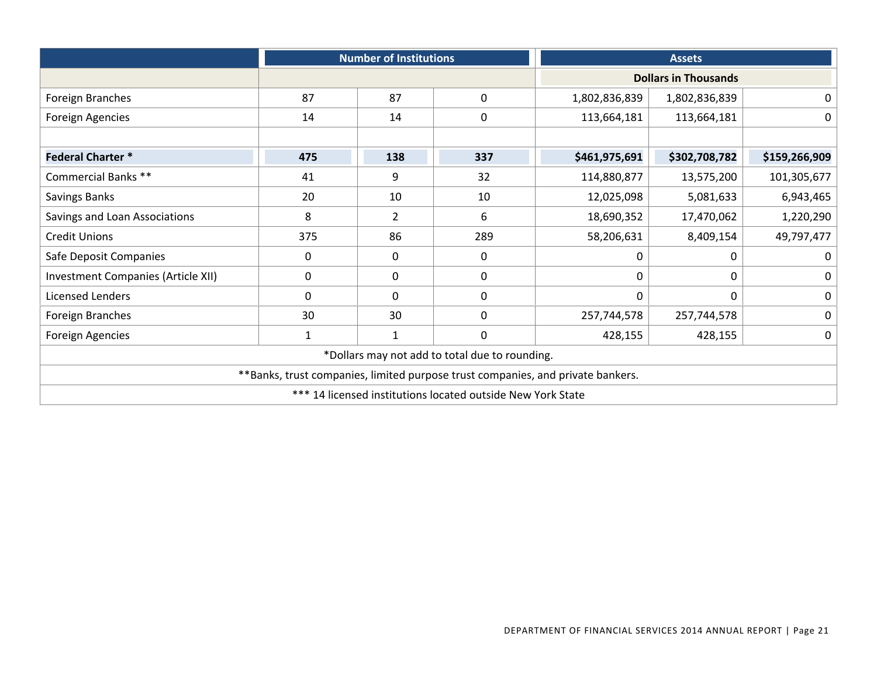|                                    | <b>Number of Institutions</b>                               |                |                                                | <b>Assets</b>                                                                   |                             |                  |  |
|------------------------------------|-------------------------------------------------------------|----------------|------------------------------------------------|---------------------------------------------------------------------------------|-----------------------------|------------------|--|
|                                    |                                                             |                |                                                |                                                                                 | <b>Dollars in Thousands</b> |                  |  |
| Foreign Branches                   | 87                                                          | 87             | 0                                              | 1,802,836,839                                                                   | 1,802,836,839               | $\mathbf 0$      |  |
| Foreign Agencies                   | 14                                                          | 14             | $\mathbf 0$                                    | 113,664,181                                                                     | 113,664,181                 | $\mathbf 0$      |  |
|                                    |                                                             |                |                                                |                                                                                 |                             |                  |  |
| <b>Federal Charter*</b>            | 475                                                         | 138            | 337                                            | \$461,975,691                                                                   | \$302,708,782               | \$159,266,909    |  |
| Commercial Banks **                | 41                                                          | 9              | 32                                             | 114,880,877                                                                     | 13,575,200                  | 101,305,677      |  |
| Savings Banks                      | 20                                                          | 10             | 10                                             | 12,025,098                                                                      | 5,081,633                   | 6,943,465        |  |
| Savings and Loan Associations      | 8                                                           | $\overline{2}$ | 6                                              | 18,690,352                                                                      | 17,470,062                  | 1,220,290        |  |
| <b>Credit Unions</b>               | 375                                                         | 86             | 289                                            | 58,206,631                                                                      | 8,409,154                   | 49,797,477       |  |
| Safe Deposit Companies             | 0                                                           | 0              | 0                                              | 0                                                                               | 0                           | $\Omega$         |  |
| Investment Companies (Article XII) | 0                                                           | 0              | $\mathbf 0$                                    | 0                                                                               | 0                           | 0                |  |
| Licensed Lenders                   | $\Omega$                                                    | $\Omega$       | 0                                              | $\mathbf 0$                                                                     | 0                           | $\boldsymbol{0}$ |  |
| Foreign Branches                   | 30                                                          | 30             | 0                                              | 257,744,578                                                                     | 257,744,578                 | $\mathbf 0$      |  |
| <b>Foreign Agencies</b>            | $\mathbf{1}$                                                | $\mathbf{1}$   | 0                                              | 428,155                                                                         | 428,155                     | $\mathbf 0$      |  |
|                                    |                                                             |                | *Dollars may not add to total due to rounding. |                                                                                 |                             |                  |  |
|                                    |                                                             |                |                                                | **Banks, trust companies, limited purpose trust companies, and private bankers. |                             |                  |  |
|                                    | *** 14 licensed institutions located outside New York State |                |                                                |                                                                                 |                             |                  |  |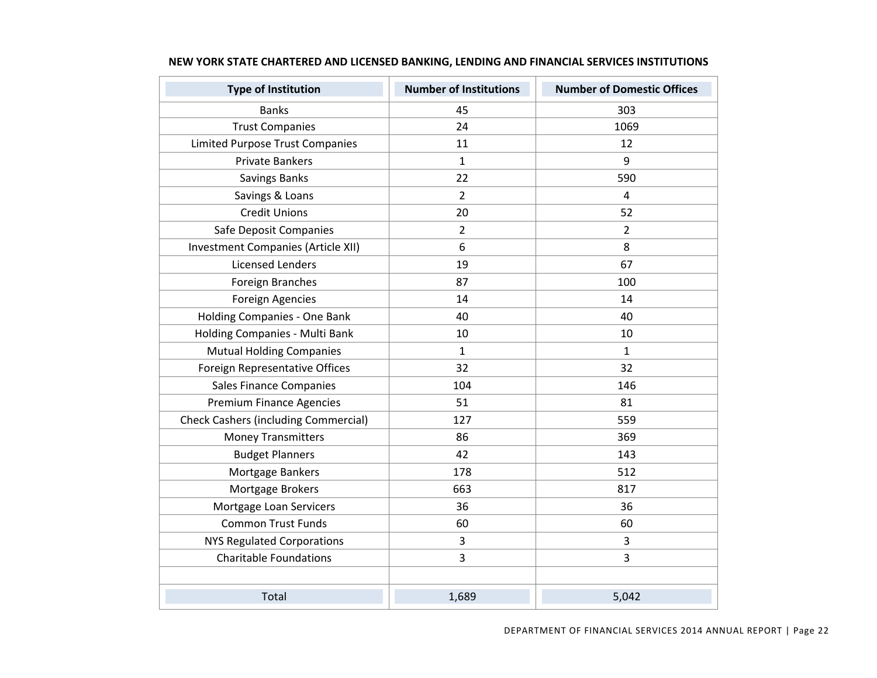| <b>Type of Institution</b>                  | <b>Number of Institutions</b> | <b>Number of Domestic Offices</b> |
|---------------------------------------------|-------------------------------|-----------------------------------|
| <b>Banks</b>                                | 45                            | 303                               |
| <b>Trust Companies</b>                      | 24                            | 1069                              |
| <b>Limited Purpose Trust Companies</b>      | 11                            | 12                                |
| <b>Private Bankers</b>                      | $\mathbf{1}$                  | 9                                 |
| <b>Savings Banks</b>                        | 22                            | 590                               |
| Savings & Loans                             | $\overline{2}$                | $\overline{\mathbf{4}}$           |
| <b>Credit Unions</b>                        | 20                            | 52                                |
| Safe Deposit Companies                      | $\overline{2}$                | $\overline{2}$                    |
| Investment Companies (Article XII)          | 6                             | 8                                 |
| <b>Licensed Lenders</b>                     | 19                            | 67                                |
| Foreign Branches                            | 87                            | 100                               |
| <b>Foreign Agencies</b>                     | 14                            | 14                                |
| Holding Companies - One Bank                | 40                            | 40                                |
| Holding Companies - Multi Bank              | 10                            | 10                                |
| <b>Mutual Holding Companies</b>             | $\mathbf{1}$                  | $\mathbf{1}$                      |
| Foreign Representative Offices              | 32                            | 32                                |
| <b>Sales Finance Companies</b>              | 104                           | 146                               |
| <b>Premium Finance Agencies</b>             | 51                            | 81                                |
| <b>Check Cashers (including Commercial)</b> | 127                           | 559                               |
| <b>Money Transmitters</b>                   | 86                            | 369                               |
| <b>Budget Planners</b>                      | 42                            | 143                               |
| Mortgage Bankers                            | 178                           | 512                               |
| Mortgage Brokers                            | 663                           | 817                               |
| Mortgage Loan Servicers                     | 36                            | 36                                |
| <b>Common Trust Funds</b>                   | 60                            | 60                                |
| <b>NYS Regulated Corporations</b>           | 3                             | 3                                 |
| <b>Charitable Foundations</b>               | 3                             | 3                                 |
|                                             |                               |                                   |
| Total                                       | 1,689                         | 5,042                             |

#### **NEW YORK STATE CHARTERED AND LICENSED BANKING, LENDING AND FINANCIAL SERVICES INSTITUTIONS**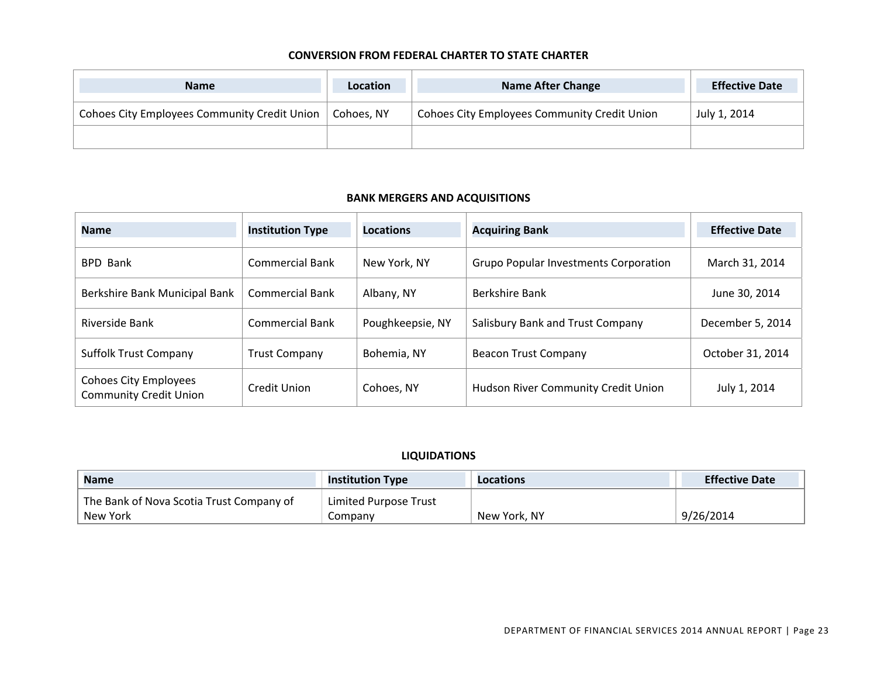#### **CONVERSION FROM FEDERAL CHARTER TO STATE CHARTER**

| <b>Name</b>                                         | <b>Location</b> | <b>Name After Change</b>                            | <b>Effective Date</b> |
|-----------------------------------------------------|-----------------|-----------------------------------------------------|-----------------------|
| <b>Cohoes City Employees Community Credit Union</b> | Cohoes. NY      | <b>Cohoes City Employees Community Credit Union</b> | July 1, 2014          |
|                                                     |                 |                                                     |                       |

#### **BANK MERGERS AND ACQUISITIONS**

| <b>Name</b>                                            | <b>Institution Type</b> | <b>Locations</b> | <b>Acquiring Bank</b>                        | <b>Effective Date</b> |
|--------------------------------------------------------|-------------------------|------------------|----------------------------------------------|-----------------------|
| <b>BPD Bank</b>                                        | <b>Commercial Bank</b>  | New York, NY     | <b>Grupo Popular Investments Corporation</b> | March 31, 2014        |
| Berkshire Bank Municipal Bank                          | <b>Commercial Bank</b>  | Albany, NY       | Berkshire Bank                               | June 30, 2014         |
| Riverside Bank                                         | <b>Commercial Bank</b>  | Poughkeepsie, NY | Salisbury Bank and Trust Company             | December 5, 2014      |
| <b>Suffolk Trust Company</b>                           | <b>Trust Company</b>    | Bohemia, NY      | <b>Beacon Trust Company</b>                  | October 31, 2014      |
| Cohoes City Employees<br><b>Community Credit Union</b> | Credit Union            | Cohoes, NY       | Hudson River Community Credit Union          | July 1, 2014          |

## **LIQUIDATIONS**

| <b>Name</b>                              | <b>Institution Type</b> | Locations    | <b>Effective Date</b> |
|------------------------------------------|-------------------------|--------------|-----------------------|
| The Bank of Nova Scotia Trust Company of | Limited Purpose Trust   |              |                       |
| New York                                 | Company                 | New York, NY | 9/26/2014             |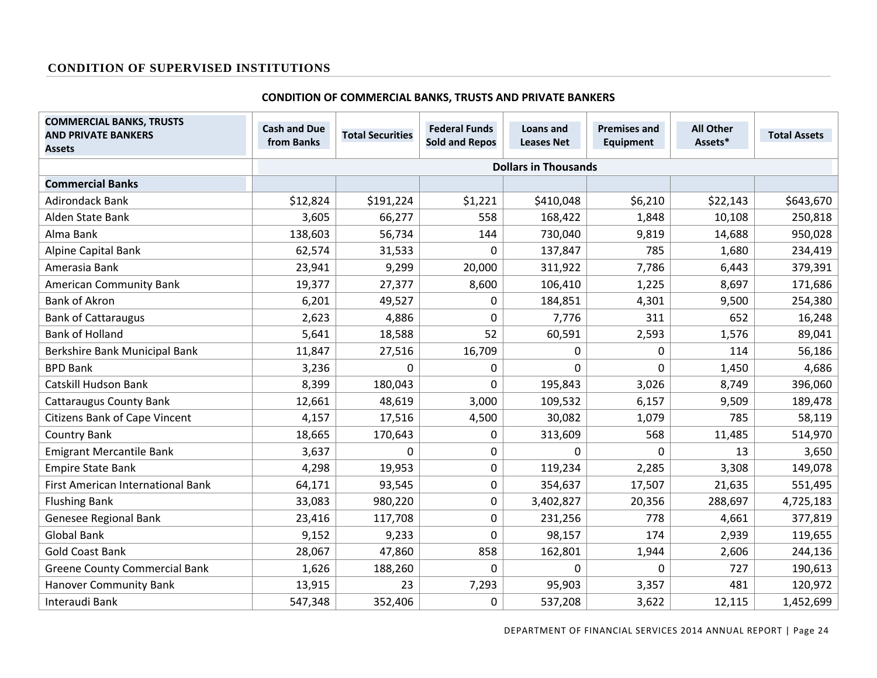## **CONDITION OF SUPERVISED INSTITUTIONS**

#### **CONDITION OF COMMERCIAL BANKS, TRUSTS AND PRIVATE BANKERS**

| <b>COMMERCIAL BANKS, TRUSTS</b><br><b>AND PRIVATE BANKERS</b><br><b>Assets</b> | <b>Cash and Due</b><br>from Banks | <b>Total Securities</b>     | <b>Federal Funds</b><br><b>Sold and Repos</b> | Loans and<br><b>Leases Net</b> | <b>Premises and</b><br><b>Equipment</b> | <b>All Other</b><br>Assets* | <b>Total Assets</b> |
|--------------------------------------------------------------------------------|-----------------------------------|-----------------------------|-----------------------------------------------|--------------------------------|-----------------------------------------|-----------------------------|---------------------|
|                                                                                |                                   | <b>Dollars in Thousands</b> |                                               |                                |                                         |                             |                     |
| <b>Commercial Banks</b>                                                        |                                   |                             |                                               |                                |                                         |                             |                     |
| <b>Adirondack Bank</b>                                                         | \$12,824                          | \$191,224                   | \$1,221                                       | \$410,048                      | \$6,210                                 | \$22,143                    | \$643,670           |
| Alden State Bank                                                               | 3,605                             | 66,277                      | 558                                           | 168,422                        | 1,848                                   | 10,108                      | 250,818             |
| Alma Bank                                                                      | 138,603                           | 56,734                      | 144                                           | 730,040                        | 9,819                                   | 14,688                      | 950,028             |
| Alpine Capital Bank                                                            | 62,574                            | 31,533                      | 0                                             | 137,847                        | 785                                     | 1,680                       | 234,419             |
| Amerasia Bank                                                                  | 23,941                            | 9,299                       | 20,000                                        | 311,922                        | 7,786                                   | 6,443                       | 379,391             |
| <b>American Community Bank</b>                                                 | 19,377                            | 27,377                      | 8,600                                         | 106,410                        | 1,225                                   | 8,697                       | 171,686             |
| <b>Bank of Akron</b>                                                           | 6,201                             | 49,527                      | 0                                             | 184,851                        | 4,301                                   | 9,500                       | 254,380             |
| <b>Bank of Cattaraugus</b>                                                     | 2,623                             | 4,886                       | 0                                             | 7,776                          | 311                                     | 652                         | 16,248              |
| <b>Bank of Holland</b>                                                         | 5,641                             | 18,588                      | 52                                            | 60,591                         | 2,593                                   | 1,576                       | 89,041              |
| Berkshire Bank Municipal Bank                                                  | 11,847                            | 27,516                      | 16,709                                        | 0                              | $\boldsymbol{0}$                        | 114                         | 56,186              |
| <b>BPD Bank</b>                                                                | 3,236                             | $\Omega$                    | 0                                             | $\Omega$                       | $\mathbf 0$                             | 1,450                       | 4,686               |
| <b>Catskill Hudson Bank</b>                                                    | 8,399                             | 180,043                     | 0                                             | 195,843                        | 3,026                                   | 8,749                       | 396,060             |
| <b>Cattaraugus County Bank</b>                                                 | 12,661                            | 48,619                      | 3,000                                         | 109,532                        | 6,157                                   | 9,509                       | 189,478             |
| <b>Citizens Bank of Cape Vincent</b>                                           | 4,157                             | 17,516                      | 4,500                                         | 30,082                         | 1,079                                   | 785                         | 58,119              |
| Country Bank                                                                   | 18,665                            | 170,643                     | 0                                             | 313,609                        | 568                                     | 11,485                      | 514,970             |
| <b>Emigrant Mercantile Bank</b>                                                | 3,637                             | $\Omega$                    | 0                                             | $\Omega$                       | $\Omega$                                | 13                          | 3,650               |
| <b>Empire State Bank</b>                                                       | 4,298                             | 19,953                      | 0                                             | 119,234                        | 2,285                                   | 3,308                       | 149,078             |
| First American International Bank                                              | 64,171                            | 93,545                      | 0                                             | 354,637                        | 17,507                                  | 21,635                      | 551,495             |
| <b>Flushing Bank</b>                                                           | 33,083                            | 980,220                     | 0                                             | 3,402,827                      | 20,356                                  | 288,697                     | 4,725,183           |
| Genesee Regional Bank                                                          | 23,416                            | 117,708                     | 0                                             | 231,256                        | 778                                     | 4,661                       | 377,819             |
| <b>Global Bank</b>                                                             | 9,152                             | 9,233                       | $\Omega$                                      | 98,157                         | 174                                     | 2,939                       | 119,655             |
| <b>Gold Coast Bank</b>                                                         | 28,067                            | 47,860                      | 858                                           | 162,801                        | 1,944                                   | 2,606                       | 244,136             |
| <b>Greene County Commercial Bank</b>                                           | 1,626                             | 188,260                     | $\Omega$                                      | 0                              | $\Omega$                                | 727                         | 190,613             |
| <b>Hanover Community Bank</b>                                                  | 13,915                            | 23                          | 7,293                                         | 95,903                         | 3,357                                   | 481                         | 120,972             |
| Interaudi Bank                                                                 | 547,348                           | 352,406                     | 0                                             | 537,208                        | 3,622                                   | 12,115                      | 1,452,699           |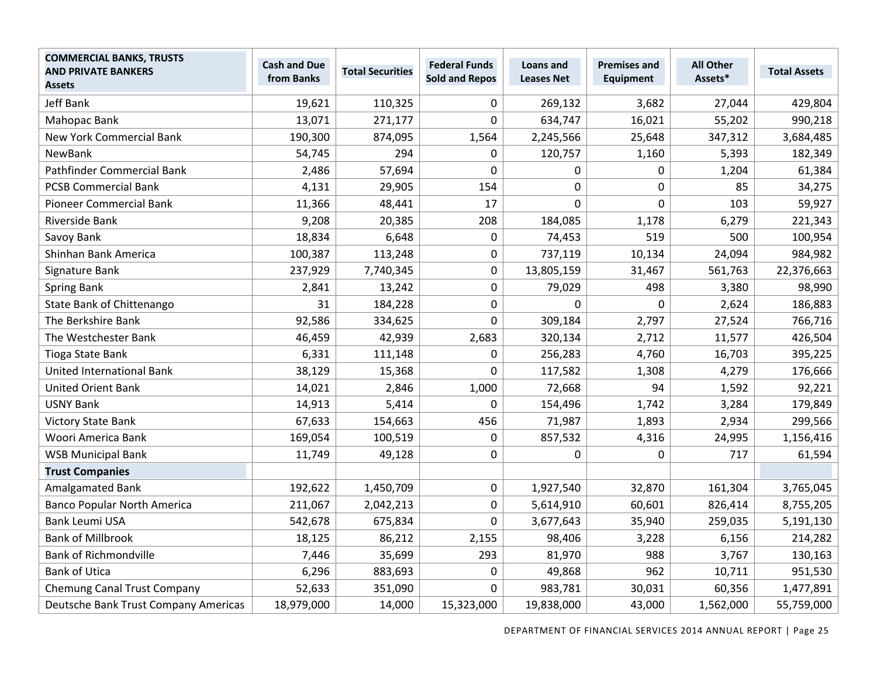| <b>COMMERCIAL BANKS, TRUSTS</b><br><b>AND PRIVATE BANKERS</b><br><b>Assets</b> | <b>Cash and Due</b><br>from Banks | <b>Total Securities</b> | <b>Federal Funds</b><br><b>Sold and Repos</b> | Loans and<br><b>Leases Net</b> | <b>Premises and</b><br><b>Equipment</b> | <b>All Other</b><br>Assets* | <b>Total Assets</b> |
|--------------------------------------------------------------------------------|-----------------------------------|-------------------------|-----------------------------------------------|--------------------------------|-----------------------------------------|-----------------------------|---------------------|
| <b>Jeff Bank</b>                                                               | 19,621                            | 110,325                 | 0                                             | 269,132                        | 3,682                                   | 27,044                      | 429,804             |
| Mahopac Bank                                                                   | 13,071                            | 271,177                 | 0                                             | 634,747                        | 16,021                                  | 55,202                      | 990,218             |
| <b>New York Commercial Bank</b>                                                | 190,300                           | 874,095                 | 1,564                                         | 2,245,566                      | 25,648                                  | 347,312                     | 3,684,485           |
| NewBank                                                                        | 54,745                            | 294                     | 0                                             | 120,757                        | 1,160                                   | 5,393                       | 182,349             |
| Pathfinder Commercial Bank                                                     | 2,486                             | 57,694                  | 0                                             | 0                              | $\boldsymbol{0}$                        | 1,204                       | 61,384              |
| <b>PCSB Commercial Bank</b>                                                    | 4,131                             | 29,905                  | 154                                           | 0                              | $\mathbf 0$                             | 85                          | 34,275              |
| <b>Pioneer Commercial Bank</b>                                                 | 11,366                            | 48,441                  | 17                                            | $\mathbf 0$                    | $\mathbf 0$                             | 103                         | 59,927              |
| Riverside Bank                                                                 | 9,208                             | 20,385                  | 208                                           | 184,085                        | 1,178                                   | 6,279                       | 221,343             |
| Savoy Bank                                                                     | 18,834                            | 6,648                   | 0                                             | 74,453                         | 519                                     | 500                         | 100,954             |
| Shinhan Bank America                                                           | 100,387                           | 113,248                 | 0                                             | 737,119                        | 10,134                                  | 24,094                      | 984,982             |
| Signature Bank                                                                 | 237,929                           | 7,740,345               | 0                                             | 13,805,159                     | 31,467                                  | 561,763                     | 22,376,663          |
| <b>Spring Bank</b>                                                             | 2,841                             | 13,242                  | 0                                             | 79,029                         | 498                                     | 3,380                       | 98,990              |
| State Bank of Chittenango                                                      | 31                                | 184,228                 | 0                                             | 0                              | 0                                       | 2,624                       | 186,883             |
| The Berkshire Bank                                                             | 92,586                            | 334,625                 | 0                                             | 309,184                        | 2,797                                   | 27,524                      | 766,716             |
| The Westchester Bank                                                           | 46,459                            | 42,939                  | 2,683                                         | 320,134                        | 2,712                                   | 11,577                      | 426,504             |
| <b>Tioga State Bank</b>                                                        | 6,331                             | 111,148                 | 0                                             | 256,283                        | 4,760                                   | 16,703                      | 395,225             |
| <b>United International Bank</b>                                               | 38,129                            | 15,368                  | 0                                             | 117,582                        | 1,308                                   | 4,279                       | 176,666             |
| <b>United Orient Bank</b>                                                      | 14,021                            | 2,846                   | 1,000                                         | 72,668                         | 94                                      | 1,592                       | 92,221              |
| <b>USNY Bank</b>                                                               | 14,913                            | 5,414                   | 0                                             | 154,496                        | 1,742                                   | 3,284                       | 179,849             |
| <b>Victory State Bank</b>                                                      | 67,633                            | 154,663                 | 456                                           | 71,987                         | 1,893                                   | 2,934                       | 299,566             |
| Woori America Bank                                                             | 169,054                           | 100,519                 | $\mathbf 0$                                   | 857,532                        | 4,316                                   | 24,995                      | 1,156,416           |
| <b>WSB Municipal Bank</b>                                                      | 11,749                            | 49,128                  | 0                                             | 0                              | 0                                       | 717                         | 61,594              |
| <b>Trust Companies</b>                                                         |                                   |                         |                                               |                                |                                         |                             |                     |
| Amalgamated Bank                                                               | 192,622                           | 1,450,709               | 0                                             | 1,927,540                      | 32,870                                  | 161,304                     | 3,765,045           |
| <b>Banco Popular North America</b>                                             | 211,067                           | 2,042,213               | 0                                             | 5,614,910                      | 60,601                                  | 826,414                     | 8,755,205           |
| <b>Bank Leumi USA</b>                                                          | 542,678                           | 675,834                 | 0                                             | 3,677,643                      | 35,940                                  | 259,035                     | 5,191,130           |
| <b>Bank of Millbrook</b>                                                       | 18,125                            | 86,212                  | 2,155                                         | 98,406                         | 3,228                                   | 6,156                       | 214,282             |
| <b>Bank of Richmondville</b>                                                   | 7,446                             | 35,699                  | 293                                           | 81,970                         | 988                                     | 3,767                       | 130,163             |
| <b>Bank of Utica</b>                                                           | 6,296                             | 883,693                 | $\mathbf 0$                                   | 49,868                         | 962                                     | 10,711                      | 951,530             |
| <b>Chemung Canal Trust Company</b>                                             | 52,633                            | 351,090                 | $\Omega$                                      | 983,781                        | 30,031                                  | 60,356                      | 1,477,891           |
| Deutsche Bank Trust Company Americas                                           | 18,979,000                        | 14,000                  | 15,323,000                                    | 19,838,000                     | 43,000                                  | 1,562,000                   | 55,759,000          |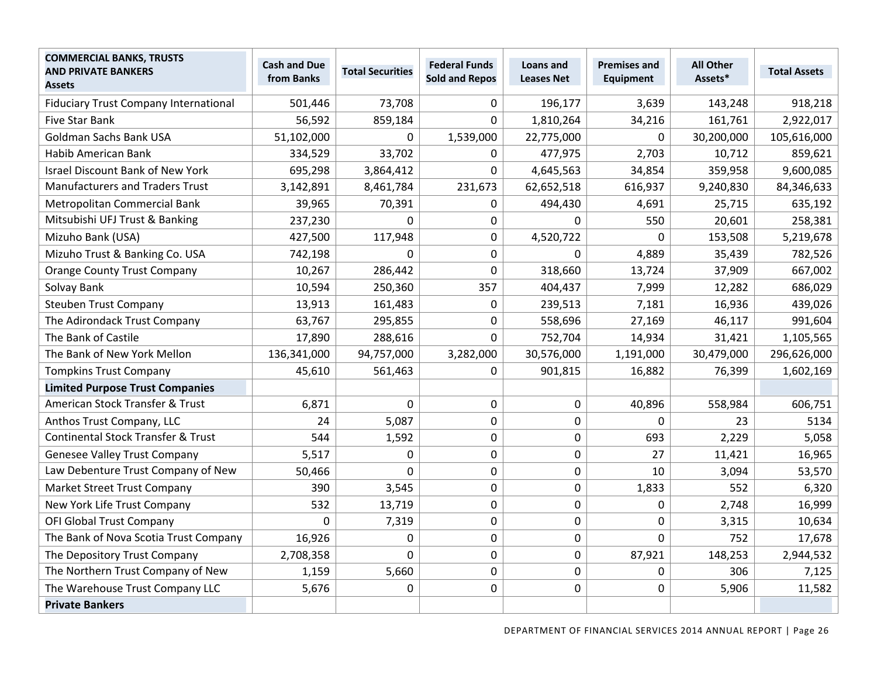| <b>COMMERCIAL BANKS, TRUSTS</b><br><b>AND PRIVATE BANKERS</b><br><b>Assets</b> | <b>Cash and Due</b><br>from Banks | <b>Total Securities</b> | <b>Federal Funds</b><br><b>Sold and Repos</b> | Loans and<br><b>Leases Net</b> | <b>Premises and</b><br><b>Equipment</b> | <b>All Other</b><br>Assets* | <b>Total Assets</b> |
|--------------------------------------------------------------------------------|-----------------------------------|-------------------------|-----------------------------------------------|--------------------------------|-----------------------------------------|-----------------------------|---------------------|
| <b>Fiduciary Trust Company International</b>                                   | 501,446                           | 73,708                  | 0                                             | 196,177                        | 3,639                                   | 143,248                     | 918,218             |
| Five Star Bank                                                                 | 56,592                            | 859,184                 | $\Omega$                                      | 1,810,264                      | 34,216                                  | 161,761                     | 2,922,017           |
| Goldman Sachs Bank USA                                                         | 51,102,000                        | $\Omega$                | 1,539,000                                     | 22,775,000                     | $\mathbf{0}$                            | 30,200,000                  | 105,616,000         |
| Habib American Bank                                                            | 334,529                           | 33,702                  | 0                                             | 477,975                        | 2,703                                   | 10,712                      | 859,621             |
| <b>Israel Discount Bank of New York</b>                                        | 695,298                           | 3,864,412               | $\mathbf 0$                                   | 4,645,563                      | 34,854                                  | 359,958                     | 9,600,085           |
| <b>Manufacturers and Traders Trust</b>                                         | 3,142,891                         | 8,461,784               | 231,673                                       | 62,652,518                     | 616,937                                 | 9,240,830                   | 84,346,633          |
| Metropolitan Commercial Bank                                                   | 39,965                            | 70,391                  | 0                                             | 494,430                        | 4,691                                   | 25,715                      | 635,192             |
| Mitsubishi UFJ Trust & Banking                                                 | 237,230                           | $\Omega$                | $\mathbf 0$                                   | 0                              | 550                                     | 20,601                      | 258,381             |
| Mizuho Bank (USA)                                                              | 427,500                           | 117,948                 | $\mathbf 0$                                   | 4,520,722                      | $\Omega$                                | 153,508                     | 5,219,678           |
| Mizuho Trust & Banking Co. USA                                                 | 742,198                           | $\Omega$                | $\mathbf 0$                                   | 0                              | 4,889                                   | 35,439                      | 782,526             |
| <b>Orange County Trust Company</b>                                             | 10,267                            | 286,442                 | $\mathbf 0$                                   | 318,660                        | 13,724                                  | 37,909                      | 667,002             |
| Solvay Bank                                                                    | 10,594                            | 250,360                 | 357                                           | 404,437                        | 7,999                                   | 12,282                      | 686,029             |
| <b>Steuben Trust Company</b>                                                   | 13,913                            | 161,483                 | 0                                             | 239,513                        | 7,181                                   | 16,936                      | 439,026             |
| The Adirondack Trust Company                                                   | 63,767                            | 295,855                 | $\mathbf 0$                                   | 558,696                        | 27,169                                  | 46,117                      | 991,604             |
| The Bank of Castile                                                            | 17,890                            | 288,616                 | $\mathbf 0$                                   | 752,704                        | 14,934                                  | 31,421                      | 1,105,565           |
| The Bank of New York Mellon                                                    | 136,341,000                       | 94,757,000              | 3,282,000                                     | 30,576,000                     | 1,191,000                               | 30,479,000                  | 296,626,000         |
| <b>Tompkins Trust Company</b>                                                  | 45,610                            | 561,463                 | $\Omega$                                      | 901,815                        | 16,882                                  | 76,399                      | 1,602,169           |
| <b>Limited Purpose Trust Companies</b>                                         |                                   |                         |                                               |                                |                                         |                             |                     |
| American Stock Transfer & Trust                                                | 6,871                             | $\mathbf 0$             | $\mathbf 0$                                   | 0                              | 40,896                                  | 558,984                     | 606,751             |
| Anthos Trust Company, LLC                                                      | 24                                | 5,087                   | $\mathbf 0$                                   | 0                              | $\Omega$                                | 23                          | 5134                |
| <b>Continental Stock Transfer &amp; Trust</b>                                  | 544                               | 1,592                   | 0                                             | 0                              | 693                                     | 2,229                       | 5,058               |
| <b>Genesee Valley Trust Company</b>                                            | 5,517                             | $\mathbf 0$             | $\pmb{0}$                                     | 0                              | 27                                      | 11,421                      | 16,965              |
| Law Debenture Trust Company of New                                             | 50,466                            | $\mathbf 0$             | $\mathbf 0$                                   | 0                              | 10                                      | 3,094                       | 53,570              |
| Market Street Trust Company                                                    | 390                               | 3,545                   | $\pmb{0}$                                     | 0                              | 1,833                                   | 552                         | 6,320               |
| New York Life Trust Company                                                    | 532                               | 13,719                  | $\mathbf 0$                                   | 0                              | 0                                       | 2,748                       | 16,999              |
| <b>OFI Global Trust Company</b>                                                | 0                                 | 7,319                   | $\mathbf 0$                                   | 0                              | $\mathbf 0$                             | 3,315                       | 10,634              |
| The Bank of Nova Scotia Trust Company                                          | 16,926                            | $\mathbf 0$             | $\mathbf 0$                                   | 0                              | $\overline{0}$                          | 752                         | 17,678              |
| The Depository Trust Company                                                   | 2,708,358                         | $\mathbf 0$             | $\mathbf 0$                                   | 0                              | 87,921                                  | 148,253                     | 2,944,532           |
| The Northern Trust Company of New                                              | 1,159                             | 5,660                   | $\pmb{0}$                                     | 0                              | $\mathbf 0$                             | 306                         | 7,125               |
| The Warehouse Trust Company LLC                                                | 5,676                             | 0                       | $\mathbf 0$                                   | 0                              | 0                                       | 5,906                       | 11,582              |
| <b>Private Bankers</b>                                                         |                                   |                         |                                               |                                |                                         |                             |                     |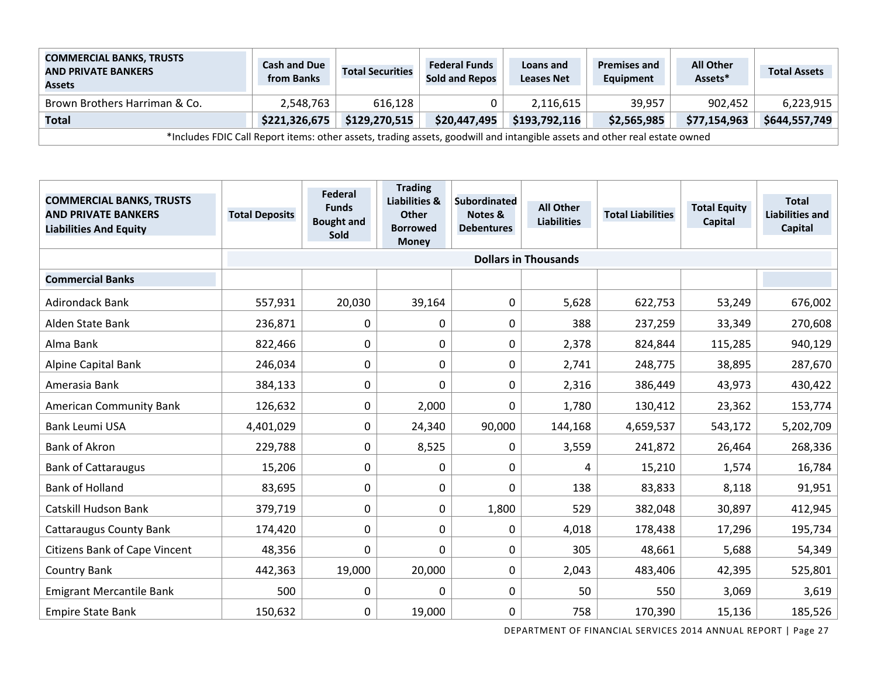| <b>COMMERCIAL BANKS, TRUSTS</b><br><b>AND PRIVATE BANKERS</b><br><b>Assets</b>                                             | <b>Cash and Due</b><br>from Banks | <b>Total Securities</b> | <b>Federal Funds</b><br><b>Sold and Repos</b> | Loans and<br><b>Leases Net</b> | <b>Premises and</b><br>Equipment | <b>All Other</b><br>Assets* | <b>Total Assets</b> |
|----------------------------------------------------------------------------------------------------------------------------|-----------------------------------|-------------------------|-----------------------------------------------|--------------------------------|----------------------------------|-----------------------------|---------------------|
| Brown Brothers Harriman & Co.                                                                                              | 2,548,763                         | 616.128                 |                                               | 2,116,615                      | 39.957                           | 902,452                     | 6,223,915           |
| Total                                                                                                                      | \$221,326,675                     | \$129,270,515           | \$20,447,495                                  | \$193,792,116                  | \$2,565,985                      | \$77,154,963                | \$644,557,749       |
| *Includes FDIC Call Report items: other assets, trading assets, goodwill and intangible assets and other real estate owned |                                   |                         |                                               |                                |                                  |                             |                     |

| <b>COMMERCIAL BANKS, TRUSTS</b><br><b>AND PRIVATE BANKERS</b><br><b>Liabilities And Equity</b> | <b>Total Deposits</b> | Federal<br><b>Funds</b><br><b>Bought and</b><br><b>Sold</b> | <b>Trading</b><br><b>Liabilities &amp;</b><br><b>Other</b><br><b>Borrowed</b><br><b>Money</b> | <b>Subordinated</b><br>Notes &<br><b>Debentures</b> | <b>All Other</b><br><b>Liabilities</b> | <b>Total Liabilities</b> | <b>Total Equity</b><br>Capital | <b>Total</b><br><b>Liabilities and</b><br>Capital |
|------------------------------------------------------------------------------------------------|-----------------------|-------------------------------------------------------------|-----------------------------------------------------------------------------------------------|-----------------------------------------------------|----------------------------------------|--------------------------|--------------------------------|---------------------------------------------------|
|                                                                                                |                       |                                                             |                                                                                               |                                                     | <b>Dollars in Thousands</b>            |                          |                                |                                                   |
| <b>Commercial Banks</b>                                                                        |                       |                                                             |                                                                                               |                                                     |                                        |                          |                                |                                                   |
| <b>Adirondack Bank</b>                                                                         | 557,931               | 20,030                                                      | 39,164                                                                                        | $\mathbf 0$                                         | 5,628                                  | 622,753                  | 53,249                         | 676,002                                           |
| Alden State Bank                                                                               | 236,871               | 0                                                           | 0                                                                                             | $\mathbf 0$                                         | 388                                    | 237,259                  | 33,349                         | 270,608                                           |
| Alma Bank                                                                                      | 822,466               | 0                                                           | 0                                                                                             | $\mathbf 0$                                         | 2,378                                  | 824,844                  | 115,285                        | 940,129                                           |
| <b>Alpine Capital Bank</b>                                                                     | 246,034               | 0                                                           | 0                                                                                             | 0                                                   | 2,741                                  | 248,775                  | 38,895                         | 287,670                                           |
| Amerasia Bank                                                                                  | 384,133               | 0                                                           | 0                                                                                             | 0                                                   | 2,316                                  | 386,449                  | 43,973                         | 430,422                                           |
| <b>American Community Bank</b>                                                                 | 126,632               | 0                                                           | 2,000                                                                                         | 0                                                   | 1,780                                  | 130,412                  | 23,362                         | 153,774                                           |
| <b>Bank Leumi USA</b>                                                                          | 4,401,029             | 0                                                           | 24,340                                                                                        | 90,000                                              | 144,168                                | 4,659,537                | 543,172                        | 5,202,709                                         |
| <b>Bank of Akron</b>                                                                           | 229,788               | 0                                                           | 8,525                                                                                         | 0                                                   | 3,559                                  | 241,872                  | 26,464                         | 268,336                                           |
| <b>Bank of Cattaraugus</b>                                                                     | 15,206                | 0                                                           | 0                                                                                             | 0                                                   | 4                                      | 15,210                   | 1,574                          | 16,784                                            |
| <b>Bank of Holland</b>                                                                         | 83,695                | 0                                                           | 0                                                                                             | 0                                                   | 138                                    | 83,833                   | 8,118                          | 91,951                                            |
| Catskill Hudson Bank                                                                           | 379,719               | 0                                                           | $\pmb{0}$                                                                                     | 1,800                                               | 529                                    | 382,048                  | 30,897                         | 412,945                                           |
| <b>Cattaraugus County Bank</b>                                                                 | 174,420               | $\Omega$                                                    | 0                                                                                             | 0                                                   | 4,018                                  | 178,438                  | 17,296                         | 195,734                                           |
| <b>Citizens Bank of Cape Vincent</b>                                                           | 48,356                | 0                                                           | 0                                                                                             | $\mathbf 0$                                         | 305                                    | 48,661                   | 5,688                          | 54,349                                            |
| <b>Country Bank</b>                                                                            | 442,363               | 19,000                                                      | 20,000                                                                                        | 0                                                   | 2,043                                  | 483,406                  | 42,395                         | 525,801                                           |
| <b>Emigrant Mercantile Bank</b>                                                                | 500                   | 0                                                           | 0                                                                                             | $\mathbf 0$                                         | 50                                     | 550                      | 3,069                          | 3,619                                             |
| <b>Empire State Bank</b>                                                                       | 150,632               | 0                                                           | 19,000                                                                                        | 0                                                   | 758                                    | 170,390                  | 15,136                         | 185,526                                           |

DEPARTMENT OF FINANCIAL SERVICES 2014 ANNUAL REPORT | Page 27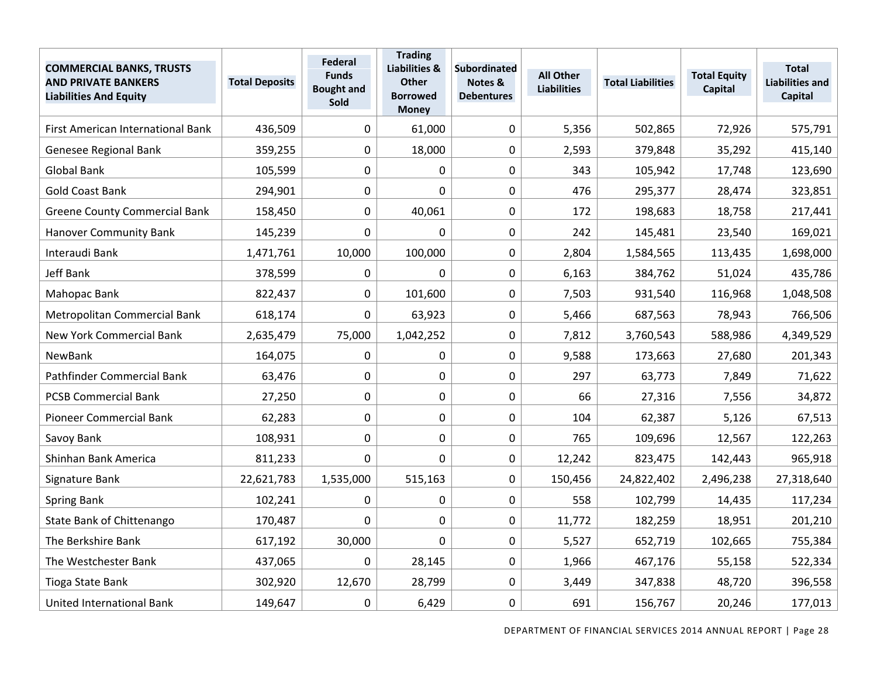| <b>COMMERCIAL BANKS, TRUSTS</b><br><b>AND PRIVATE BANKERS</b><br><b>Liabilities And Equity</b> | <b>Total Deposits</b> | <b>Federal</b><br><b>Funds</b><br><b>Bought and</b><br>Sold | <b>Trading</b><br><b>Liabilities &amp;</b><br><b>Other</b><br><b>Borrowed</b><br><b>Money</b> | <b>Subordinated</b><br>Notes &<br><b>Debentures</b> | <b>All Other</b><br><b>Liabilities</b> | <b>Total Liabilities</b> | <b>Total Equity</b><br>Capital | <b>Total</b><br><b>Liabilities and</b><br>Capital |
|------------------------------------------------------------------------------------------------|-----------------------|-------------------------------------------------------------|-----------------------------------------------------------------------------------------------|-----------------------------------------------------|----------------------------------------|--------------------------|--------------------------------|---------------------------------------------------|
| First American International Bank                                                              | 436,509               | 0                                                           | 61,000                                                                                        | $\mathbf 0$                                         | 5,356                                  | 502,865                  | 72,926                         | 575,791                                           |
| Genesee Regional Bank                                                                          | 359,255               | $\mathbf 0$                                                 | 18,000                                                                                        | $\mathbf 0$                                         | 2,593                                  | 379,848                  | 35,292                         | 415,140                                           |
| <b>Global Bank</b>                                                                             | 105,599               | $\mathbf 0$                                                 | 0                                                                                             | $\mathbf 0$                                         | 343                                    | 105,942                  | 17,748                         | 123,690                                           |
| <b>Gold Coast Bank</b>                                                                         | 294,901               | 0                                                           | $\overline{0}$                                                                                | $\mathbf 0$                                         | 476                                    | 295,377                  | 28,474                         | 323,851                                           |
| <b>Greene County Commercial Bank</b>                                                           | 158,450               | $\mathbf 0$                                                 | 40,061                                                                                        | $\mathbf 0$                                         | 172                                    | 198,683                  | 18,758                         | 217,441                                           |
| <b>Hanover Community Bank</b>                                                                  | 145,239               | 0                                                           | $\mathbf 0$                                                                                   | $\mathbf 0$                                         | 242                                    | 145,481                  | 23,540                         | 169,021                                           |
| Interaudi Bank                                                                                 | 1,471,761             | 10,000                                                      | 100,000                                                                                       | $\mathbf 0$                                         | 2,804                                  | 1,584,565                | 113,435                        | 1,698,000                                         |
| Jeff Bank                                                                                      | 378,599               | 0                                                           | 0                                                                                             | $\mathbf 0$                                         | 6,163                                  | 384,762                  | 51,024                         | 435,786                                           |
| Mahopac Bank                                                                                   | 822,437               | $\mathbf 0$                                                 | 101,600                                                                                       | $\mathbf 0$                                         | 7,503                                  | 931,540                  | 116,968                        | 1,048,508                                         |
| Metropolitan Commercial Bank                                                                   | 618,174               | 0                                                           | 63,923                                                                                        | $\mathbf 0$                                         | 5,466                                  | 687,563                  | 78,943                         | 766,506                                           |
| <b>New York Commercial Bank</b>                                                                | 2,635,479             | 75,000                                                      | 1,042,252                                                                                     | $\mathbf 0$                                         | 7,812                                  | 3,760,543                | 588,986                        | 4,349,529                                         |
| NewBank                                                                                        | 164,075               | 0                                                           | 0                                                                                             | $\mathbf 0$                                         | 9,588                                  | 173,663                  | 27,680                         | 201,343                                           |
| Pathfinder Commercial Bank                                                                     | 63,476                | $\pmb{0}$                                                   | $\mathbf 0$                                                                                   | $\mathbf 0$                                         | 297                                    | 63,773                   | 7,849                          | 71,622                                            |
| <b>PCSB Commercial Bank</b>                                                                    | 27,250                | 0                                                           | 0                                                                                             | $\mathbf 0$                                         | 66                                     | 27,316                   | 7,556                          | 34,872                                            |
| <b>Pioneer Commercial Bank</b>                                                                 | 62,283                | $\mathbf 0$                                                 | 0                                                                                             | $\mathbf 0$                                         | 104                                    | 62,387                   | 5,126                          | 67,513                                            |
| Savoy Bank                                                                                     | 108,931               | 0                                                           | 0                                                                                             | $\mathbf 0$                                         | 765                                    | 109,696                  | 12,567                         | 122,263                                           |
| Shinhan Bank America                                                                           | 811,233               | 0                                                           | $\mathbf 0$                                                                                   | $\mathbf 0$                                         | 12,242                                 | 823,475                  | 142,443                        | 965,918                                           |
| Signature Bank                                                                                 | 22,621,783            | 1,535,000                                                   | 515,163                                                                                       | $\mathbf 0$                                         | 150,456                                | 24,822,402               | 2,496,238                      | 27,318,640                                        |
| <b>Spring Bank</b>                                                                             | 102,241               | 0                                                           | 0                                                                                             | $\mathbf 0$                                         | 558                                    | 102,799                  | 14,435                         | 117,234                                           |
| State Bank of Chittenango                                                                      | 170,487               | 0                                                           | 0                                                                                             | $\mathbf 0$                                         | 11,772                                 | 182,259                  | 18,951                         | 201,210                                           |
| The Berkshire Bank                                                                             | 617,192               | 30,000                                                      | 0                                                                                             | $\mathbf 0$                                         | 5,527                                  | 652,719                  | 102,665                        | 755,384                                           |
| The Westchester Bank                                                                           | 437,065               | 0                                                           | 28,145                                                                                        | $\mathbf 0$                                         | 1,966                                  | 467,176                  | 55,158                         | 522,334                                           |
| Tioga State Bank                                                                               | 302,920               | 12,670                                                      | 28,799                                                                                        | $\mathbf 0$                                         | 3,449                                  | 347,838                  | 48,720                         | 396,558                                           |
| <b>United International Bank</b>                                                               | 149,647               | 0                                                           | 6,429                                                                                         | 0                                                   | 691                                    | 156,767                  | 20,246                         | 177,013                                           |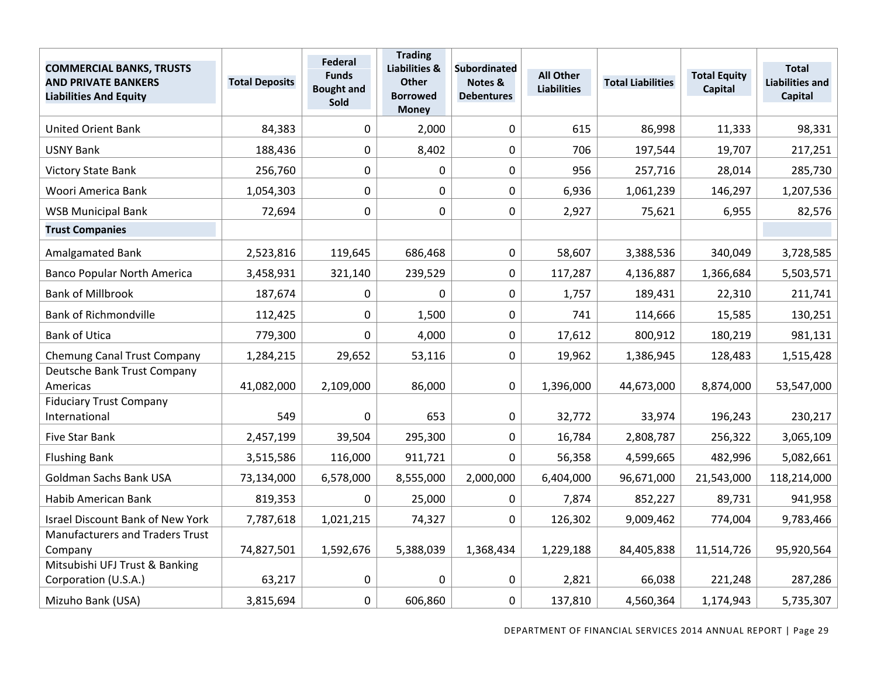| <b>COMMERCIAL BANKS, TRUSTS</b><br><b>AND PRIVATE BANKERS</b><br><b>Liabilities And Equity</b> | <b>Total Deposits</b> | <b>Federal</b><br><b>Funds</b><br><b>Bought and</b><br>Sold | <b>Trading</b><br><b>Liabilities &amp;</b><br><b>Other</b><br><b>Borrowed</b><br><b>Money</b> | <b>Subordinated</b><br>Notes &<br><b>Debentures</b> | <b>All Other</b><br><b>Liabilities</b> | <b>Total Liabilities</b> | <b>Total Equity</b><br><b>Capital</b> | <b>Total</b><br><b>Liabilities and</b><br>Capital |
|------------------------------------------------------------------------------------------------|-----------------------|-------------------------------------------------------------|-----------------------------------------------------------------------------------------------|-----------------------------------------------------|----------------------------------------|--------------------------|---------------------------------------|---------------------------------------------------|
| <b>United Orient Bank</b>                                                                      | 84,383                | $\mathbf 0$                                                 | 2,000                                                                                         | $\pmb{0}$                                           | 615                                    | 86,998                   | 11,333                                | 98,331                                            |
| <b>USNY Bank</b>                                                                               | 188,436               | $\mathbf 0$                                                 | 8,402                                                                                         | 0                                                   | 706                                    | 197,544                  | 19,707                                | 217,251                                           |
| <b>Victory State Bank</b>                                                                      | 256,760               | $\boldsymbol{0}$                                            | 0                                                                                             | $\pmb{0}$                                           | 956                                    | 257,716                  | 28,014                                | 285,730                                           |
| Woori America Bank                                                                             | 1,054,303             | 0                                                           | 0                                                                                             | $\mathbf 0$                                         | 6,936                                  | 1,061,239                | 146,297                               | 1,207,536                                         |
| <b>WSB Municipal Bank</b>                                                                      | 72,694                | 0                                                           | $\mathbf 0$                                                                                   | $\pmb{0}$                                           | 2,927                                  | 75,621                   | 6,955                                 | 82,576                                            |
| <b>Trust Companies</b>                                                                         |                       |                                                             |                                                                                               |                                                     |                                        |                          |                                       |                                                   |
| <b>Amalgamated Bank</b>                                                                        | 2,523,816             | 119,645                                                     | 686,468                                                                                       | 0                                                   | 58,607                                 | 3,388,536                | 340,049                               | 3,728,585                                         |
| <b>Banco Popular North America</b>                                                             | 3,458,931             | 321,140                                                     | 239,529                                                                                       | $\pmb{0}$                                           | 117,287                                | 4,136,887                | 1,366,684                             | 5,503,571                                         |
| <b>Bank of Millbrook</b>                                                                       | 187,674               | $\mathbf 0$                                                 | $\mathbf 0$                                                                                   | 0                                                   | 1,757                                  | 189,431                  | 22,310                                | 211,741                                           |
| <b>Bank of Richmondville</b>                                                                   | 112,425               | $\mathbf 0$                                                 | 1,500                                                                                         | $\pmb{0}$                                           | 741                                    | 114,666                  | 15,585                                | 130,251                                           |
| <b>Bank of Utica</b>                                                                           | 779,300               | 0                                                           | 4,000                                                                                         | $\pmb{0}$                                           | 17,612                                 | 800,912                  | 180,219                               | 981,131                                           |
| <b>Chemung Canal Trust Company</b>                                                             | 1,284,215             | 29,652                                                      | 53,116                                                                                        | 0                                                   | 19,962                                 | 1,386,945                | 128,483                               | 1,515,428                                         |
| Deutsche Bank Trust Company<br>Americas                                                        | 41,082,000            | 2,109,000                                                   | 86,000                                                                                        | $\mathbf 0$                                         | 1,396,000                              | 44,673,000               | 8,874,000                             | 53,547,000                                        |
| <b>Fiduciary Trust Company</b><br>International                                                | 549                   | $\mathbf 0$                                                 | 653                                                                                           | $\mathbf 0$                                         | 32,772                                 | 33,974                   | 196,243                               | 230,217                                           |
| <b>Five Star Bank</b>                                                                          | 2,457,199             | 39,504                                                      | 295,300                                                                                       | $\mathbf 0$                                         | 16,784                                 | 2,808,787                | 256,322                               | 3,065,109                                         |
| <b>Flushing Bank</b>                                                                           | 3,515,586             | 116,000                                                     | 911,721                                                                                       | $\mathbf{0}$                                        | 56,358                                 | 4,599,665                | 482,996                               | 5,082,661                                         |
| Goldman Sachs Bank USA                                                                         | 73,134,000            | 6,578,000                                                   | 8,555,000                                                                                     | 2,000,000                                           | 6,404,000                              | 96,671,000               | 21,543,000                            | 118,214,000                                       |
| Habib American Bank                                                                            | 819,353               | 0                                                           | 25,000                                                                                        | 0                                                   | 7,874                                  | 852,227                  | 89,731                                | 941,958                                           |
| <b>Israel Discount Bank of New York</b>                                                        | 7,787,618             | 1,021,215                                                   | 74,327                                                                                        | $\mathbf{0}$                                        | 126,302                                | 9,009,462                | 774,004                               | 9,783,466                                         |
| <b>Manufacturers and Traders Trust</b><br>Company                                              | 74,827,501            | 1,592,676                                                   | 5,388,039                                                                                     | 1,368,434                                           | 1,229,188                              | 84,405,838               | 11,514,726                            | 95,920,564                                        |
| Mitsubishi UFJ Trust & Banking<br>Corporation (U.S.A.)                                         | 63,217                | $\mathbf 0$                                                 | $\mathbf 0$                                                                                   | 0                                                   | 2,821                                  | 66,038                   | 221,248                               | 287,286                                           |
| Mizuho Bank (USA)                                                                              | 3,815,694             | $\mathbf 0$                                                 | 606,860                                                                                       | 0                                                   | 137,810                                | 4,560,364                | 1,174,943                             | 5,735,307                                         |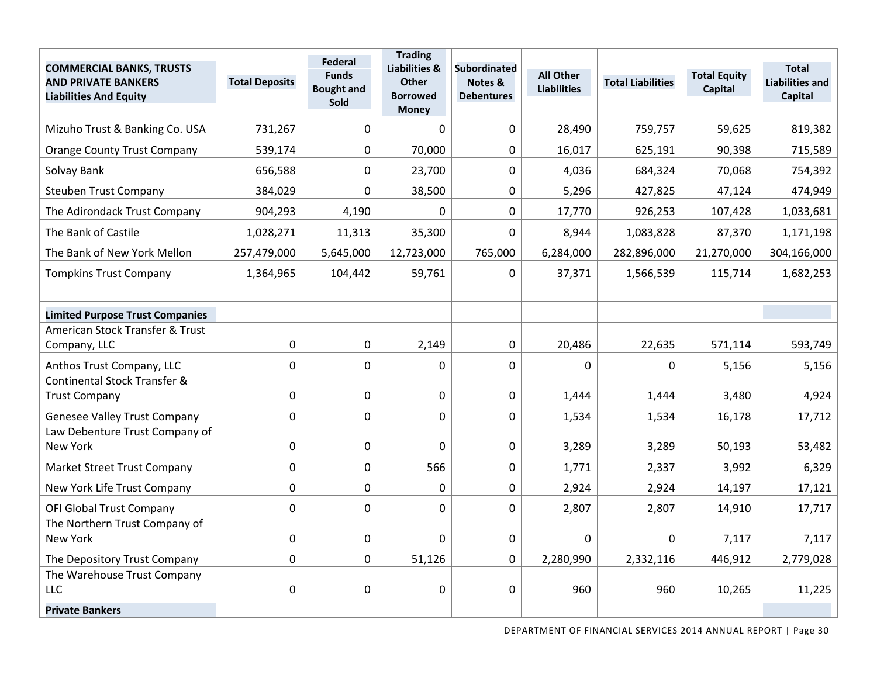| <b>COMMERCIAL BANKS, TRUSTS</b><br><b>AND PRIVATE BANKERS</b><br><b>Liabilities And Equity</b> | <b>Total Deposits</b> | Federal<br><b>Funds</b><br><b>Bought and</b><br>Sold | <b>Trading</b><br>Liabilities &<br><b>Other</b><br><b>Borrowed</b><br><b>Money</b> | <b>Subordinated</b><br>Notes &<br><b>Debentures</b> | <b>All Other</b><br><b>Liabilities</b> | <b>Total Liabilities</b> | <b>Total Equity</b><br>Capital | <b>Total</b><br><b>Liabilities and</b><br><b>Capital</b> |
|------------------------------------------------------------------------------------------------|-----------------------|------------------------------------------------------|------------------------------------------------------------------------------------|-----------------------------------------------------|----------------------------------------|--------------------------|--------------------------------|----------------------------------------------------------|
| Mizuho Trust & Banking Co. USA                                                                 | 731,267               | $\mathbf 0$                                          | $\mathbf{0}$                                                                       | $\mathbf 0$                                         | 28,490                                 | 759,757                  | 59,625                         | 819,382                                                  |
| <b>Orange County Trust Company</b>                                                             | 539,174               | $\mathbf{0}$                                         | 70,000                                                                             | 0                                                   | 16,017                                 | 625,191                  | 90,398                         | 715,589                                                  |
| Solvay Bank                                                                                    | 656,588               | $\mathbf 0$                                          | 23,700                                                                             | $\mathbf 0$                                         | 4,036                                  | 684,324                  | 70,068                         | 754,392                                                  |
| <b>Steuben Trust Company</b>                                                                   | 384,029               | $\mathbf{0}$                                         | 38,500                                                                             | $\mathbf 0$                                         | 5,296                                  | 427,825                  | 47,124                         | 474,949                                                  |
| The Adirondack Trust Company                                                                   | 904,293               | 4,190                                                | $\Omega$                                                                           | $\mathbf 0$                                         | 17,770                                 | 926,253                  | 107,428                        | 1,033,681                                                |
| The Bank of Castile                                                                            | 1,028,271             | 11,313                                               | 35,300                                                                             | $\mathbf 0$                                         | 8,944                                  | 1,083,828                | 87,370                         | 1,171,198                                                |
| The Bank of New York Mellon                                                                    | 257,479,000           | 5,645,000                                            | 12,723,000                                                                         | 765,000                                             | 6,284,000                              | 282,896,000              | 21,270,000                     | 304,166,000                                              |
| <b>Tompkins Trust Company</b>                                                                  | 1,364,965             | 104,442                                              | 59,761                                                                             | 0                                                   | 37,371                                 | 1,566,539                | 115,714                        | 1,682,253                                                |
|                                                                                                |                       |                                                      |                                                                                    |                                                     |                                        |                          |                                |                                                          |
| <b>Limited Purpose Trust Companies</b>                                                         |                       |                                                      |                                                                                    |                                                     |                                        |                          |                                |                                                          |
| American Stock Transfer & Trust                                                                |                       |                                                      |                                                                                    |                                                     |                                        |                          |                                |                                                          |
| Company, LLC                                                                                   | $\mathbf 0$           | $\mathbf 0$                                          | 2,149                                                                              | $\mathbf 0$                                         | 20,486                                 | 22,635                   | 571,114                        | 593,749                                                  |
| Anthos Trust Company, LLC                                                                      | $\mathbf 0$           | $\mathbf 0$                                          | $\Omega$                                                                           | $\mathbf 0$                                         | 0                                      | $\Omega$                 | 5,156                          | 5,156                                                    |
| Continental Stock Transfer &<br><b>Trust Company</b>                                           | 0                     | $\mathbf 0$                                          | $\mathbf 0$                                                                        | $\mathbf 0$                                         | 1,444                                  | 1,444                    | 3,480                          | 4,924                                                    |
|                                                                                                |                       |                                                      |                                                                                    |                                                     |                                        |                          |                                |                                                          |
| <b>Genesee Valley Trust Company</b><br>Law Debenture Trust Company of                          | $\mathbf 0$           | $\mathbf 0$                                          | $\mathbf 0$                                                                        | $\boldsymbol{0}$                                    | 1,534                                  | 1,534                    | 16,178                         | 17,712                                                   |
| New York                                                                                       | $\mathbf 0$           | $\mathbf 0$                                          | $\mathbf 0$                                                                        | $\mathbf 0$                                         | 3,289                                  | 3,289                    | 50,193                         | 53,482                                                   |
| Market Street Trust Company                                                                    | $\Omega$              | 0                                                    | 566                                                                                | $\mathbf 0$                                         | 1,771                                  | 2,337                    | 3,992                          | 6,329                                                    |
| New York Life Trust Company                                                                    | $\mathbf 0$           | $\mathbf 0$                                          | $\mathbf 0$                                                                        | $\mathbf 0$                                         | 2,924                                  | 2,924                    | 14,197                         | 17,121                                                   |
| <b>OFI Global Trust Company</b>                                                                | $\mathbf 0$           | $\mathbf{0}$                                         | $\mathbf 0$                                                                        | 0                                                   | 2,807                                  | 2,807                    | 14,910                         | 17,717                                                   |
| The Northern Trust Company of                                                                  |                       |                                                      |                                                                                    |                                                     |                                        |                          |                                |                                                          |
| New York                                                                                       | $\mathbf 0$           | $\mathbf 0$                                          | $\Omega$                                                                           | 0                                                   | 0                                      | 0                        | 7,117                          | 7,117                                                    |
| The Depository Trust Company                                                                   | $\mathbf 0$           | $\overline{0}$                                       | 51,126                                                                             | $\mathbf 0$                                         | 2,280,990                              | 2,332,116                | 446,912                        | 2,779,028                                                |
| The Warehouse Trust Company<br><b>LLC</b>                                                      | 0                     | $\mathbf 0$                                          | $\mathbf 0$                                                                        | $\boldsymbol{0}$                                    | 960                                    | 960                      | 10,265                         | 11,225                                                   |
| <b>Private Bankers</b>                                                                         |                       |                                                      |                                                                                    |                                                     |                                        |                          |                                |                                                          |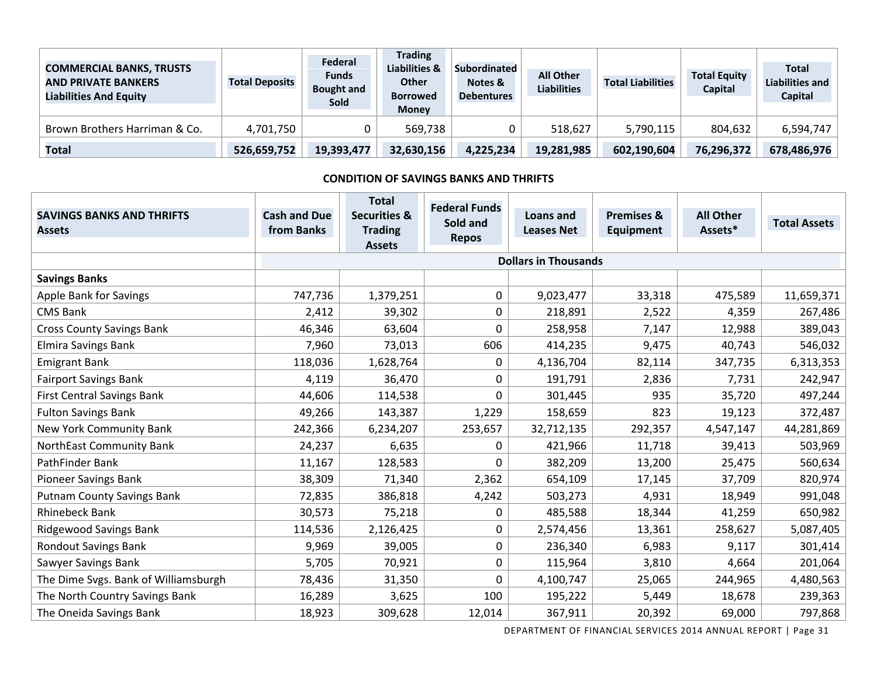| <b>COMMERCIAL BANKS, TRUSTS</b><br><b>AND PRIVATE BANKERS</b><br><b>Liabilities And Equity</b> | <b>Total Deposits</b> | Federal<br><b>Funds</b><br><b>Bought and</b><br><b>Sold</b> | <b>Trading</b><br>Liabilities &<br><b>Other</b><br><b>Borrowed</b><br><b>Money</b> | <b>Subordinated</b><br>Notes &<br><b>Debentures</b> | <b>All Other</b><br><b>Liabilities</b> | <b>Total Liabilities</b> | <b>Total Equity</b><br><b>Capital</b> | <b>Total</b><br><b>Liabilities and</b><br>Capital |
|------------------------------------------------------------------------------------------------|-----------------------|-------------------------------------------------------------|------------------------------------------------------------------------------------|-----------------------------------------------------|----------------------------------------|--------------------------|---------------------------------------|---------------------------------------------------|
| Brown Brothers Harriman & Co.                                                                  | 4,701,750             |                                                             | 569,738                                                                            |                                                     | 518,627                                | 5,790,115                | 804,632                               | 6,594,747                                         |
| Total                                                                                          | 526,659,752           | 19,393,477                                                  | 32,630,156                                                                         | 4,225,234                                           | 19,281,985                             | 602,190,604              | 76,296,372                            | 678,486,976                                       |

#### **CONDITION OF SAVINGS BANKS AND THRIFTS**

| <b>SAVINGS BANKS AND THRIFTS</b><br><b>Assets</b> | <b>Cash and Due</b><br>from Banks | <b>Total</b><br><b>Securities &amp;</b><br><b>Trading</b><br><b>Assets</b> | <b>Federal Funds</b><br>Sold and<br><b>Repos</b> | Loans and<br><b>Leases Net</b> | <b>Premises &amp;</b><br><b>Equipment</b> | <b>All Other</b><br>Assets* | <b>Total Assets</b> |
|---------------------------------------------------|-----------------------------------|----------------------------------------------------------------------------|--------------------------------------------------|--------------------------------|-------------------------------------------|-----------------------------|---------------------|
|                                                   |                                   |                                                                            |                                                  | <b>Dollars in Thousands</b>    |                                           |                             |                     |
| <b>Savings Banks</b>                              |                                   |                                                                            |                                                  |                                |                                           |                             |                     |
| <b>Apple Bank for Savings</b>                     | 747,736                           | 1,379,251                                                                  | 0                                                | 9,023,477                      | 33,318                                    | 475,589                     | 11,659,371          |
| <b>CMS Bank</b>                                   | 2,412                             | 39,302                                                                     | 0                                                | 218,891                        | 2,522                                     | 4,359                       | 267,486             |
| <b>Cross County Savings Bank</b>                  | 46,346                            | 63,604                                                                     | 0                                                | 258,958                        | 7,147                                     | 12,988                      | 389,043             |
| Elmira Savings Bank                               | 7,960                             | 73,013                                                                     | 606                                              | 414,235                        | 9,475                                     | 40,743                      | 546,032             |
| <b>Emigrant Bank</b>                              | 118,036                           | 1,628,764                                                                  | 0                                                | 4,136,704                      | 82,114                                    | 347,735                     | 6,313,353           |
| <b>Fairport Savings Bank</b>                      | 4,119                             | 36,470                                                                     | 0                                                | 191,791                        | 2,836                                     | 7,731                       | 242,947             |
| <b>First Central Savings Bank</b>                 | 44,606                            | 114,538                                                                    | 0                                                | 301,445                        | 935                                       | 35,720                      | 497,244             |
| <b>Fulton Savings Bank</b>                        | 49,266                            | 143,387                                                                    | 1,229                                            | 158,659                        | 823                                       | 19,123                      | 372,487             |
| <b>New York Community Bank</b>                    | 242,366                           | 6,234,207                                                                  | 253,657                                          | 32,712,135                     | 292,357                                   | 4,547,147                   | 44,281,869          |
| NorthEast Community Bank                          | 24,237                            | 6,635                                                                      | 0                                                | 421,966                        | 11,718                                    | 39,413                      | 503,969             |
| PathFinder Bank                                   | 11,167                            | 128,583                                                                    | 0                                                | 382,209                        | 13,200                                    | 25,475                      | 560,634             |
| <b>Pioneer Savings Bank</b>                       | 38,309                            | 71,340                                                                     | 2,362                                            | 654,109                        | 17,145                                    | 37,709                      | 820,974             |
| <b>Putnam County Savings Bank</b>                 | 72,835                            | 386,818                                                                    | 4,242                                            | 503,273                        | 4,931                                     | 18,949                      | 991,048             |
| <b>Rhinebeck Bank</b>                             | 30,573                            | 75,218                                                                     | 0                                                | 485,588                        | 18,344                                    | 41,259                      | 650,982             |
| <b>Ridgewood Savings Bank</b>                     | 114,536                           | 2,126,425                                                                  | 0                                                | 2,574,456                      | 13,361                                    | 258,627                     | 5,087,405           |
| <b>Rondout Savings Bank</b>                       | 9,969                             | 39,005                                                                     | 0                                                | 236,340                        | 6,983                                     | 9,117                       | 301,414             |
| Sawyer Savings Bank                               | 5,705                             | 70,921                                                                     | 0                                                | 115,964                        | 3,810                                     | 4,664                       | 201,064             |
| The Dime Svgs. Bank of Williamsburgh              | 78,436                            | 31,350                                                                     | 0                                                | 4,100,747                      | 25,065                                    | 244,965                     | 4,480,563           |
| The North Country Savings Bank                    | 16,289                            | 3,625                                                                      | 100                                              | 195,222                        | 5,449                                     | 18,678                      | 239,363             |
| The Oneida Savings Bank                           | 18,923                            | 309,628                                                                    | 12,014                                           | 367,911                        | 20,392                                    | 69,000                      | 797,868             |

DEPARTMENT OF FINANCIAL SERVICES 2014 ANNUAL REPORT | Page 31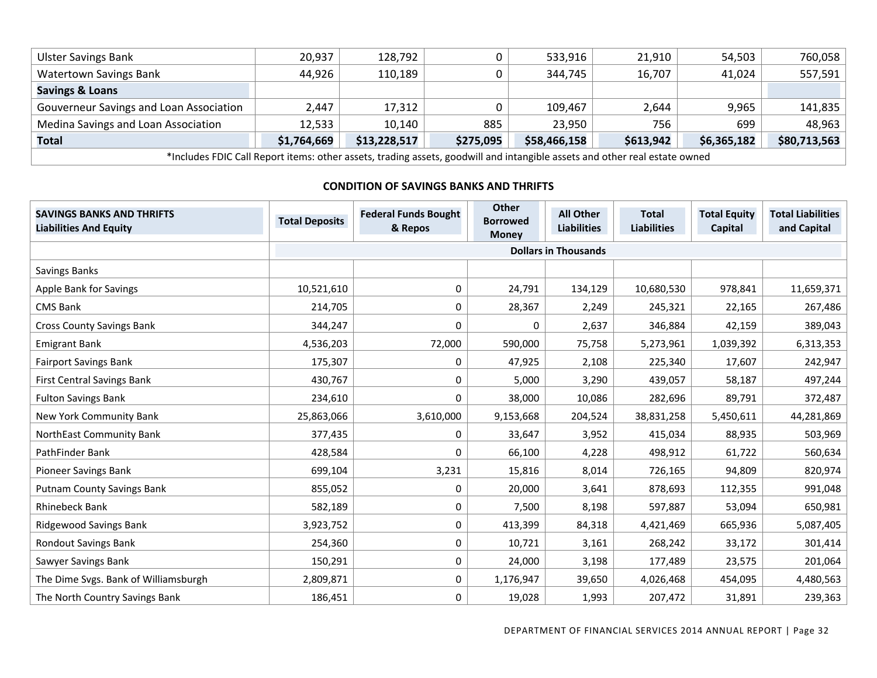| <b>Ulster Savings Bank</b>                                                                                                 | 20,937      | 128,792      |           | 533,916      | 21,910    | 54,503      | 760,058      |  |  |  |
|----------------------------------------------------------------------------------------------------------------------------|-------------|--------------|-----------|--------------|-----------|-------------|--------------|--|--|--|
| <b>Watertown Savings Bank</b>                                                                                              | 44,926      | 110,189      |           | 344,745      | 16,707    | 41.024      | 557,591      |  |  |  |
| <b>Savings &amp; Loans</b>                                                                                                 |             |              |           |              |           |             |              |  |  |  |
| Gouverneur Savings and Loan Association                                                                                    | 2,447       | 17,312       |           | 109,467      | 2,644     | 9,965       | 141,835      |  |  |  |
| Medina Savings and Loan Association                                                                                        | 12,533      | 10,140       | 885       | 23,950       | 756       | 699         | 48,963       |  |  |  |
| Total                                                                                                                      | \$1,764,669 | \$13,228,517 | \$275,095 | \$58,466,158 | \$613,942 | \$6,365,182 | \$80,713,563 |  |  |  |
| *Includes FDIC Call Report items: other assets, trading assets, goodwill and intangible assets and other real estate owned |             |              |           |              |           |             |              |  |  |  |

#### **CONDITION OF SAVINGS BANKS AND THRIFTS**

| <b>SAVINGS BANKS AND THRIFTS</b><br><b>Liabilities And Equity</b> | <b>Total Deposits</b> | <b>Federal Funds Bought</b><br>& Repos | <b>Other</b><br><b>Borrowed</b><br><b>Money</b> | <b>All Other</b><br><b>Liabilities</b> | <b>Total</b><br><b>Liabilities</b> | <b>Total Equity</b><br>Capital | <b>Total Liabilities</b><br>and Capital |  |  |  |  |
|-------------------------------------------------------------------|-----------------------|----------------------------------------|-------------------------------------------------|----------------------------------------|------------------------------------|--------------------------------|-----------------------------------------|--|--|--|--|
|                                                                   |                       | <b>Dollars in Thousands</b>            |                                                 |                                        |                                    |                                |                                         |  |  |  |  |
| Savings Banks                                                     |                       |                                        |                                                 |                                        |                                    |                                |                                         |  |  |  |  |
| Apple Bank for Savings                                            | 10,521,610            | 0                                      | 24,791                                          | 134,129                                | 10,680,530                         | 978,841                        | 11,659,371                              |  |  |  |  |
| <b>CMS Bank</b>                                                   | 214,705               | 0                                      | 28,367                                          | 2,249                                  | 245,321                            | 22,165                         | 267,486                                 |  |  |  |  |
| <b>Cross County Savings Bank</b>                                  | 344,247               | 0                                      | 0                                               | 2,637                                  | 346,884                            | 42,159                         | 389,043                                 |  |  |  |  |
| <b>Emigrant Bank</b>                                              | 4,536,203             | 72,000                                 | 590,000                                         | 75,758                                 | 5,273,961                          | 1,039,392                      | 6,313,353                               |  |  |  |  |
| <b>Fairport Savings Bank</b>                                      | 175,307               | 0                                      | 47,925                                          | 2,108                                  | 225,340                            | 17,607                         | 242,947                                 |  |  |  |  |
| <b>First Central Savings Bank</b>                                 | 430,767               | 0                                      | 5,000                                           | 3,290                                  | 439,057                            | 58,187                         | 497,244                                 |  |  |  |  |
| <b>Fulton Savings Bank</b>                                        | 234,610               | 0                                      | 38,000                                          | 10,086                                 | 282,696                            | 89,791                         | 372,487                                 |  |  |  |  |
| New York Community Bank                                           | 25,863,066            | 3,610,000                              | 9,153,668                                       | 204,524                                | 38,831,258                         | 5,450,611                      | 44,281,869                              |  |  |  |  |
| NorthEast Community Bank                                          | 377,435               | 0                                      | 33,647                                          | 3,952                                  | 415,034                            | 88,935                         | 503,969                                 |  |  |  |  |
| PathFinder Bank                                                   | 428,584               | 0                                      | 66,100                                          | 4,228                                  | 498,912                            | 61,722                         | 560,634                                 |  |  |  |  |
| Pioneer Savings Bank                                              | 699,104               | 3,231                                  | 15,816                                          | 8,014                                  | 726,165                            | 94,809                         | 820,974                                 |  |  |  |  |
| <b>Putnam County Savings Bank</b>                                 | 855,052               | 0                                      | 20,000                                          | 3,641                                  | 878,693                            | 112,355                        | 991,048                                 |  |  |  |  |
| <b>Rhinebeck Bank</b>                                             | 582,189               | 0                                      | 7,500                                           | 8,198                                  | 597,887                            | 53,094                         | 650,981                                 |  |  |  |  |
| <b>Ridgewood Savings Bank</b>                                     | 3,923,752             | 0                                      | 413,399                                         | 84,318                                 | 4,421,469                          | 665,936                        | 5,087,405                               |  |  |  |  |
| <b>Rondout Savings Bank</b>                                       | 254,360               | 0                                      | 10,721                                          | 3,161                                  | 268,242                            | 33,172                         | 301,414                                 |  |  |  |  |
| Sawyer Savings Bank                                               | 150,291               | 0                                      | 24,000                                          | 3,198                                  | 177,489                            | 23,575                         | 201,064                                 |  |  |  |  |
| The Dime Svgs. Bank of Williamsburgh                              | 2,809,871             | 0                                      | 1,176,947                                       | 39,650                                 | 4,026,468                          | 454,095                        | 4,480,563                               |  |  |  |  |
| The North Country Savings Bank                                    | 186,451               | 0                                      | 19,028                                          | 1,993                                  | 207,472                            | 31,891                         | 239,363                                 |  |  |  |  |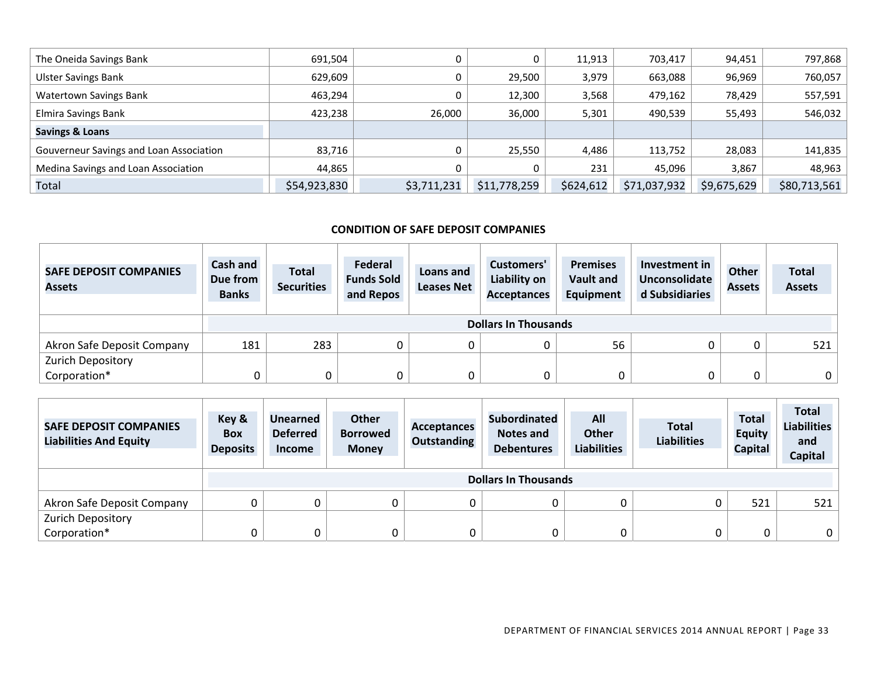| The Oneida Savings Bank                 | 691,504      |             | 0            | 11,913    | 703,417      | 94,451      | 797,868      |
|-----------------------------------------|--------------|-------------|--------------|-----------|--------------|-------------|--------------|
| <b>Ulster Savings Bank</b>              | 629,609      |             | 29.500       | 3,979     | 663,088      | 96,969      | 760,057      |
| <b>Watertown Savings Bank</b>           | 463,294      |             | 12,300       | 3,568     | 479,162      | 78,429      | 557,591      |
| Elmira Savings Bank                     | 423.238      | 26,000      | 36,000       | 5,301     | 490,539      | 55,493      | 546,032      |
| <b>Savings &amp; Loans</b>              |              |             |              |           |              |             |              |
| Gouverneur Savings and Loan Association | 83,716       |             | 25,550       | 4,486     | 113,752      | 28,083      | 141,835      |
| Medina Savings and Loan Association     | 44.865       |             | 0            | 231       | 45.096       | 3,867       | 48.963       |
| Total                                   | \$54,923,830 | \$3,711,231 | \$11,778,259 | \$624,612 | \$71,037,932 | \$9,675,629 | \$80,713,561 |

#### **CONDITION OF SAFE DEPOSIT COMPANIES**

| <b>SAFE DEPOSIT COMPANIES</b><br><b>Assets</b> | Cash and<br>Due from<br><b>Banks</b> | <b>Total</b><br><b>Securities</b> | Federal<br><b>Funds Sold</b><br>and Repos | Loans and<br><b>Leases Net</b> | Customers'<br>Liability on<br><b>Acceptances</b> | <b>Premises</b><br><b>Vault and</b><br>Equipment | Investment in<br>Unconsolidate<br>d Subsidiaries | <b>Other</b><br><b>Assets</b> | <b>Total</b><br><b>Assets</b> |  |
|------------------------------------------------|--------------------------------------|-----------------------------------|-------------------------------------------|--------------------------------|--------------------------------------------------|--------------------------------------------------|--------------------------------------------------|-------------------------------|-------------------------------|--|
|                                                |                                      | <b>Dollars In Thousands</b>       |                                           |                                |                                                  |                                                  |                                                  |                               |                               |  |
| Akron Safe Deposit Company                     | 181                                  | 283                               |                                           |                                |                                                  | 56                                               |                                                  |                               | 521                           |  |
| <b>Zurich Depository</b>                       |                                      |                                   |                                           |                                |                                                  |                                                  |                                                  |                               |                               |  |
| Corporation*                                   | C                                    |                                   |                                           |                                |                                                  |                                                  |                                                  |                               | $\mathbf{0}$                  |  |

| <b>SAFE DEPOSIT COMPANIES</b><br><b>Liabilities And Equity</b> | Key &<br><b>Box</b><br><b>Deposits</b> | <b>Unearned</b><br><b>Deferred</b><br><b>Income</b> | Other<br><b>Borrowed</b><br><b>Money</b> | <b>Acceptances</b><br><b>Outstanding</b> | <b>Subordinated</b><br>Notes and<br><b>Debentures</b> | All<br><b>Other</b><br><b>Liabilities</b> | <b>Total</b><br><b>Liabilities</b> | <b>Total</b><br><b>Equity</b><br><b>Capital</b> | <b>Total</b><br><b>Liabilities</b><br>and<br>Capital |  |
|----------------------------------------------------------------|----------------------------------------|-----------------------------------------------------|------------------------------------------|------------------------------------------|-------------------------------------------------------|-------------------------------------------|------------------------------------|-------------------------------------------------|------------------------------------------------------|--|
|                                                                |                                        | <b>Dollars In Thousands</b>                         |                                          |                                          |                                                       |                                           |                                    |                                                 |                                                      |  |
| Akron Safe Deposit Company                                     |                                        |                                                     | 0                                        | υ                                        | 0                                                     |                                           |                                    | 521                                             | 521                                                  |  |
| <b>Zurich Depository</b>                                       |                                        |                                                     |                                          |                                          |                                                       |                                           |                                    |                                                 |                                                      |  |
| Corporation*                                                   |                                        | 0                                                   |                                          | U                                        | 0                                                     |                                           |                                    | 0                                               |                                                      |  |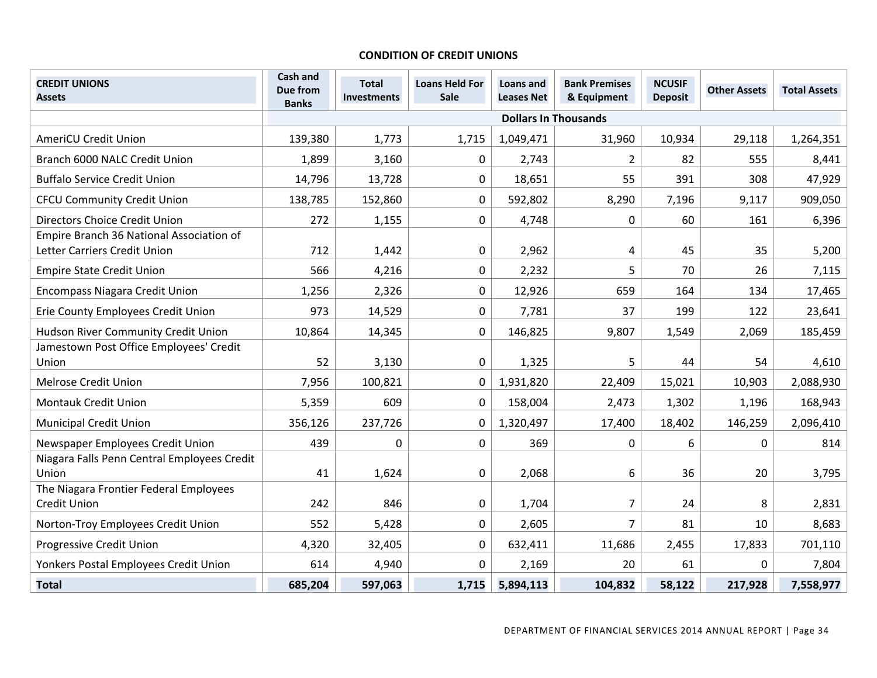#### **CONDITION OF CREDIT UNIONS**

| <b>CREDIT UNIONS</b><br><b>Assets</b>           | Cash and<br>Due from<br><b>Banks</b> | <b>Total</b><br><b>Investments</b> | <b>Loans Held For</b><br>Sale | Loans and<br><b>Leases Net</b> | <b>Bank Premises</b><br>& Equipment | <b>NCUSIF</b><br><b>Deposit</b> | <b>Other Assets</b> | <b>Total Assets</b> |
|-------------------------------------------------|--------------------------------------|------------------------------------|-------------------------------|--------------------------------|-------------------------------------|---------------------------------|---------------------|---------------------|
|                                                 |                                      |                                    |                               |                                | <b>Dollars In Thousands</b>         |                                 |                     |                     |
| <b>AmeriCU Credit Union</b>                     | 139,380                              | 1,773                              | 1,715                         | 1,049,471                      | 31,960                              | 10,934                          | 29,118              | 1,264,351           |
| Branch 6000 NALC Credit Union                   | 1,899                                | 3,160                              | 0                             | 2,743                          | $\overline{2}$                      | 82                              | 555                 | 8,441               |
| <b>Buffalo Service Credit Union</b>             | 14,796                               | 13,728                             | $\mathbf 0$                   | 18,651                         | 55                                  | 391                             | 308                 | 47,929              |
| <b>CFCU Community Credit Union</b>              | 138,785                              | 152,860                            | 0                             | 592,802                        | 8,290                               | 7,196                           | 9,117               | 909,050             |
| Directors Choice Credit Union                   | 272                                  | 1,155                              | 0                             | 4,748                          | 0                                   | 60                              | 161                 | 6,396               |
| Empire Branch 36 National Association of        |                                      |                                    |                               |                                |                                     |                                 |                     |                     |
| Letter Carriers Credit Union                    | 712                                  | 1,442                              | 0                             | 2,962                          | 4                                   | 45                              | 35                  | 5,200               |
| <b>Empire State Credit Union</b>                | 566                                  | 4,216                              | 0                             | 2,232                          | 5                                   | 70                              | 26                  | 7,115               |
| <b>Encompass Niagara Credit Union</b>           | 1,256                                | 2,326                              | 0                             | 12,926                         | 659                                 | 164                             | 134                 | 17,465              |
| Erie County Employees Credit Union              | 973                                  | 14,529                             | 0                             | 7,781                          | 37                                  | 199                             | 122                 | 23,641              |
| Hudson River Community Credit Union             | 10,864                               | 14,345                             | 0                             | 146,825                        | 9,807                               | 1,549                           | 2,069               | 185,459             |
| Jamestown Post Office Employees' Credit         |                                      |                                    |                               |                                |                                     |                                 |                     |                     |
| Union                                           | 52                                   | 3,130                              | 0                             | 1,325                          | 5                                   | 44                              | 54                  | 4,610               |
| <b>Melrose Credit Union</b>                     | 7,956                                | 100,821                            | 0                             | 1,931,820                      | 22,409                              | 15,021                          | 10,903              | 2,088,930           |
| <b>Montauk Credit Union</b>                     | 5,359                                | 609                                | 0                             | 158,004                        | 2,473                               | 1,302                           | 1,196               | 168,943             |
| <b>Municipal Credit Union</b>                   | 356,126                              | 237,726                            | 0                             | 1,320,497                      | 17,400                              | 18,402                          | 146,259             | 2,096,410           |
| Newspaper Employees Credit Union                | 439                                  | 0                                  | 0                             | 369                            | 0                                   | 6                               | 0                   | 814                 |
| Niagara Falls Penn Central Employees Credit     |                                      |                                    |                               |                                |                                     |                                 |                     |                     |
| Union<br>The Niagara Frontier Federal Employees | 41                                   | 1,624                              | 0                             | 2,068                          | 6                                   | 36                              | 20                  | 3,795               |
| <b>Credit Union</b>                             | 242                                  | 846                                | 0                             | 1,704                          | $\overline{7}$                      | 24                              | 8                   | 2,831               |
| Norton-Troy Employees Credit Union              | 552                                  | 5,428                              | 0                             | 2,605                          | $\overline{7}$                      | 81                              | 10                  | 8,683               |
| Progressive Credit Union                        | 4,320                                | 32,405                             | 0                             | 632,411                        | 11,686                              | 2,455                           | 17,833              | 701,110             |
| Yonkers Postal Employees Credit Union           | 614                                  | 4,940                              | 0                             | 2,169                          | 20                                  | 61                              | $\Omega$            | 7,804               |
| <b>Total</b>                                    | 685,204                              | 597,063                            | 1,715                         | 5,894,113                      | 104,832                             | 58,122                          | 217,928             | 7,558,977           |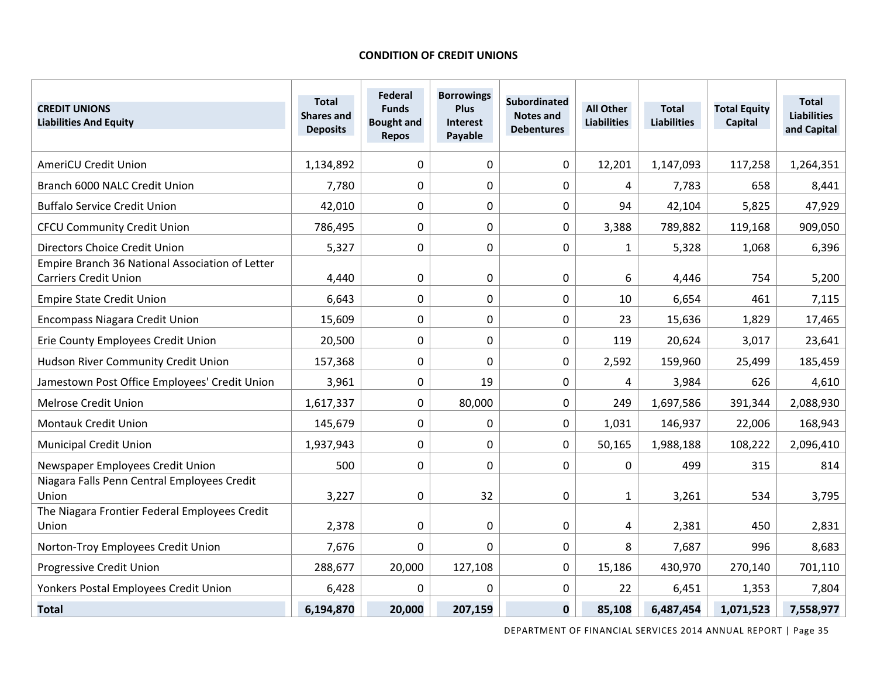#### **CONDITION OF CREDIT UNIONS**

| <b>CREDIT UNIONS</b><br><b>Liabilities And Equity</b>                           | <b>Total</b><br><b>Shares and</b><br><b>Deposits</b> | <b>Federal</b><br><b>Funds</b><br><b>Bought and</b><br><b>Repos</b> | <b>Borrowings</b><br><b>Plus</b><br>Interest<br>Payable | <b>Subordinated</b><br><b>Notes and</b><br><b>Debentures</b> | <b>All Other</b><br><b>Liabilities</b> | <b>Total</b><br><b>Liabilities</b> | <b>Total Equity</b><br><b>Capital</b> | <b>Total</b><br><b>Liabilities</b><br>and Capital |
|---------------------------------------------------------------------------------|------------------------------------------------------|---------------------------------------------------------------------|---------------------------------------------------------|--------------------------------------------------------------|----------------------------------------|------------------------------------|---------------------------------------|---------------------------------------------------|
| <b>AmeriCU Credit Union</b>                                                     | 1,134,892                                            | 0                                                                   | 0                                                       | 0                                                            | 12,201                                 | 1,147,093                          | 117,258                               | 1,264,351                                         |
| Branch 6000 NALC Credit Union                                                   | 7,780                                                | 0                                                                   | 0                                                       | 0                                                            | 4                                      | 7,783                              | 658                                   | 8,441                                             |
| <b>Buffalo Service Credit Union</b>                                             | 42,010                                               | $\mathbf 0$                                                         | 0                                                       | 0                                                            | 94                                     | 42,104                             | 5,825                                 | 47,929                                            |
| <b>CFCU Community Credit Union</b>                                              | 786,495                                              | 0                                                                   | 0                                                       | 0                                                            | 3,388                                  | 789,882                            | 119,168                               | 909,050                                           |
| Directors Choice Credit Union                                                   | 5,327                                                | 0                                                                   | 0                                                       | 0                                                            | $\mathbf{1}$                           | 5,328                              | 1,068                                 | 6,396                                             |
| Empire Branch 36 National Association of Letter<br><b>Carriers Credit Union</b> | 4,440                                                | 0                                                                   | 0                                                       | 0                                                            | 6                                      | 4,446                              | 754                                   | 5,200                                             |
| <b>Empire State Credit Union</b>                                                | 6,643                                                | $\mathbf 0$                                                         | 0                                                       | 0                                                            | 10                                     | 6,654                              | 461                                   | 7,115                                             |
| <b>Encompass Niagara Credit Union</b>                                           | 15,609                                               | $\Omega$                                                            | 0                                                       | 0                                                            | 23                                     | 15,636                             | 1,829                                 | 17,465                                            |
| Erie County Employees Credit Union                                              | 20,500                                               | $\mathbf 0$                                                         | 0                                                       | 0                                                            | 119                                    | 20,624                             | 3,017                                 | 23,641                                            |
| Hudson River Community Credit Union                                             | 157,368                                              | 0                                                                   | 0                                                       | $\mathbf 0$                                                  | 2,592                                  | 159,960                            | 25,499                                | 185,459                                           |
| Jamestown Post Office Employees' Credit Union                                   | 3,961                                                | 0                                                                   | 19                                                      | 0                                                            | 4                                      | 3,984                              | 626                                   | 4,610                                             |
| <b>Melrose Credit Union</b>                                                     | 1,617,337                                            | 0                                                                   | 80,000                                                  | 0                                                            | 249                                    | 1,697,586                          | 391,344                               | 2,088,930                                         |
| <b>Montauk Credit Union</b>                                                     | 145,679                                              | 0                                                                   | 0                                                       | $\mathbf 0$                                                  | 1,031                                  | 146,937                            | 22,006                                | 168,943                                           |
| <b>Municipal Credit Union</b>                                                   | 1,937,943                                            | $\Omega$                                                            | 0                                                       | 0                                                            | 50,165                                 | 1,988,188                          | 108,222                               | 2,096,410                                         |
| Newspaper Employees Credit Union                                                | 500                                                  | 0                                                                   | 0                                                       | 0                                                            | 0                                      | 499                                | 315                                   | 814                                               |
| Niagara Falls Penn Central Employees Credit<br>Union                            | 3,227                                                | 0                                                                   | 32                                                      | $\boldsymbol{0}$                                             | $\mathbf{1}$                           | 3,261                              | 534                                   | 3,795                                             |
| The Niagara Frontier Federal Employees Credit<br>Union                          | 2,378                                                | 0                                                                   | 0                                                       | 0                                                            | 4                                      | 2,381                              | 450                                   | 2,831                                             |
| Norton-Troy Employees Credit Union                                              | 7,676                                                | 0                                                                   | 0                                                       | 0                                                            | 8                                      | 7,687                              | 996                                   | 8,683                                             |
| Progressive Credit Union                                                        | 288,677                                              | 20,000                                                              | 127,108                                                 | 0                                                            | 15,186                                 | 430,970                            | 270,140                               | 701,110                                           |
| Yonkers Postal Employees Credit Union                                           | 6,428                                                | 0                                                                   | 0                                                       | $\Omega$                                                     | 22                                     | 6,451                              | 1,353                                 | 7,804                                             |
| <b>Total</b>                                                                    | 6,194,870                                            | 20,000                                                              | 207,159                                                 | $\mathbf 0$                                                  | 85,108                                 | 6,487,454                          | 1,071,523                             | 7,558,977                                         |

DEPARTMENT OF FINANCIAL SERVICES 2014 ANNUAL REPORT | Page 35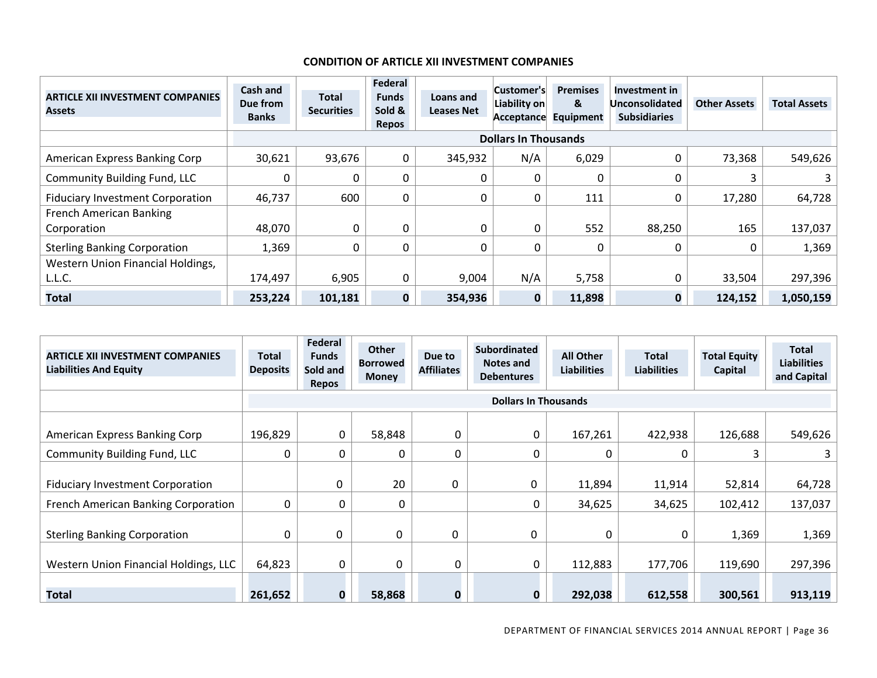#### **CONDITION OF ARTICLE XII INVESTMENT COMPANIES**

| <b>ARTICLE XII INVESTMENT COMPANIES</b><br><b>Assets</b> | Cash and<br>Due from<br><b>Banks</b> | <b>Total</b><br><b>Securities</b> | Federal<br><b>Funds</b><br>Sold &<br>Repos | Loans and<br><b>Leases Net</b> | Customer's<br>Liability on<br><b>Acceptance</b> | <b>Premises</b><br>&<br><b>Equipment</b> | Investment in<br>Unconsolidated<br><b>Subsidiaries</b> | <b>Other Assets</b> | <b>Total Assets</b> |
|----------------------------------------------------------|--------------------------------------|-----------------------------------|--------------------------------------------|--------------------------------|-------------------------------------------------|------------------------------------------|--------------------------------------------------------|---------------------|---------------------|
|                                                          |                                      |                                   |                                            |                                | <b>Dollars In Thousands</b>                     |                                          |                                                        |                     |                     |
| American Express Banking Corp                            | 30,621                               | 93,676                            | 0                                          | 345,932                        | N/A                                             | 6,029                                    |                                                        | 73,368              | 549,626             |
| <b>Community Building Fund, LLC</b>                      |                                      |                                   | 0                                          |                                |                                                 | 0                                        |                                                        |                     | 3 I                 |
| <b>Fiduciary Investment Corporation</b>                  | 46,737                               | 600                               | 0                                          |                                |                                                 | 111                                      |                                                        | 17,280              | 64,728              |
| <b>French American Banking</b>                           |                                      |                                   |                                            |                                |                                                 |                                          |                                                        |                     |                     |
| Corporation                                              | 48,070                               | 0                                 | 0                                          |                                |                                                 | 552                                      | 88,250                                                 | 165                 | 137,037             |
| <b>Sterling Banking Corporation</b>                      | 1,369                                |                                   | 0                                          |                                |                                                 | 0                                        |                                                        |                     | 1,369               |
| Western Union Financial Holdings,                        |                                      |                                   |                                            |                                |                                                 |                                          |                                                        |                     |                     |
| L.L.C.                                                   | 174,497                              | 6,905                             | 0                                          | 9,004                          | N/A                                             | 5,758                                    |                                                        | 33,504              | 297,396             |
| <b>Total</b>                                             | 253,224                              | 101,181                           | $\mathbf 0$                                | 354,936                        | 0                                               | 11,898                                   |                                                        | 124,152             | 1,050,159           |

| <b>ARTICLE XII INVESTMENT COMPANIES</b><br><b>Liabilities And Equity</b> | Total<br><b>Deposits</b> | Federal<br><b>Funds</b><br>Sold and<br>Repos | <b>Other</b><br><b>Borrowed</b><br><b>Money</b> | Due to<br><b>Affiliates</b> | <b>Subordinated</b><br>Notes and<br><b>Debentures</b> | <b>All Other</b><br><b>Liabilities</b> | <b>Total</b><br><b>Liabilities</b> | <b>Total Equity</b><br>Capital | <b>Total</b><br><b>Liabilities</b><br>and Capital |
|--------------------------------------------------------------------------|--------------------------|----------------------------------------------|-------------------------------------------------|-----------------------------|-------------------------------------------------------|----------------------------------------|------------------------------------|--------------------------------|---------------------------------------------------|
|                                                                          |                          |                                              |                                                 |                             | <b>Dollars In Thousands</b>                           |                                        |                                    |                                |                                                   |
| American Express Banking Corp                                            | 196,829                  | 0                                            | 58,848                                          | 0                           | 0                                                     | 167,261                                | 422,938                            | 126,688                        | 549,626                                           |
| <b>Community Building Fund, LLC</b>                                      | 0                        | 0                                            | 0                                               | 0                           | 0                                                     | $\Omega$                               | 0                                  | 3                              |                                                   |
| <b>Fiduciary Investment Corporation</b>                                  |                          | 0                                            | 20                                              | $\Omega$                    | 0                                                     | 11,894                                 | 11,914                             | 52,814                         | 64,728                                            |
| French American Banking Corporation                                      | 0                        | 0                                            |                                                 |                             | 0                                                     | 34,625                                 | 34,625                             | 102,412                        | 137,037                                           |
| <b>Sterling Banking Corporation</b>                                      | 0                        | 0                                            | 0                                               | $\Omega$                    | 0                                                     | $\Omega$                               | 0                                  | 1,369                          | 1,369                                             |
| Western Union Financial Holdings, LLC                                    | 64,823                   | 0                                            | 0                                               |                             | 0                                                     | 112,883                                | 177,706                            | 119,690                        | 297,396                                           |
| <b>Total</b>                                                             | 261,652                  | 0                                            | 58,868                                          |                             | U                                                     | 292,038                                | 612,558                            | 300,561                        | 913,119                                           |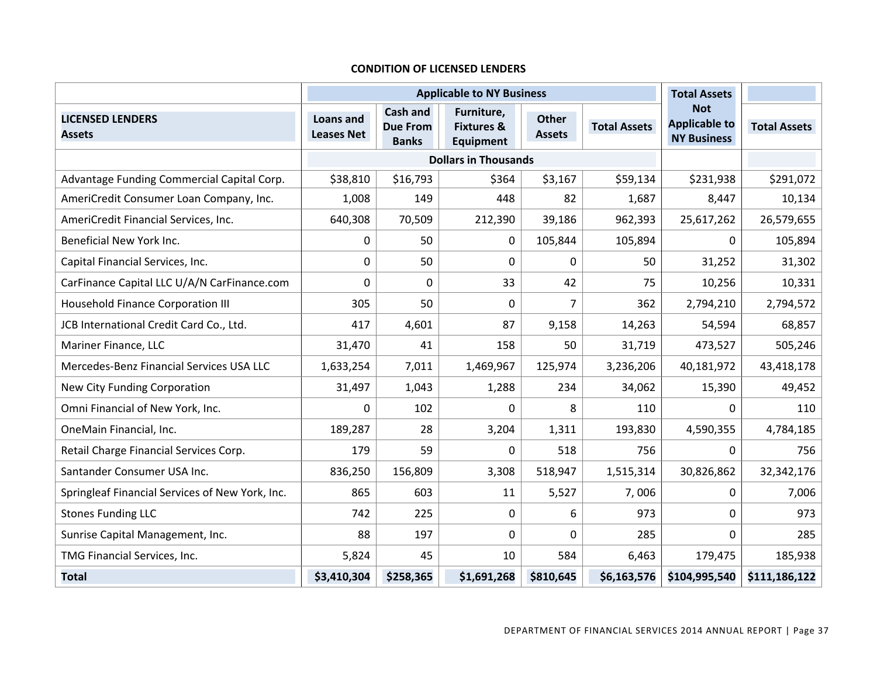#### **CONDITION OF LICENSED LENDERS**

|                                                 |                                | <b>Applicable to NY Business</b>            | <b>Total Assets</b>                                     |                        |                     |                                                          |                     |
|-------------------------------------------------|--------------------------------|---------------------------------------------|---------------------------------------------------------|------------------------|---------------------|----------------------------------------------------------|---------------------|
| <b>LICENSED LENDERS</b><br><b>Assets</b>        | Loans and<br><b>Leases Net</b> | Cash and<br><b>Due From</b><br><b>Banks</b> | Furniture,<br><b>Fixtures &amp;</b><br><b>Equipment</b> | Other<br><b>Assets</b> | <b>Total Assets</b> | <b>Not</b><br><b>Applicable to</b><br><b>NY Business</b> | <b>Total Assets</b> |
|                                                 |                                |                                             | <b>Dollars in Thousands</b>                             |                        |                     |                                                          |                     |
| Advantage Funding Commercial Capital Corp.      | \$38,810                       | \$16,793                                    | \$364                                                   | \$3,167                | \$59,134            | \$231,938                                                | \$291,072           |
| AmeriCredit Consumer Loan Company, Inc.         | 1,008                          | 149                                         | 448                                                     | 82                     | 1,687               | 8,447                                                    | 10,134              |
| AmeriCredit Financial Services, Inc.            | 640,308                        | 70,509                                      | 212,390                                                 | 39,186                 | 962,393             | 25,617,262                                               | 26,579,655          |
| Beneficial New York Inc.                        | 0                              | 50                                          | $\Omega$                                                | 105,844                | 105,894             | 0                                                        | 105,894             |
| Capital Financial Services, Inc.                | 0                              | 50                                          | 0                                                       | 0                      | 50                  | 31,252                                                   | 31,302              |
| CarFinance Capital LLC U/A/N CarFinance.com     | 0                              | 0                                           | 33                                                      | 42                     | 75                  | 10,256                                                   | 10,331              |
| <b>Household Finance Corporation III</b>        | 305                            | 50                                          | $\mathbf 0$                                             | $\overline{7}$         | 362                 | 2,794,210                                                | 2,794,572           |
| JCB International Credit Card Co., Ltd.         | 417                            | 4,601                                       | 87                                                      | 9,158                  | 14,263              | 54,594                                                   | 68,857              |
| Mariner Finance, LLC                            | 31,470                         | 41                                          | 158                                                     | 50                     | 31,719              | 473,527                                                  | 505,246             |
| Mercedes-Benz Financial Services USA LLC        | 1,633,254                      | 7,011                                       | 1,469,967                                               | 125,974                | 3,236,206           | 40,181,972                                               | 43,418,178          |
| New City Funding Corporation                    | 31,497                         | 1,043                                       | 1,288                                                   | 234                    | 34,062              | 15,390                                                   | 49,452              |
| Omni Financial of New York, Inc.                | 0                              | 102                                         | $\Omega$                                                | 8                      | 110                 | 0                                                        | 110                 |
| OneMain Financial, Inc.                         | 189,287                        | 28                                          | 3,204                                                   | 1,311                  | 193,830             | 4,590,355                                                | 4,784,185           |
| Retail Charge Financial Services Corp.          | 179                            | 59                                          | $\mathbf 0$                                             | 518                    | 756                 | 0                                                        | 756                 |
| Santander Consumer USA Inc.                     | 836,250                        | 156,809                                     | 3,308                                                   | 518,947                | 1,515,314           | 30,826,862                                               | 32,342,176          |
| Springleaf Financial Services of New York, Inc. | 865                            | 603                                         | 11                                                      | 5,527                  | 7,006               | 0                                                        | 7,006               |
| <b>Stones Funding LLC</b>                       | 742                            | 225                                         | 0                                                       | 6                      | 973                 | 0                                                        | 973                 |
| Sunrise Capital Management, Inc.                | 88                             | 197                                         | $\mathbf 0$                                             | $\mathbf 0$            | 285                 | 0                                                        | 285                 |
| TMG Financial Services, Inc.                    | 5,824                          | 45                                          | 10                                                      | 584                    | 6,463               | 179,475                                                  | 185,938             |
| <b>Total</b>                                    | \$3,410,304                    | \$258,365                                   | \$1,691,268                                             | \$810,645              | \$6,163,576         | \$104,995,540                                            | \$111,186,122       |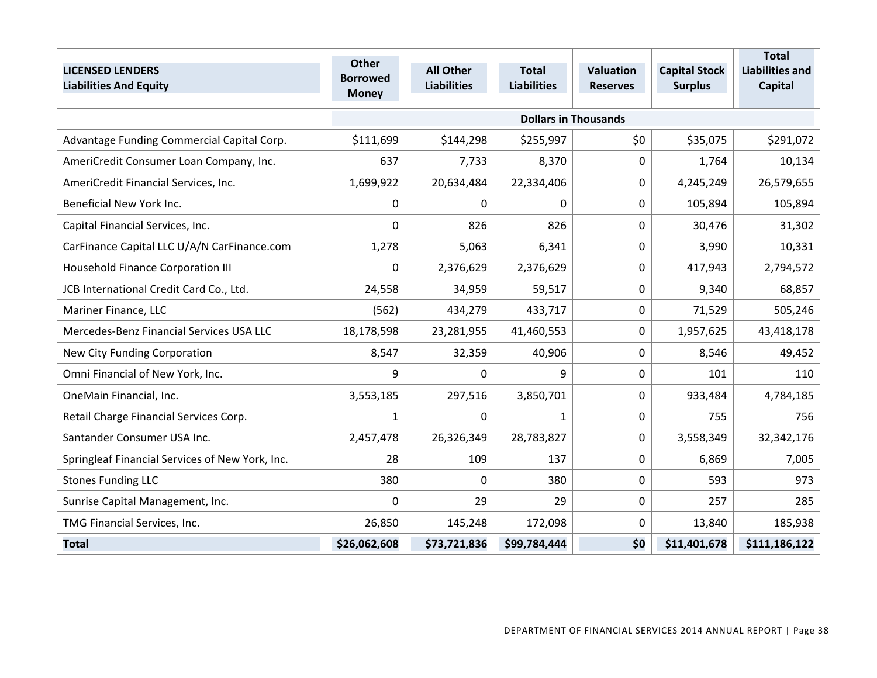| <b>LICENSED LENDERS</b><br><b>Liabilities And Equity</b> | <b>Other</b><br><b>Borrowed</b><br><b>Money</b> | <b>All Other</b><br><b>Liabilities</b> | <b>Total</b><br><b>Liabilities</b> | <b>Valuation</b><br><b>Reserves</b> | <b>Capital Stock</b><br><b>Surplus</b> | <b>Total</b><br><b>Liabilities and</b><br><b>Capital</b> |
|----------------------------------------------------------|-------------------------------------------------|----------------------------------------|------------------------------------|-------------------------------------|----------------------------------------|----------------------------------------------------------|
|                                                          |                                                 |                                        |                                    | <b>Dollars in Thousands</b>         |                                        |                                                          |
| Advantage Funding Commercial Capital Corp.               | \$111,699                                       | \$144,298                              | \$255,997                          | \$0                                 | \$35,075                               | \$291,072                                                |
| AmeriCredit Consumer Loan Company, Inc.                  | 637                                             | 7,733                                  | 8,370                              | $\Omega$                            | 1,764                                  | 10,134                                                   |
| AmeriCredit Financial Services, Inc.                     | 1,699,922                                       | 20,634,484                             | 22,334,406                         | 0                                   | 4,245,249                              | 26,579,655                                               |
| Beneficial New York Inc.                                 | 0                                               | $\Omega$                               | 0                                  | 0                                   | 105,894                                | 105,894                                                  |
| Capital Financial Services, Inc.                         | 0                                               | 826                                    | 826                                | $\Omega$                            | 30,476                                 | 31,302                                                   |
| CarFinance Capital LLC U/A/N CarFinance.com              | 1,278                                           | 5,063                                  | 6,341                              | 0                                   | 3,990                                  | 10,331                                                   |
| Household Finance Corporation III                        | 0                                               | 2,376,629                              | 2,376,629                          | 0                                   | 417,943                                | 2,794,572                                                |
| JCB International Credit Card Co., Ltd.                  | 24,558                                          | 34,959                                 | 59,517                             | $\mathbf 0$                         | 9,340                                  | 68,857                                                   |
| Mariner Finance, LLC                                     | (562)                                           | 434,279                                | 433,717                            | 0                                   | 71,529                                 | 505,246                                                  |
| Mercedes-Benz Financial Services USA LLC                 | 18,178,598                                      | 23,281,955                             | 41,460,553                         | 0                                   | 1,957,625                              | 43,418,178                                               |
| New City Funding Corporation                             | 8,547                                           | 32,359                                 | 40,906                             | 0                                   | 8,546                                  | 49,452                                                   |
| Omni Financial of New York, Inc.                         | 9                                               | 0                                      | 9                                  | $\mathbf 0$                         | 101                                    | 110                                                      |
| OneMain Financial, Inc.                                  | 3,553,185                                       | 297,516                                | 3,850,701                          | 0                                   | 933,484                                | 4,784,185                                                |
| Retail Charge Financial Services Corp.                   | 1                                               | 0                                      | 1                                  | 0                                   | 755                                    | 756                                                      |
| Santander Consumer USA Inc.                              | 2,457,478                                       | 26,326,349                             | 28,783,827                         | 0                                   | 3,558,349                              | 32,342,176                                               |
| Springleaf Financial Services of New York, Inc.          | 28                                              | 109                                    | 137                                | 0                                   | 6,869                                  | 7,005                                                    |
| <b>Stones Funding LLC</b>                                | 380                                             | $\mathbf 0$                            | 380                                | 0                                   | 593                                    | 973                                                      |
| Sunrise Capital Management, Inc.                         | 0                                               | 29                                     | 29                                 | 0                                   | 257                                    | 285                                                      |
| TMG Financial Services, Inc.                             | 26,850                                          | 145,248                                | 172,098                            | $\Omega$                            | 13,840                                 | 185,938                                                  |
| <b>Total</b>                                             | \$26,062,608                                    | \$73,721,836                           | \$99,784,444                       | \$0                                 | \$11,401,678                           | \$111,186,122                                            |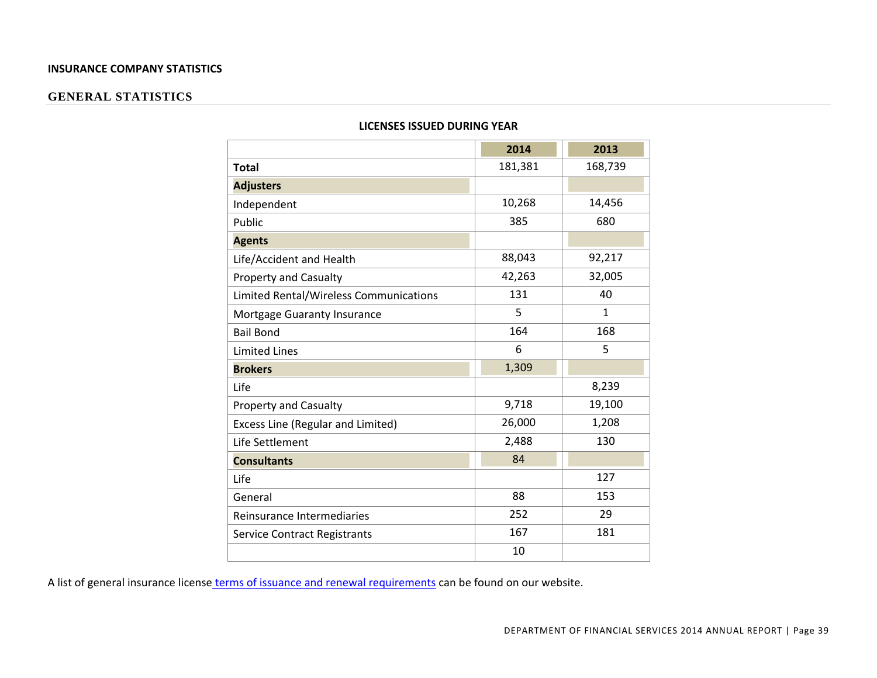#### **INSURANCE COMPANY STATISTICS**

#### **GENERAL STATISTICS**

|                                        | 2014    | 2013    |
|----------------------------------------|---------|---------|
| <b>Total</b>                           | 181,381 | 168,739 |
| <b>Adjusters</b>                       |         |         |
| Independent                            | 10,268  | 14,456  |
| Public                                 | 385     | 680     |
| <b>Agents</b>                          |         |         |
| Life/Accident and Health               | 88,043  | 92,217  |
| <b>Property and Casualty</b>           | 42,263  | 32,005  |
| Limited Rental/Wireless Communications | 131     | 40      |
| Mortgage Guaranty Insurance            | 5       | 1       |
| <b>Bail Bond</b>                       | 164     | 168     |
| <b>Limited Lines</b>                   | 6       | 5       |
| <b>Brokers</b>                         | 1,309   |         |
| Life                                   |         | 8,239   |
| Property and Casualty                  | 9,718   | 19,100  |
| Excess Line (Regular and Limited)      | 26,000  | 1,208   |
| Life Settlement                        | 2,488   | 130     |
| <b>Consultants</b>                     | 84      |         |
| Life                                   |         | 127     |
| General                                | 88      | 153     |
| Reinsurance Intermediaries             | 252     | 29      |
| <b>Service Contract Registrants</b>    | 167     | 181     |
|                                        | 10      |         |

#### **LICENSES ISSUED DURING YEAR**

A list of general insurance license terms of issuance and renewal requirements can be found on our website.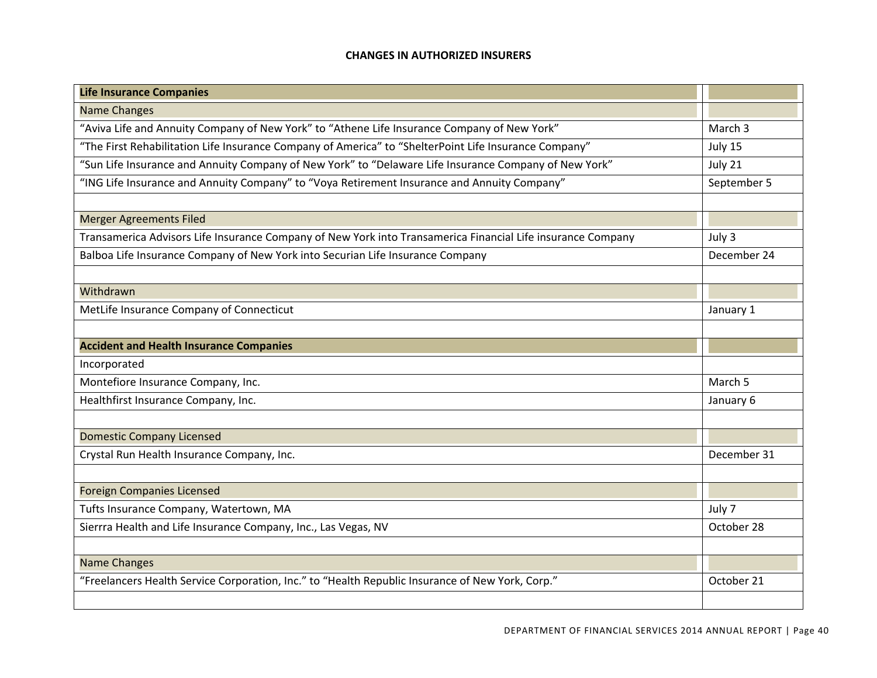#### **CHANGES IN AUTHORIZED INSURERS**

| <b>Life Insurance Companies</b>                                                                             |             |
|-------------------------------------------------------------------------------------------------------------|-------------|
| <b>Name Changes</b>                                                                                         |             |
| "Aviva Life and Annuity Company of New York" to "Athene Life Insurance Company of New York"                 | March 3     |
| "The First Rehabilitation Life Insurance Company of America" to "ShelterPoint Life Insurance Company"       | July 15     |
| "Sun Life Insurance and Annuity Company of New York" to "Delaware Life Insurance Company of New York"       | July 21     |
| "ING Life Insurance and Annuity Company" to "Voya Retirement Insurance and Annuity Company"                 | September 5 |
|                                                                                                             |             |
| <b>Merger Agreements Filed</b>                                                                              |             |
| Transamerica Advisors Life Insurance Company of New York into Transamerica Financial Life insurance Company | July 3      |
| Balboa Life Insurance Company of New York into Securian Life Insurance Company                              | December 24 |
|                                                                                                             |             |
| Withdrawn                                                                                                   |             |
| MetLife Insurance Company of Connecticut                                                                    | January 1   |
|                                                                                                             |             |
| <b>Accident and Health Insurance Companies</b>                                                              |             |
| Incorporated                                                                                                |             |
| Montefiore Insurance Company, Inc.                                                                          | March 5     |
| Healthfirst Insurance Company, Inc.                                                                         | January 6   |
|                                                                                                             |             |
| <b>Domestic Company Licensed</b>                                                                            |             |
| Crystal Run Health Insurance Company, Inc.                                                                  | December 31 |
|                                                                                                             |             |
| <b>Foreign Companies Licensed</b>                                                                           |             |
| Tufts Insurance Company, Watertown, MA                                                                      | July 7      |
| Sierrra Health and Life Insurance Company, Inc., Las Vegas, NV                                              | October 28  |
|                                                                                                             |             |
| <b>Name Changes</b>                                                                                         |             |
| "Freelancers Health Service Corporation, Inc." to "Health Republic Insurance of New York, Corp."            | October 21  |
|                                                                                                             |             |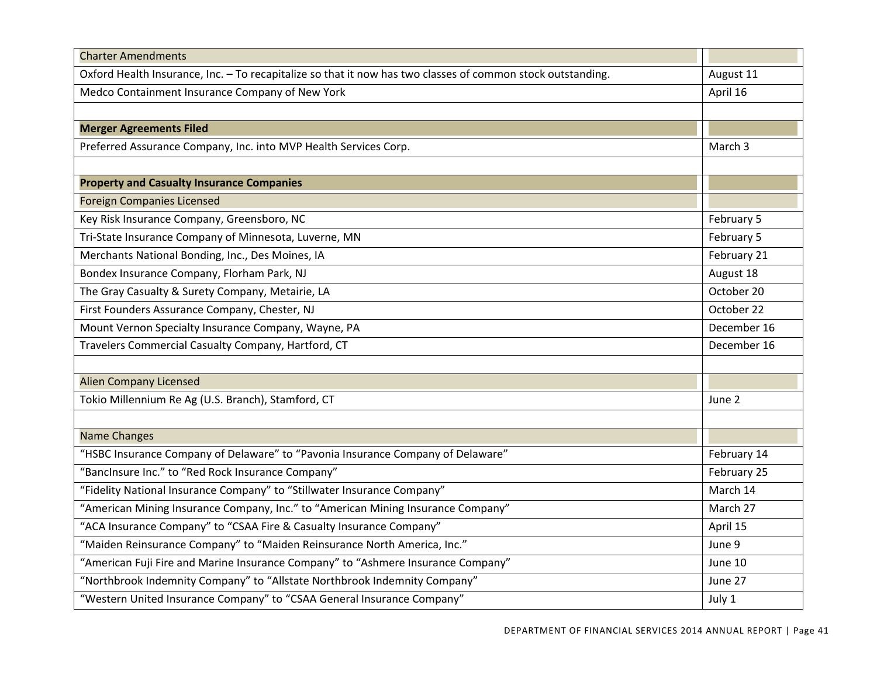| <b>Charter Amendments</b>                                                                                   |             |
|-------------------------------------------------------------------------------------------------------------|-------------|
| Oxford Health Insurance, Inc. - To recapitalize so that it now has two classes of common stock outstanding. | August 11   |
| Medco Containment Insurance Company of New York                                                             | April 16    |
|                                                                                                             |             |
| <b>Merger Agreements Filed</b>                                                                              |             |
| Preferred Assurance Company, Inc. into MVP Health Services Corp.                                            | March 3     |
|                                                                                                             |             |
| <b>Property and Casualty Insurance Companies</b>                                                            |             |
| <b>Foreign Companies Licensed</b>                                                                           |             |
| Key Risk Insurance Company, Greensboro, NC                                                                  | February 5  |
| Tri-State Insurance Company of Minnesota, Luverne, MN                                                       | February 5  |
| Merchants National Bonding, Inc., Des Moines, IA                                                            | February 21 |
| Bondex Insurance Company, Florham Park, NJ                                                                  | August 18   |
| The Gray Casualty & Surety Company, Metairie, LA                                                            | October 20  |
| First Founders Assurance Company, Chester, NJ                                                               | October 22  |
| Mount Vernon Specialty Insurance Company, Wayne, PA                                                         | December 16 |
| Travelers Commercial Casualty Company, Hartford, CT                                                         | December 16 |
|                                                                                                             |             |
| <b>Alien Company Licensed</b>                                                                               |             |
| Tokio Millennium Re Ag (U.S. Branch), Stamford, CT                                                          | June 2      |
|                                                                                                             |             |
| <b>Name Changes</b>                                                                                         |             |
| "HSBC Insurance Company of Delaware" to "Pavonia Insurance Company of Delaware"                             | February 14 |
| "BancInsure Inc." to "Red Rock Insurance Company"                                                           | February 25 |
| "Fidelity National Insurance Company" to "Stillwater Insurance Company"                                     | March 14    |
| "American Mining Insurance Company, Inc." to "American Mining Insurance Company"                            | March 27    |
| "ACA Insurance Company" to "CSAA Fire & Casualty Insurance Company"                                         | April 15    |
| "Maiden Reinsurance Company" to "Maiden Reinsurance North America, Inc."                                    | June 9      |
| "American Fuji Fire and Marine Insurance Company" to "Ashmere Insurance Company"                            | June 10     |
| "Northbrook Indemnity Company" to "Allstate Northbrook Indemnity Company"                                   | June 27     |
| "Western United Insurance Company" to "CSAA General Insurance Company"                                      | July 1      |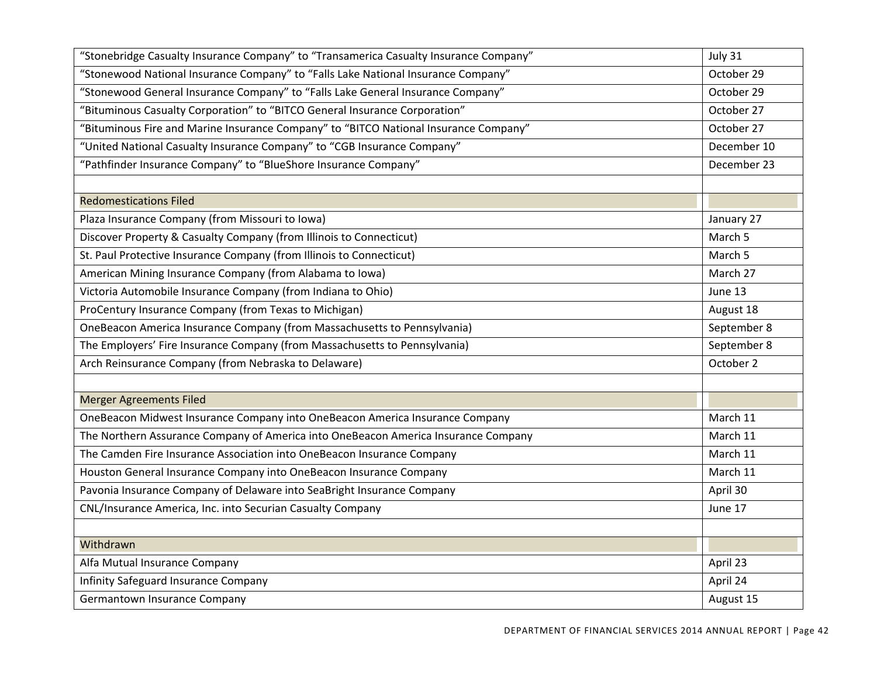| "Stonebridge Casualty Insurance Company" to "Transamerica Casualty Insurance Company" | July 31     |
|---------------------------------------------------------------------------------------|-------------|
| "Stonewood National Insurance Company" to "Falls Lake National Insurance Company"     | October 29  |
| "Stonewood General Insurance Company" to "Falls Lake General Insurance Company"       | October 29  |
| "Bituminous Casualty Corporation" to "BITCO General Insurance Corporation"            | October 27  |
| "Bituminous Fire and Marine Insurance Company" to "BITCO National Insurance Company"  | October 27  |
| "United National Casualty Insurance Company" to "CGB Insurance Company"               | December 10 |
| "Pathfinder Insurance Company" to "BlueShore Insurance Company"                       | December 23 |
|                                                                                       |             |
| <b>Redomestications Filed</b>                                                         |             |
| Plaza Insurance Company (from Missouri to Iowa)                                       | January 27  |
| Discover Property & Casualty Company (from Illinois to Connecticut)                   | March 5     |
| St. Paul Protective Insurance Company (from Illinois to Connecticut)                  | March 5     |
| American Mining Insurance Company (from Alabama to Iowa)                              | March 27    |
| Victoria Automobile Insurance Company (from Indiana to Ohio)                          | June 13     |
| ProCentury Insurance Company (from Texas to Michigan)                                 | August 18   |
| OneBeacon America Insurance Company (from Massachusetts to Pennsylvania)              | September 8 |
| The Employers' Fire Insurance Company (from Massachusetts to Pennsylvania)            | September 8 |
| Arch Reinsurance Company (from Nebraska to Delaware)                                  | October 2   |
|                                                                                       |             |
| <b>Merger Agreements Filed</b>                                                        |             |
| OneBeacon Midwest Insurance Company into OneBeacon America Insurance Company          | March 11    |
| The Northern Assurance Company of America into OneBeacon America Insurance Company    | March 11    |
| The Camden Fire Insurance Association into OneBeacon Insurance Company                | March 11    |
| Houston General Insurance Company into OneBeacon Insurance Company                    | March 11    |
| Pavonia Insurance Company of Delaware into SeaBright Insurance Company                | April 30    |
| CNL/Insurance America, Inc. into Securian Casualty Company                            | June 17     |
|                                                                                       |             |
| Withdrawn                                                                             |             |
| Alfa Mutual Insurance Company                                                         | April 23    |
| Infinity Safeguard Insurance Company                                                  | April 24    |
| Germantown Insurance Company                                                          | August 15   |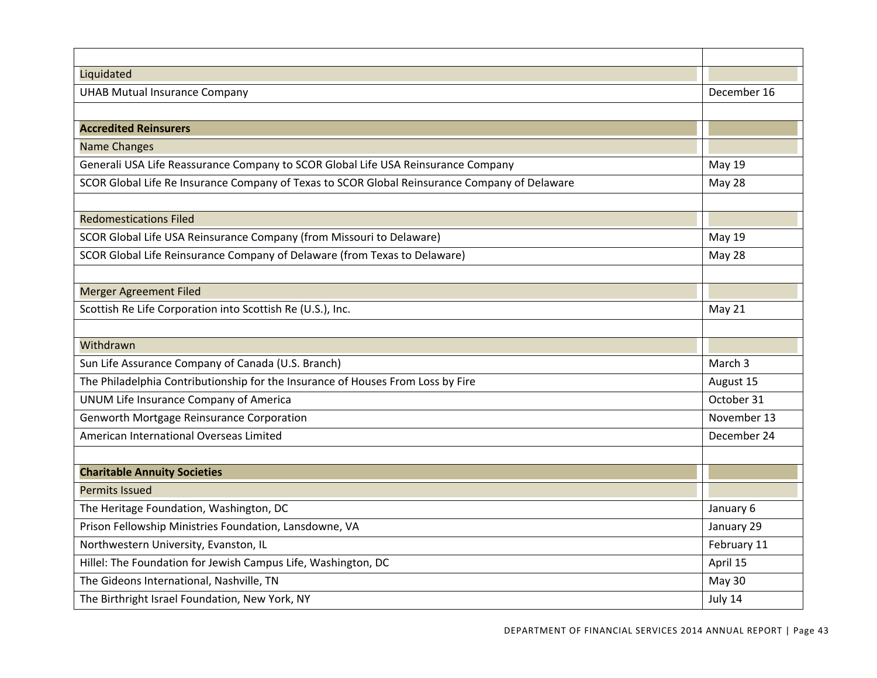| Liquidated                                                                                    |               |
|-----------------------------------------------------------------------------------------------|---------------|
| <b>UHAB Mutual Insurance Company</b>                                                          | December 16   |
|                                                                                               |               |
| <b>Accredited Reinsurers</b>                                                                  |               |
| <b>Name Changes</b>                                                                           |               |
| Generali USA Life Reassurance Company to SCOR Global Life USA Reinsurance Company             | <b>May 19</b> |
| SCOR Global Life Re Insurance Company of Texas to SCOR Global Reinsurance Company of Delaware | May 28        |
|                                                                                               |               |
| <b>Redomestications Filed</b>                                                                 |               |
| SCOR Global Life USA Reinsurance Company (from Missouri to Delaware)                          | May 19        |
| SCOR Global Life Reinsurance Company of Delaware (from Texas to Delaware)                     | May 28        |
|                                                                                               |               |
| <b>Merger Agreement Filed</b>                                                                 |               |
| Scottish Re Life Corporation into Scottish Re (U.S.), Inc.                                    | May 21        |
|                                                                                               |               |
| Withdrawn                                                                                     |               |
| Sun Life Assurance Company of Canada (U.S. Branch)                                            | March 3       |
| The Philadelphia Contributionship for the Insurance of Houses From Loss by Fire               | August 15     |
| UNUM Life Insurance Company of America                                                        | October 31    |
| Genworth Mortgage Reinsurance Corporation                                                     | November 13   |
| American International Overseas Limited                                                       | December 24   |
|                                                                                               |               |
| <b>Charitable Annuity Societies</b>                                                           |               |
| <b>Permits Issued</b>                                                                         |               |
| The Heritage Foundation, Washington, DC                                                       | January 6     |
| Prison Fellowship Ministries Foundation, Lansdowne, VA                                        | January 29    |
| Northwestern University, Evanston, IL                                                         | February 11   |
| Hillel: The Foundation for Jewish Campus Life, Washington, DC                                 | April 15      |
| The Gideons International, Nashville, TN                                                      | May 30        |
| The Birthright Israel Foundation, New York, NY                                                | July 14       |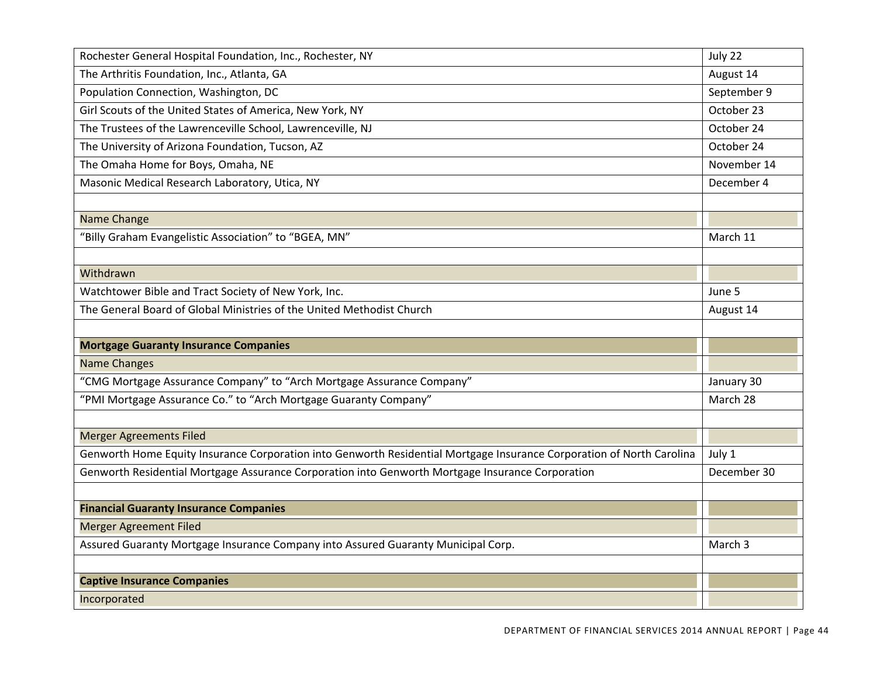| Rochester General Hospital Foundation, Inc., Rochester, NY                                                            | July 22     |
|-----------------------------------------------------------------------------------------------------------------------|-------------|
| The Arthritis Foundation, Inc., Atlanta, GA                                                                           | August 14   |
| Population Connection, Washington, DC                                                                                 | September 9 |
| Girl Scouts of the United States of America, New York, NY                                                             | October 23  |
| The Trustees of the Lawrenceville School, Lawrenceville, NJ                                                           | October 24  |
| The University of Arizona Foundation, Tucson, AZ                                                                      | October 24  |
| The Omaha Home for Boys, Omaha, NE                                                                                    | November 14 |
| Masonic Medical Research Laboratory, Utica, NY                                                                        | December 4  |
|                                                                                                                       |             |
| Name Change                                                                                                           |             |
| "Billy Graham Evangelistic Association" to "BGEA, MN"                                                                 | March 11    |
|                                                                                                                       |             |
| Withdrawn                                                                                                             |             |
| Watchtower Bible and Tract Society of New York, Inc.                                                                  | June 5      |
| The General Board of Global Ministries of the United Methodist Church                                                 | August 14   |
|                                                                                                                       |             |
| <b>Mortgage Guaranty Insurance Companies</b>                                                                          |             |
| <b>Name Changes</b>                                                                                                   |             |
| "CMG Mortgage Assurance Company" to "Arch Mortgage Assurance Company"                                                 |             |
| "PMI Mortgage Assurance Co." to "Arch Mortgage Guaranty Company"                                                      |             |
|                                                                                                                       |             |
| <b>Merger Agreements Filed</b>                                                                                        |             |
| Genworth Home Equity Insurance Corporation into Genworth Residential Mortgage Insurance Corporation of North Carolina | July 1      |
| Genworth Residential Mortgage Assurance Corporation into Genworth Mortgage Insurance Corporation                      | December 30 |
|                                                                                                                       |             |
| <b>Financial Guaranty Insurance Companies</b>                                                                         |             |
| <b>Merger Agreement Filed</b>                                                                                         |             |
| Assured Guaranty Mortgage Insurance Company into Assured Guaranty Municipal Corp.                                     | March 3     |
|                                                                                                                       |             |
| <b>Captive Insurance Companies</b>                                                                                    |             |
| Incorporated                                                                                                          |             |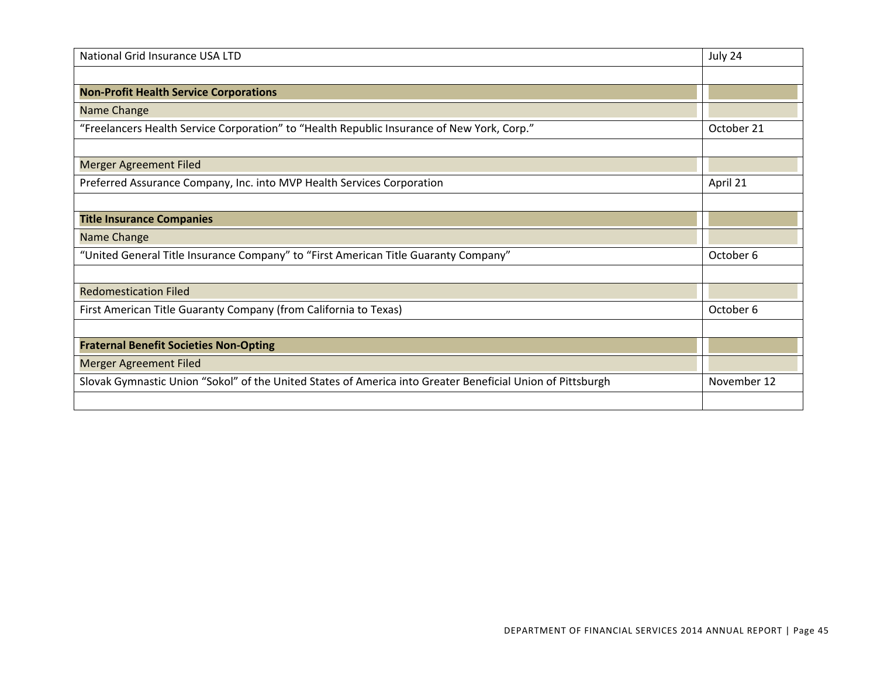| National Grid Insurance USA LTD                                                                            | July 24     |
|------------------------------------------------------------------------------------------------------------|-------------|
|                                                                                                            |             |
| <b>Non-Profit Health Service Corporations</b>                                                              |             |
| Name Change                                                                                                |             |
| "Freelancers Health Service Corporation" to "Health Republic Insurance of New York, Corp."                 | October 21  |
|                                                                                                            |             |
| <b>Merger Agreement Filed</b>                                                                              |             |
| Preferred Assurance Company, Inc. into MVP Health Services Corporation                                     | April 21    |
|                                                                                                            |             |
| <b>Title Insurance Companies</b>                                                                           |             |
| Name Change                                                                                                |             |
| "United General Title Insurance Company" to "First American Title Guaranty Company"                        | October 6   |
|                                                                                                            |             |
| <b>Redomestication Filed</b>                                                                               |             |
| First American Title Guaranty Company (from California to Texas)                                           | October 6   |
|                                                                                                            |             |
| <b>Fraternal Benefit Societies Non-Opting</b>                                                              |             |
| <b>Merger Agreement Filed</b>                                                                              |             |
| Slovak Gymnastic Union "Sokol" of the United States of America into Greater Beneficial Union of Pittsburgh | November 12 |
|                                                                                                            |             |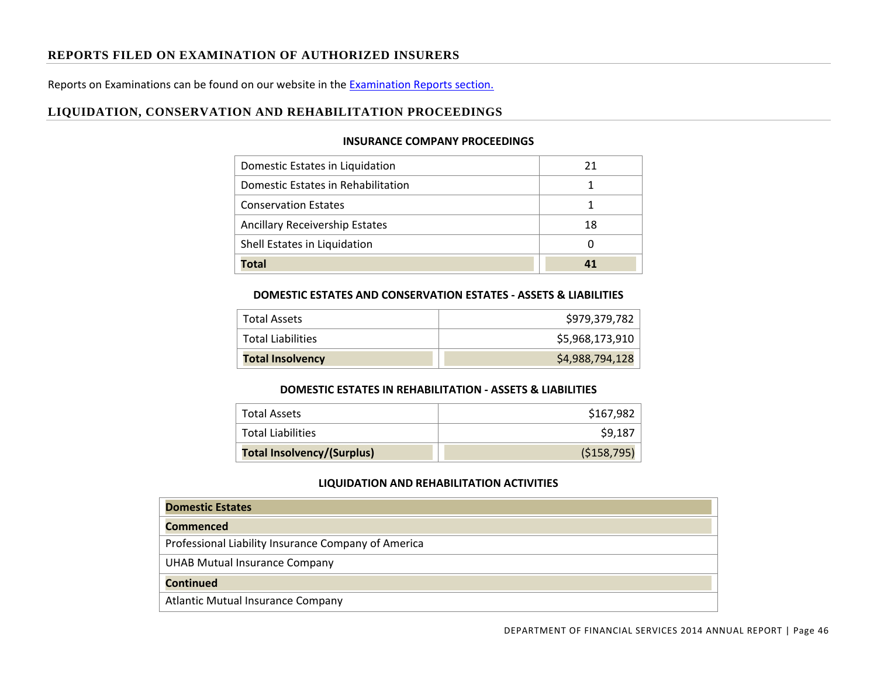## **REPORTS FILED ON EXAMINATION OF AUTHORIZED INSURERS**

Reports on Examinations can be found on our website in the Examination Reports section.

## **LIQUIDATION, CONSERVATION AND REHABILITATION PROCEEDINGS**

#### **INSURANCE COMPANY PROCEEDINGS**

| Domestic Estates in Liquidation       | 21 |
|---------------------------------------|----|
| Domestic Estates in Rehabilitation    |    |
| <b>Conservation Estates</b>           |    |
| <b>Ancillary Receivership Estates</b> | 18 |
| Shell Estates in Liquidation          |    |
| <b>Total</b>                          |    |

#### **DOMESTIC ESTATES AND CONSERVATION ESTATES ‐ ASSETS & LIABILITIES**

| Total Assets             | \$979,379,782   |
|--------------------------|-----------------|
| <b>Total Liabilities</b> | \$5,968,173,910 |
| <b>Total Insolvency</b>  | \$4,988,794,128 |

#### **DOMESTIC ESTATES IN REHABILITATION ‐ ASSETS & LIABILITIES**

| <b>Total Assets</b>               | \$167,982   |
|-----------------------------------|-------------|
| <b>Total Liabilities</b>          | \$9,187     |
| <b>Total Insolvency/(Surplus)</b> | (\$158,795) |

#### **LIQUIDATION AND REHABILITATION ACTIVITIES**

| <b>Domestic Estates</b>                             |
|-----------------------------------------------------|
| <b>Commenced</b>                                    |
| Professional Liability Insurance Company of America |
| <b>UHAB Mutual Insurance Company</b>                |
| <b>Continued</b>                                    |
| <b>Atlantic Mutual Insurance Company</b>            |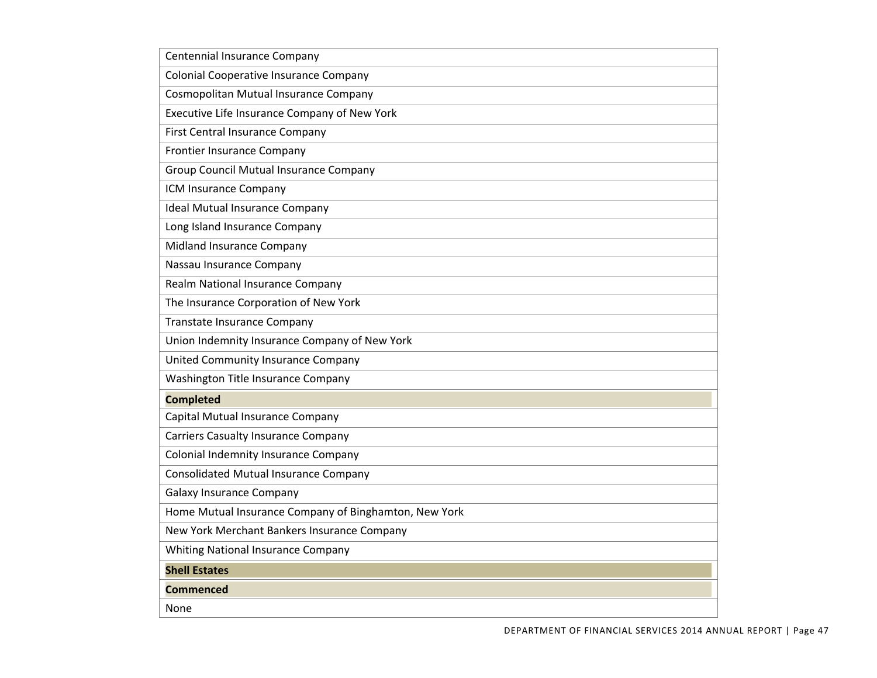| Centennial Insurance Company                          |
|-------------------------------------------------------|
| Colonial Cooperative Insurance Company                |
| Cosmopolitan Mutual Insurance Company                 |
| Executive Life Insurance Company of New York          |
| First Central Insurance Company                       |
| Frontier Insurance Company                            |
| Group Council Mutual Insurance Company                |
| ICM Insurance Company                                 |
| <b>Ideal Mutual Insurance Company</b>                 |
| Long Island Insurance Company                         |
| Midland Insurance Company                             |
| Nassau Insurance Company                              |
| Realm National Insurance Company                      |
| The Insurance Corporation of New York                 |
| <b>Transtate Insurance Company</b>                    |
| Union Indemnity Insurance Company of New York         |
| United Community Insurance Company                    |
| Washington Title Insurance Company                    |
| <b>Completed</b>                                      |
| Capital Mutual Insurance Company                      |
| <b>Carriers Casualty Insurance Company</b>            |
| Colonial Indemnity Insurance Company                  |
| <b>Consolidated Mutual Insurance Company</b>          |
| <b>Galaxy Insurance Company</b>                       |
| Home Mutual Insurance Company of Binghamton, New York |
| New York Merchant Bankers Insurance Company           |
| Whiting National Insurance Company                    |
| <b>Shell Estates</b>                                  |
| Commenced                                             |
| None                                                  |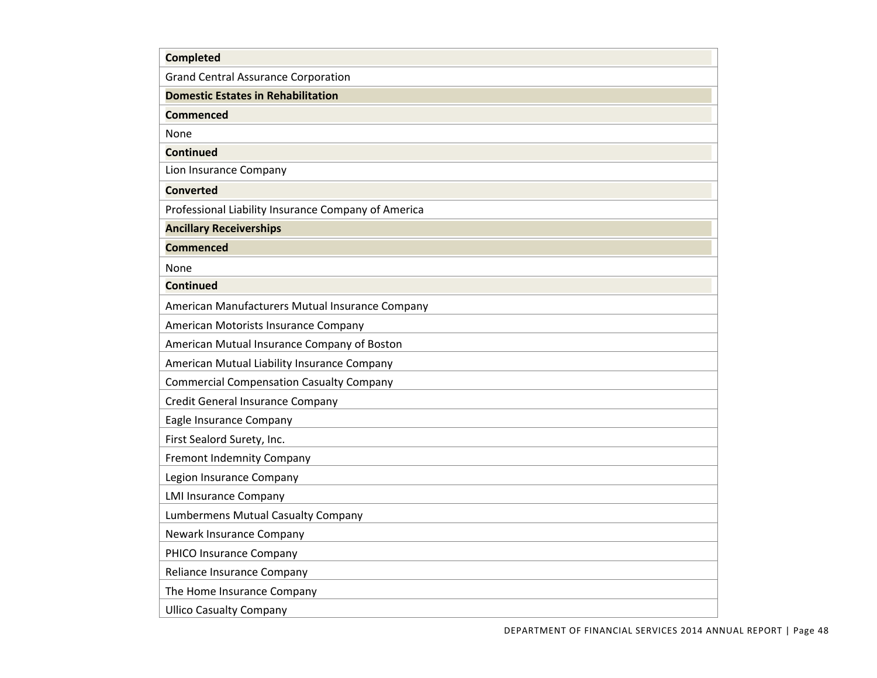| <b>Completed</b>                                    |
|-----------------------------------------------------|
| <b>Grand Central Assurance Corporation</b>          |
| <b>Domestic Estates in Rehabilitation</b>           |
| Commenced                                           |
| None                                                |
| <b>Continued</b>                                    |
| Lion Insurance Company                              |
| <b>Converted</b>                                    |
| Professional Liability Insurance Company of America |
| <b>Ancillary Receiverships</b>                      |
| <b>Commenced</b>                                    |
| None                                                |
| <b>Continued</b>                                    |
| American Manufacturers Mutual Insurance Company     |
| American Motorists Insurance Company                |
| American Mutual Insurance Company of Boston         |
| American Mutual Liability Insurance Company         |
| <b>Commercial Compensation Casualty Company</b>     |
| Credit General Insurance Company                    |
| Eagle Insurance Company                             |
| First Sealord Surety, Inc.                          |
| <b>Fremont Indemnity Company</b>                    |
| Legion Insurance Company                            |
| <b>LMI Insurance Company</b>                        |
| Lumbermens Mutual Casualty Company                  |
| Newark Insurance Company                            |
| PHICO Insurance Company                             |
| Reliance Insurance Company                          |
| The Home Insurance Company                          |
| <b>Ullico Casualty Company</b>                      |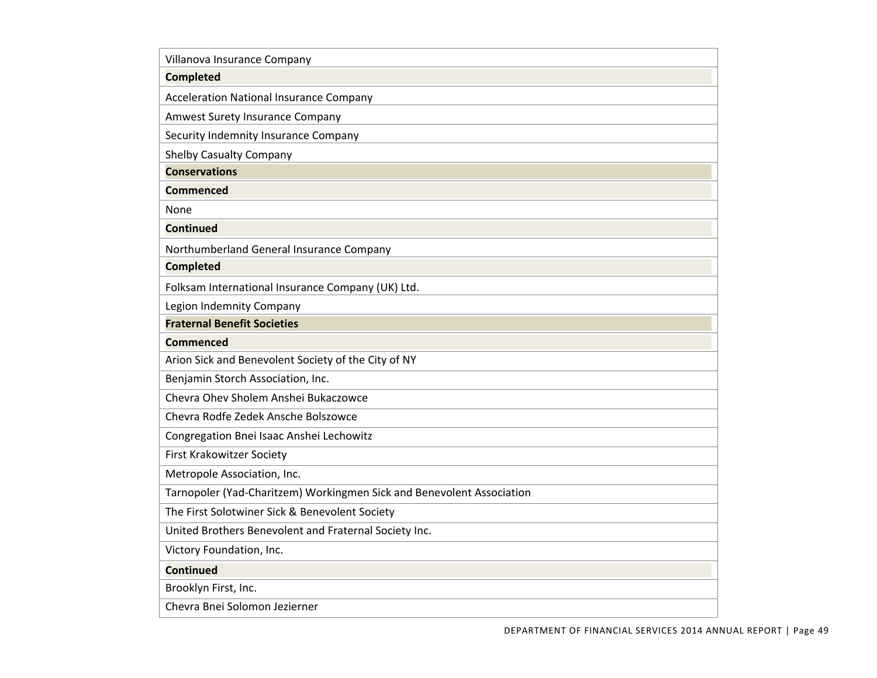| Villanova Insurance Company                                           |
|-----------------------------------------------------------------------|
| <b>Completed</b>                                                      |
| <b>Acceleration National Insurance Company</b>                        |
| Amwest Surety Insurance Company                                       |
| Security Indemnity Insurance Company                                  |
| <b>Shelby Casualty Company</b>                                        |
| <b>Conservations</b>                                                  |
| Commenced                                                             |
| None                                                                  |
| <b>Continued</b>                                                      |
| Northumberland General Insurance Company                              |
| <b>Completed</b>                                                      |
| Folksam International Insurance Company (UK) Ltd.                     |
| Legion Indemnity Company                                              |
| <b>Fraternal Benefit Societies</b>                                    |
| <b>Commenced</b>                                                      |
| Arion Sick and Benevolent Society of the City of NY                   |
| Benjamin Storch Association, Inc.                                     |
| Chevra Ohev Sholem Anshei Bukaczowce                                  |
| Chevra Rodfe Zedek Ansche Bolszowce                                   |
| Congregation Bnei Isaac Anshei Lechowitz                              |
| <b>First Krakowitzer Society</b>                                      |
| Metropole Association, Inc.                                           |
| Tarnopoler (Yad-Charitzem) Workingmen Sick and Benevolent Association |
| The First Solotwiner Sick & Benevolent Society                        |
| United Brothers Benevolent and Fraternal Society Inc.                 |
| Victory Foundation, Inc.                                              |
| <b>Continued</b>                                                      |
| Brooklyn First, Inc.                                                  |
| Chevra Bnei Solomon Jezierner                                         |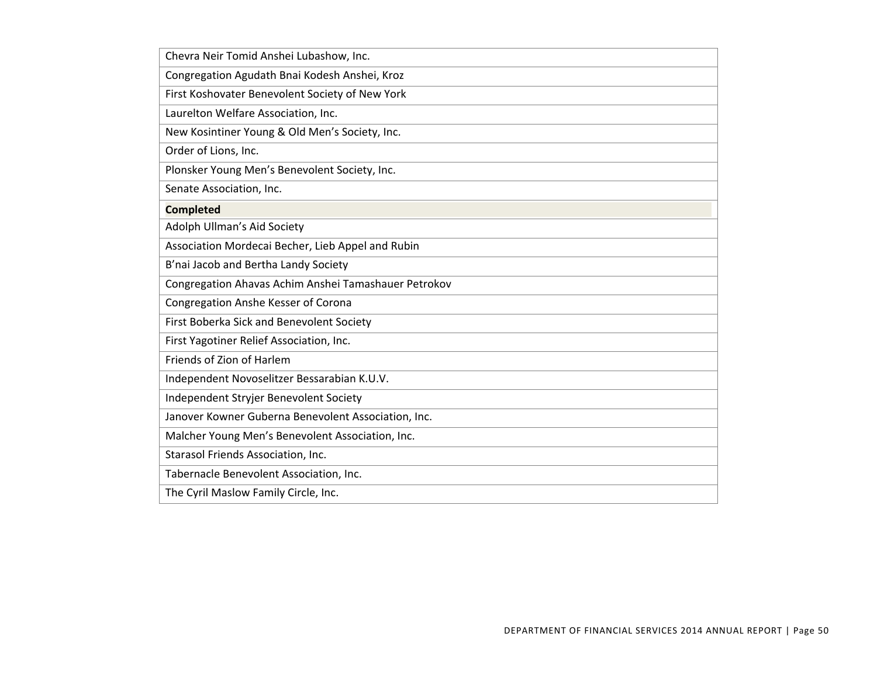| Chevra Neir Tomid Anshei Lubashow, Inc.              |
|------------------------------------------------------|
| Congregation Agudath Bnai Kodesh Anshei, Kroz        |
| First Koshovater Benevolent Society of New York      |
| Laurelton Welfare Association, Inc.                  |
| New Kosintiner Young & Old Men's Society, Inc.       |
| Order of Lions, Inc.                                 |
| Plonsker Young Men's Benevolent Society, Inc.        |
| Senate Association, Inc.                             |
| <b>Completed</b>                                     |
| Adolph Ullman's Aid Society                          |
| Association Mordecai Becher, Lieb Appel and Rubin    |
| B'nai Jacob and Bertha Landy Society                 |
| Congregation Ahavas Achim Anshei Tamashauer Petrokov |
| Congregation Anshe Kesser of Corona                  |
| First Boberka Sick and Benevolent Society            |
| First Yagotiner Relief Association, Inc.             |
| Friends of Zion of Harlem                            |
| Independent Novoselitzer Bessarabian K.U.V.          |
| Independent Stryjer Benevolent Society               |
| Janover Kowner Guberna Benevolent Association, Inc.  |
| Malcher Young Men's Benevolent Association, Inc.     |
| Starasol Friends Association, Inc.                   |
| Tabernacle Benevolent Association, Inc.              |
| The Cyril Maslow Family Circle, Inc.                 |
|                                                      |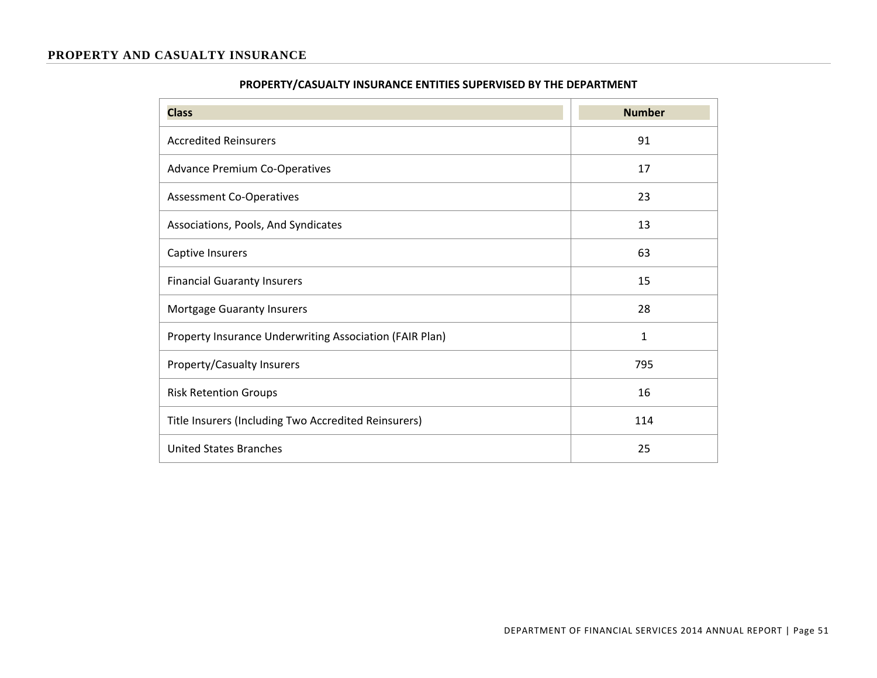#### **PROPERTY AND CASUALTY INSURANCE**

| <b>Class</b>                                            | <b>Number</b> |
|---------------------------------------------------------|---------------|
| <b>Accredited Reinsurers</b>                            | 91            |
| <b>Advance Premium Co-Operatives</b>                    | 17            |
| <b>Assessment Co-Operatives</b>                         | 23            |
| Associations, Pools, And Syndicates                     | 13            |
| Captive Insurers                                        | 63            |
| <b>Financial Guaranty Insurers</b>                      | 15            |
| <b>Mortgage Guaranty Insurers</b>                       | 28            |
| Property Insurance Underwriting Association (FAIR Plan) | 1             |
| <b>Property/Casualty Insurers</b>                       | 795           |
| <b>Risk Retention Groups</b>                            | 16            |
| Title Insurers (Including Two Accredited Reinsurers)    | 114           |
| <b>United States Branches</b>                           | 25            |

## **PROPERTY/CASUALTY INSURANCE ENTITIES SUPERVISED BY THE DEPARTMENT**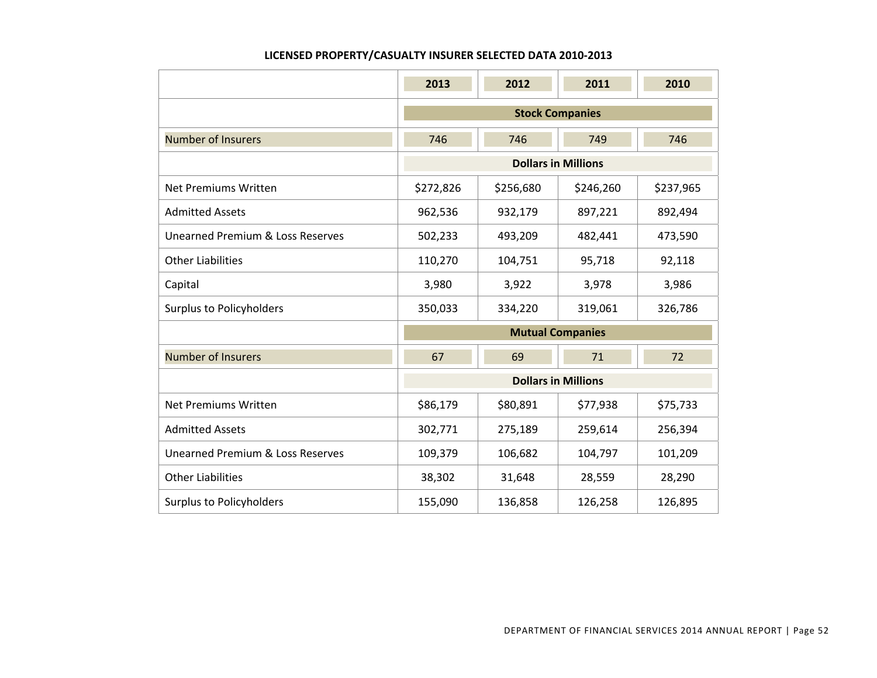#### **LICENSED PROPERTY/CASUALTY INSURER SELECTED DATA 2010‐2013**

|                                  | 2013                     | 2012      | 2011                       | 2010      |  |  |
|----------------------------------|--------------------------|-----------|----------------------------|-----------|--|--|
|                                  | <b>Stock Companies</b>   |           |                            |           |  |  |
| <b>Number of Insurers</b>        | 746<br>746<br>749<br>746 |           |                            |           |  |  |
|                                  |                          |           | <b>Dollars in Millions</b> |           |  |  |
| Net Premiums Written             | \$272,826                | \$256,680 | \$246,260                  | \$237,965 |  |  |
| <b>Admitted Assets</b>           | 962,536                  | 932,179   | 897,221                    | 892,494   |  |  |
| Unearned Premium & Loss Reserves | 502,233                  | 493,209   | 482,441                    | 473,590   |  |  |
| <b>Other Liabilities</b>         | 110,270                  | 104,751   | 95,718                     | 92,118    |  |  |
| Capital                          | 3,980                    | 3,922     | 3,978                      | 3,986     |  |  |
| <b>Surplus to Policyholders</b>  | 350,033                  | 334,220   | 319,061                    | 326,786   |  |  |
|                                  |                          |           | <b>Mutual Companies</b>    |           |  |  |
| <b>Number of Insurers</b>        | 67                       | 69        | 71                         | 72        |  |  |
|                                  |                          |           | <b>Dollars in Millions</b> |           |  |  |
| <b>Net Premiums Written</b>      | \$86,179                 | \$80,891  | \$77,938                   | \$75,733  |  |  |
| <b>Admitted Assets</b>           | 302,771                  | 275,189   | 259,614                    | 256,394   |  |  |
| Unearned Premium & Loss Reserves | 109,379                  | 106,682   | 104,797                    | 101,209   |  |  |
| <b>Other Liabilities</b>         | 38,302                   | 31,648    | 28,559                     | 28,290    |  |  |
| <b>Surplus to Policyholders</b>  | 155,090                  | 136,858   | 126,258                    | 126,895   |  |  |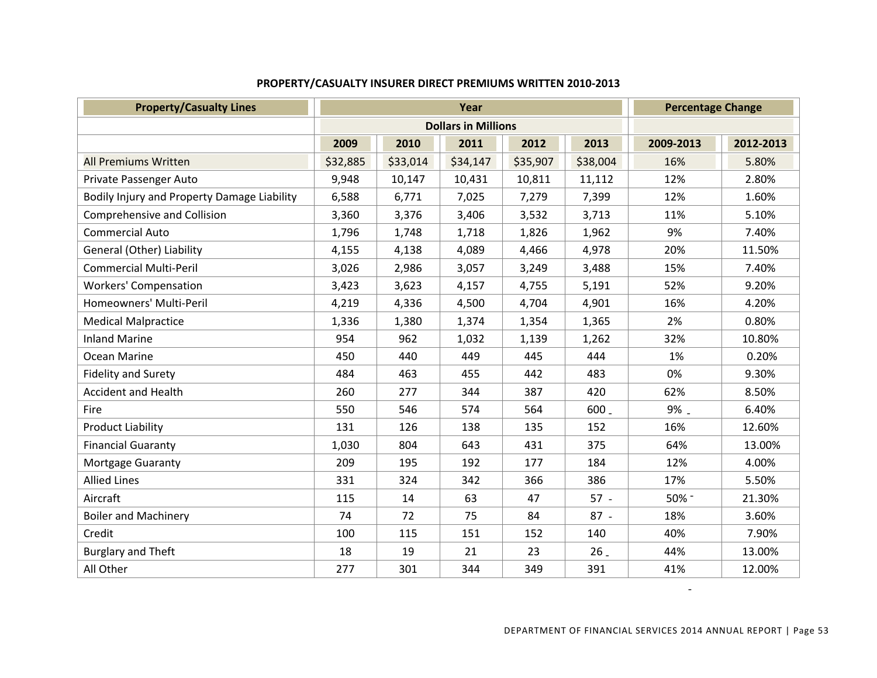| <b>Property/Casualty Lines</b>              | Year     |                            |          |          | <b>Percentage Change</b> |           |           |
|---------------------------------------------|----------|----------------------------|----------|----------|--------------------------|-----------|-----------|
|                                             |          | <b>Dollars in Millions</b> |          |          |                          |           |           |
|                                             | 2009     | 2010                       | 2011     | 2012     | 2013                     | 2009-2013 | 2012-2013 |
| <b>All Premiums Written</b>                 | \$32,885 | \$33,014                   | \$34,147 | \$35,907 | \$38,004                 | 16%       | 5.80%     |
| Private Passenger Auto                      | 9,948    | 10,147                     | 10,431   | 10,811   | 11,112                   | 12%       | 2.80%     |
| Bodily Injury and Property Damage Liability | 6,588    | 6,771                      | 7,025    | 7,279    | 7,399                    | 12%       | 1.60%     |
| Comprehensive and Collision                 | 3,360    | 3,376                      | 3,406    | 3,532    | 3,713                    | 11%       | 5.10%     |
| <b>Commercial Auto</b>                      | 1,796    | 1,748                      | 1,718    | 1,826    | 1,962                    | 9%        | 7.40%     |
| General (Other) Liability                   | 4,155    | 4,138                      | 4,089    | 4,466    | 4,978                    | 20%       | 11.50%    |
| <b>Commercial Multi-Peril</b>               | 3,026    | 2,986                      | 3,057    | 3,249    | 3,488                    | 15%       | 7.40%     |
| <b>Workers' Compensation</b>                | 3,423    | 3,623                      | 4,157    | 4,755    | 5,191                    | 52%       | 9.20%     |
| Homeowners' Multi-Peril                     | 4,219    | 4,336                      | 4,500    | 4,704    | 4,901                    | 16%       | 4.20%     |
| <b>Medical Malpractice</b>                  | 1,336    | 1,380                      | 1,374    | 1,354    | 1,365                    | 2%        | 0.80%     |
| <b>Inland Marine</b>                        | 954      | 962                        | 1,032    | 1,139    | 1,262                    | 32%       | 10.80%    |
| Ocean Marine                                | 450      | 440                        | 449      | 445      | 444                      | 1%        | 0.20%     |
| <b>Fidelity and Surety</b>                  | 484      | 463                        | 455      | 442      | 483                      | 0%        | 9.30%     |
| <b>Accident and Health</b>                  | 260      | 277                        | 344      | 387      | 420                      | 62%       | 8.50%     |
| Fire                                        | 550      | 546                        | 574      | 564      | 600                      | 9% _      | 6.40%     |
| <b>Product Liability</b>                    | 131      | 126                        | 138      | 135      | 152                      | 16%       | 12.60%    |
| <b>Financial Guaranty</b>                   | 1,030    | 804                        | 643      | 431      | 375                      | 64%       | 13.00%    |
| Mortgage Guaranty                           | 209      | 195                        | 192      | 177      | 184                      | 12%       | 4.00%     |
| <b>Allied Lines</b>                         | 331      | 324                        | 342      | 366      | 386                      | 17%       | 5.50%     |
| Aircraft                                    | 115      | 14                         | 63       | 47       | $57 -$                   | 50% -     | 21.30%    |
| <b>Boiler and Machinery</b>                 | 74       | 72                         | 75       | 84       | $87 -$                   | 18%       | 3.60%     |
| Credit                                      | 100      | 115                        | 151      | 152      | 140                      | 40%       | 7.90%     |
| <b>Burglary and Theft</b>                   | 18       | 19                         | 21       | 23       | 26                       | 44%       | 13.00%    |
| All Other                                   | 277      | 301                        | 344      | 349      | 391                      | 41%       | 12.00%    |

## **PROPERTY/CASUALTY INSURER DIRECT PREMIUMS WRITTEN 2010‐2013**

‐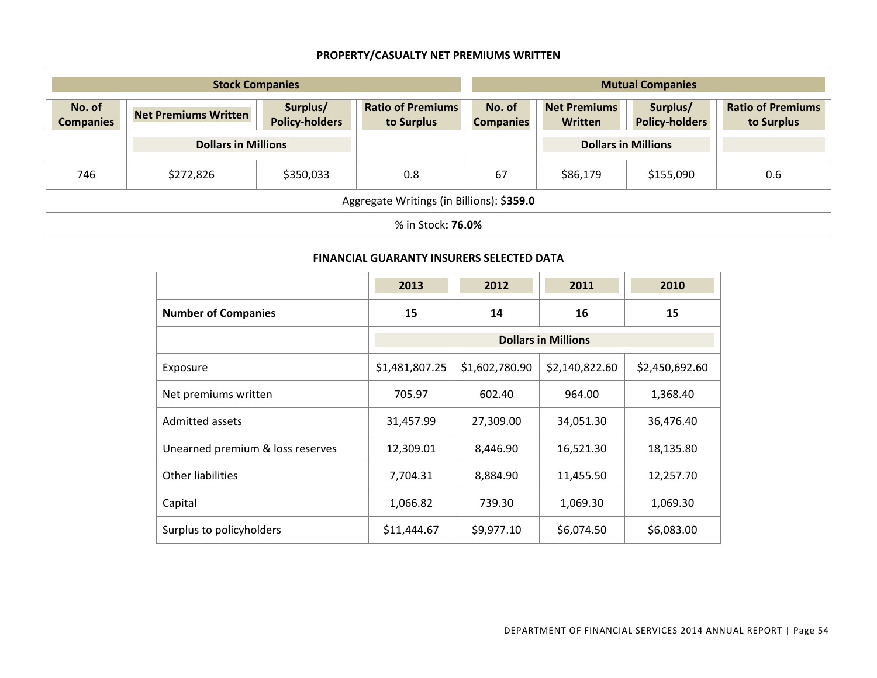## **PROPERTY/CASUALTY NET PREMIUMS WRITTEN**

| <b>Stock Companies</b>     |                                           |                                   |                                        |                            | <b>Mutual Companies</b>               |                                   |                                        |
|----------------------------|-------------------------------------------|-----------------------------------|----------------------------------------|----------------------------|---------------------------------------|-----------------------------------|----------------------------------------|
| No. of<br><b>Companies</b> | <b>Net Premiums Written</b>               | Surplus/<br><b>Policy-holders</b> | <b>Ratio of Premiums</b><br>to Surplus | No. of<br><b>Companies</b> | <b>Net Premiums</b><br><b>Written</b> | Surplus/<br><b>Policy-holders</b> | <b>Ratio of Premiums</b><br>to Surplus |
|                            | <b>Dollars in Millions</b>                |                                   |                                        |                            | <b>Dollars in Millions</b>            |                                   |                                        |
| 746                        | \$272,826                                 | \$350,033                         | 0.8                                    | 67                         | \$86,179                              | \$155,090                         | 0.6                                    |
|                            | Aggregate Writings (in Billions): \$359.0 |                                   |                                        |                            |                                       |                                   |                                        |
|                            | % in Stock <b>: 76.0%</b>                 |                                   |                                        |                            |                                       |                                   |                                        |

#### **FINANCIAL GUARANTY INSURERS SELECTED DATA**

|                                  | 2013                       | 2012           | 2011           | 2010           |  |  |
|----------------------------------|----------------------------|----------------|----------------|----------------|--|--|
| <b>Number of Companies</b>       | 15                         | 14             | 16             | 15             |  |  |
|                                  | <b>Dollars in Millions</b> |                |                |                |  |  |
| Exposure                         | \$1,481,807.25             | \$1,602,780.90 | \$2,140,822.60 | \$2,450,692.60 |  |  |
| Net premiums written             | 705.97                     | 602.40         | 964.00         | 1,368.40       |  |  |
| <b>Admitted assets</b>           | 31,457.99                  | 27,309.00      | 34,051.30      | 36,476.40      |  |  |
| Unearned premium & loss reserves | 12,309.01                  | 8,446.90       | 16,521.30      | 18,135.80      |  |  |
| Other liabilities                | 7,704.31                   | 8,884.90       | 11,455.50      | 12,257.70      |  |  |
| Capital                          | 1,066.82                   | 739.30         | 1,069.30       | 1,069.30       |  |  |
| Surplus to policyholders         | \$11,444.67                | \$9,977.10     | \$6,074.50     | \$6,083.00     |  |  |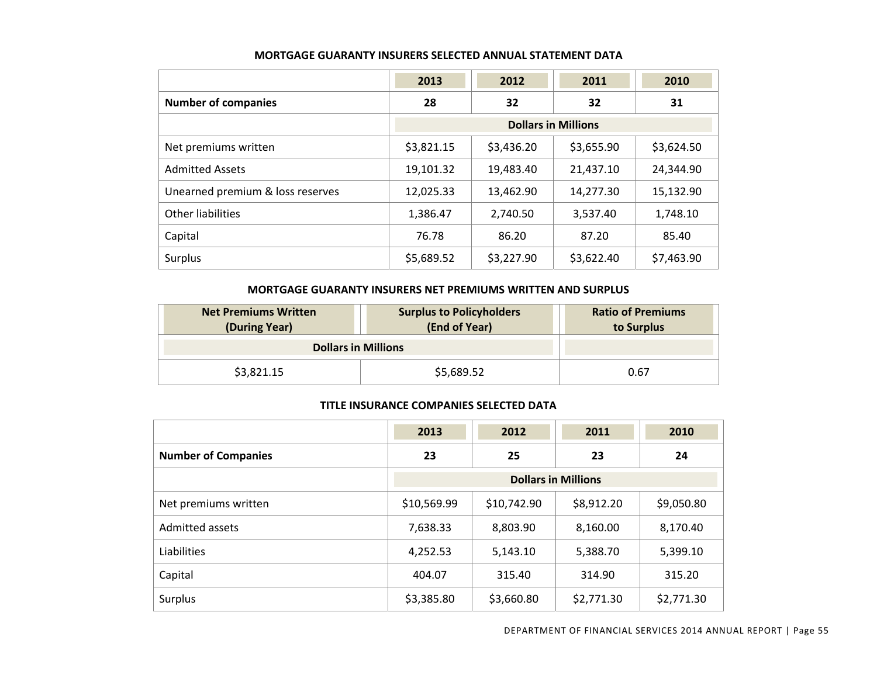|                                  | 2013                       | 2012       | 2011       | 2010       |
|----------------------------------|----------------------------|------------|------------|------------|
| <b>Number of companies</b>       | 28                         | 32         | 32         | 31         |
|                                  | <b>Dollars in Millions</b> |            |            |            |
| Net premiums written             | \$3,821.15                 | \$3,436.20 | \$3,655.90 | \$3,624.50 |
| <b>Admitted Assets</b>           | 19,101.32                  | 19,483.40  | 21,437.10  | 24,344.90  |
| Unearned premium & loss reserves | 12,025.33                  | 13,462.90  | 14,277.30  | 15,132.90  |
| <b>Other liabilities</b>         | 1,386.47                   | 2,740.50   | 3,537.40   | 1,748.10   |
| Capital                          | 76.78                      | 86.20      | 87.20      | 85.40      |
| Surplus                          | \$5,689.52                 | \$3,227.90 | \$3,622.40 | \$7,463.90 |

#### **MORTGAGE GUARANTY INSURERS SELECTED ANNUAL STATEMENT DATA**

#### **MORTGAGE GUARANTY INSURERS NET PREMIUMS WRITTEN AND SURPLUS**

| <b>Net Premiums Written</b><br>(During Year) | <b>Surplus to Policyholders</b><br>(End of Year) | <b>Ratio of Premiums</b><br>to Surplus |
|----------------------------------------------|--------------------------------------------------|----------------------------------------|
| <b>Dollars in Millions</b>                   |                                                  |                                        |
| \$3,821.15                                   | \$5,689.52                                       | 0.67                                   |

#### **TITLE INSURANCE COMPANIES SELECTED DATA**

|                            | 2013                       | 2012        | 2011       | 2010       |  |
|----------------------------|----------------------------|-------------|------------|------------|--|
| <b>Number of Companies</b> | 23                         | 25          | 23         | 24         |  |
|                            | <b>Dollars in Millions</b> |             |            |            |  |
| Net premiums written       | \$10,569.99                | \$10,742.90 | \$8,912.20 | \$9,050.80 |  |
| Admitted assets            | 7,638.33                   | 8,803.90    | 8,160.00   | 8,170.40   |  |
| Liabilities                | 4,252.53                   | 5,143.10    | 5,388.70   | 5,399.10   |  |
| Capital                    | 404.07                     | 315.40      | 314.90     | 315.20     |  |
| Surplus                    | \$3,385.80                 | \$3,660.80  | \$2,771.30 | \$2,771.30 |  |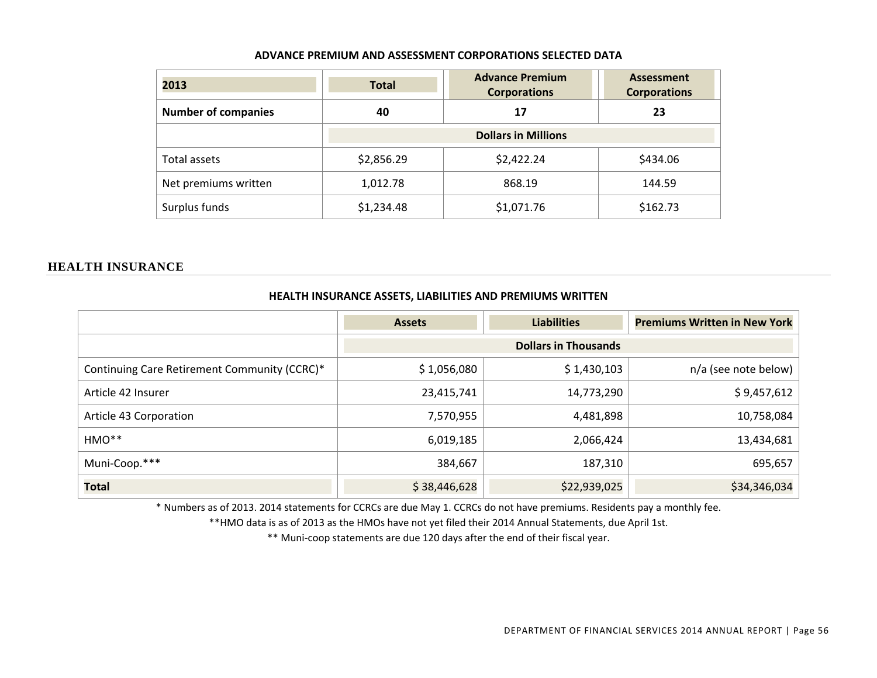| 2013                       | <b>Total</b>               | <b>Advance Premium</b><br><b>Corporations</b> |          |  |  |  |
|----------------------------|----------------------------|-----------------------------------------------|----------|--|--|--|
| <b>Number of companies</b> | 40<br>17                   |                                               | 23       |  |  |  |
|                            | <b>Dollars in Millions</b> |                                               |          |  |  |  |
| Total assets               | \$2,856.29                 | \$2,422.24                                    | \$434.06 |  |  |  |
| Net premiums written       | 1,012.78                   | 868.19                                        | 144.59   |  |  |  |
| Surplus funds              | \$1,234.48                 | \$1,071.76                                    | \$162.73 |  |  |  |

#### **HEALTH INSURANCE**

|                                              | <b>HEALIH INSURANCE ASSETS, LIABILITIES AND PREMIUMS WRITTEN</b> |                    |                                     |  |  |  |
|----------------------------------------------|------------------------------------------------------------------|--------------------|-------------------------------------|--|--|--|
|                                              | <b>Assets</b>                                                    | <b>Liabilities</b> | <b>Premiums Written in New York</b> |  |  |  |
|                                              | <b>Dollars in Thousands</b>                                      |                    |                                     |  |  |  |
| Continuing Care Retirement Community (CCRC)* | \$1,056,080                                                      | \$1,430,103        | n/a (see note below)                |  |  |  |
| Article 42 Insurer                           | 23,415,741                                                       | 14,773,290         | \$9,457,612                         |  |  |  |
| Article 43 Corporation                       | 7,570,955                                                        | 4,481,898          | 10,758,084                          |  |  |  |
| HMO**                                        | 6,019,185                                                        | 2,066,424          | 13,434,681                          |  |  |  |
| Muni-Coop.***                                | 384,667                                                          | 187,310            | 695,657                             |  |  |  |
| <b>Total</b>                                 | \$38,446,628                                                     | \$22,939,025       | \$34,346,034                        |  |  |  |

**HEALTHINSURANCE ASSETS, LIABILITIES AND PREMIUMS WRITTEN**

\* Numbers as of 2013. 2014 statements for CCRCs are due May 1. CCRCs do not have premiums. Residents pay <sup>a</sup> monthly fee.

\*\*HMO data is as of 2013 as the HMOs have not yet filed their 2014 Annual Statements, due April 1st.

\*\* Muni‐coop statements are due 120 days after the end of their fiscal year.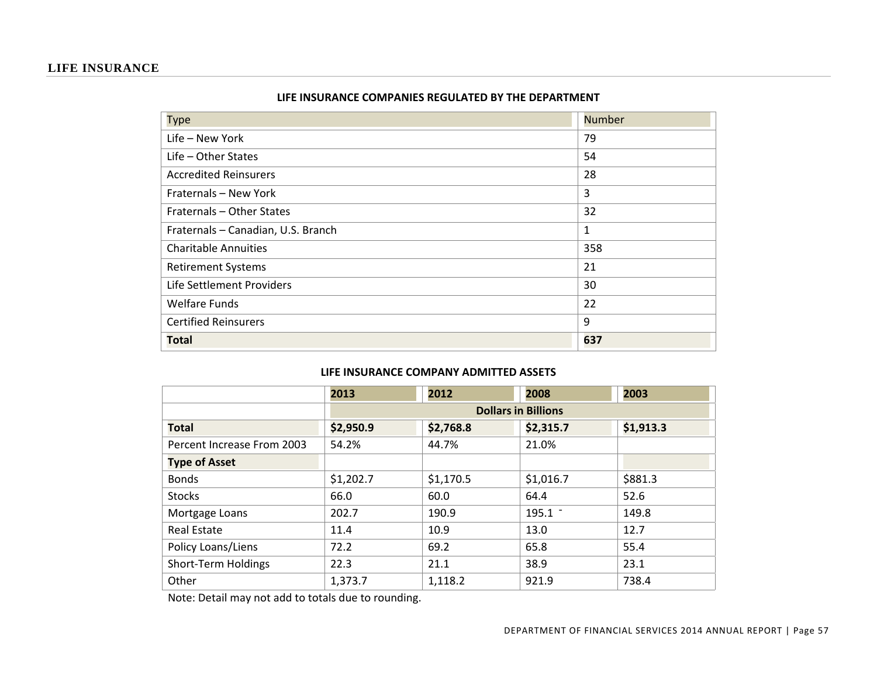#### **LIFE INSURANCE**

| <b>Type</b>                        | <b>Number</b> |
|------------------------------------|---------------|
| Life - New York                    | 79            |
| $Life - Other States$              | 54            |
| <b>Accredited Reinsurers</b>       | 28            |
| Fraternals - New York              | 3             |
| Fraternals - Other States          | 32            |
| Fraternals - Canadian, U.S. Branch | 1             |
| <b>Charitable Annuities</b>        | 358           |
| <b>Retirement Systems</b>          | 21            |
| Life Settlement Providers          | 30            |
| <b>Welfare Funds</b>               | 22            |
| <b>Certified Reinsurers</b>        | 9             |
| <b>Total</b>                       | 637           |

#### **LIFE INSURANCE COMPANIES REGULATED BY THE DEPARTMENT**

#### **LIFE INSURANCE COMPANY ADMITTED ASSETS**

|                            | 2013      | 2012                       | 2008      | 2003      |  |  |  |  |
|----------------------------|-----------|----------------------------|-----------|-----------|--|--|--|--|
|                            |           | <b>Dollars in Billions</b> |           |           |  |  |  |  |
| <b>Total</b>               | \$2,950.9 | \$2,768.8                  | \$2,315.7 | \$1,913.3 |  |  |  |  |
| Percent Increase From 2003 | 54.2%     | 44.7%                      | 21.0%     |           |  |  |  |  |
| <b>Type of Asset</b>       |           |                            |           |           |  |  |  |  |
| <b>Bonds</b>               | \$1,202.7 | \$1,170.5                  | \$1,016.7 | \$881.3   |  |  |  |  |
| <b>Stocks</b>              | 66.0      | 60.0                       | 64.4      | 52.6      |  |  |  |  |
| Mortgage Loans             | 202.7     | 190.9                      | $195.1 -$ | 149.8     |  |  |  |  |
| <b>Real Estate</b>         | 11.4      | 10.9                       | 13.0      | 12.7      |  |  |  |  |
| Policy Loans/Liens         | 72.2      | 69.2                       | 65.8      | 55.4      |  |  |  |  |
| Short-Term Holdings        | 22.3      | 21.1                       | 38.9      | 23.1      |  |  |  |  |
| Other                      | 1,373.7   | 1,118.2                    | 921.9     | 738.4     |  |  |  |  |

Note: Detail may not add to totals due to rounding.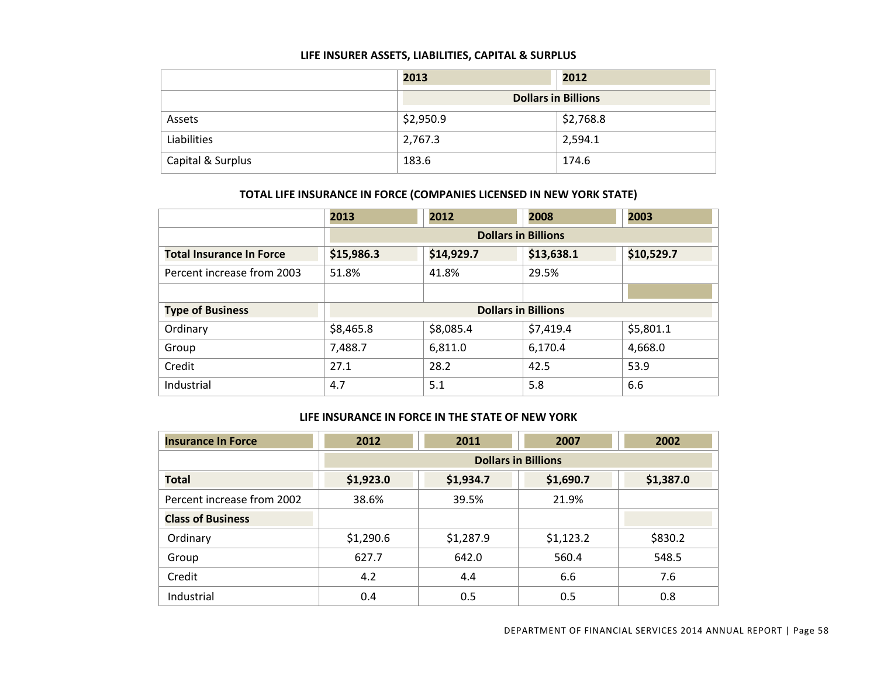#### **LIFE INSURER ASSETS, LIABILITIES, CAPITAL & SURPLUS**

|                   | 2013      | 2012                       |
|-------------------|-----------|----------------------------|
|                   |           | <b>Dollars in Billions</b> |
| Assets            | \$2,950.9 | \$2,768.8                  |
| Liabilities       | 2,767.3   | 2,594.1                    |
| Capital & Surplus | 183.6     | 174.6                      |

#### **TOTAL LIFE INSURANCE IN FORCE (COMPANIES LICENSED IN NEW YORK STATE)**

|                                 | 2013       | 2012                                   | 2008      | 2003      |  |  |
|---------------------------------|------------|----------------------------------------|-----------|-----------|--|--|
|                                 |            | <b>Dollars in Billions</b>             |           |           |  |  |
| <b>Total Insurance In Force</b> | \$15,986.3 | \$13,638.1<br>\$10,529.7<br>\$14,929.7 |           |           |  |  |
| Percent increase from 2003      | 51.8%      | 41.8%                                  | 29.5%     |           |  |  |
|                                 |            |                                        |           |           |  |  |
| <b>Type of Business</b>         |            | <b>Dollars in Billions</b>             |           |           |  |  |
| Ordinary                        | \$8,465.8  | \$8,085.4                              | \$7,419.4 | \$5,801.1 |  |  |
| Group                           | 7,488.7    | 6,811.0                                | 6,170.4   | 4,668.0   |  |  |
| Credit                          | 27.1       | 28.2                                   | 42.5      | 53.9      |  |  |
| Industrial                      | 4.7        | 5.1                                    | 5.8       | 6.6       |  |  |

#### **LIFE INSURANCE IN FORCE IN THE STATE OF NEW YORK**

| <b>Insurance In Force</b>  | 2012                       | 2011      | 2007      | 2002      |  |
|----------------------------|----------------------------|-----------|-----------|-----------|--|
|                            | <b>Dollars in Billions</b> |           |           |           |  |
| <b>Total</b>               | \$1,923.0                  | \$1,934.7 | \$1,690.7 | \$1,387.0 |  |
| Percent increase from 2002 | 38.6%                      | 39.5%     | 21.9%     |           |  |
| <b>Class of Business</b>   |                            |           |           |           |  |
| Ordinary                   | \$1,290.6                  | \$1,287.9 | \$1,123.2 | \$830.2   |  |
| Group                      | 627.7                      | 642.0     | 560.4     | 548.5     |  |
| Credit                     | 4.2                        | 4.4       | 6.6       | 7.6       |  |
| Industrial                 | 0.4                        | 0.5       | 0.5       | 0.8       |  |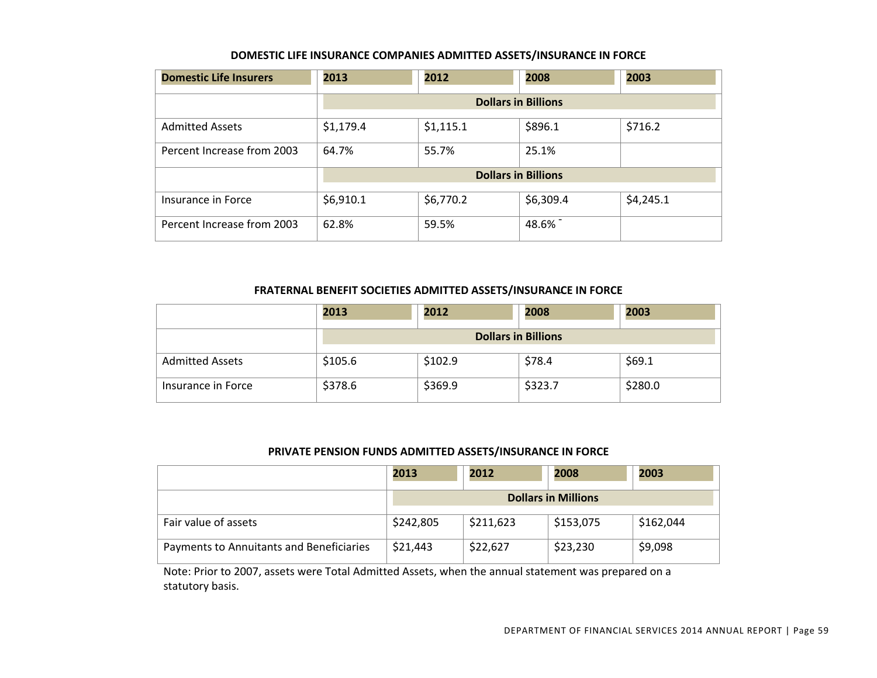#### **DOMESTIC LIFE INSURANCE COMPANIES ADMITTED ASSETS/INSURANCE IN FORCE**

| <b>Domestic Life Insurers</b> | 2013      | 2012      | 2008                       | 2003      |
|-------------------------------|-----------|-----------|----------------------------|-----------|
|                               |           |           | <b>Dollars in Billions</b> |           |
| <b>Admitted Assets</b>        | \$1,179.4 | \$1,115.1 | \$896.1                    | \$716.2   |
| Percent Increase from 2003    | 64.7%     | 55.7%     | 25.1%                      |           |
|                               |           |           | <b>Dollars in Billions</b> |           |
| Insurance in Force            | \$6,910.1 | \$6,770.2 | \$6,309.4                  | \$4,245.1 |
| Percent Increase from 2003    | 62.8%     | 59.5%     | 48.6%                      |           |

#### **FRATERNAL BENEFIT SOCIETIES ADMITTED ASSETS/INSURANCE** ‐ **IN FORCE**

|                        | 2013    | 2012    | 2008                       | 2003    |
|------------------------|---------|---------|----------------------------|---------|
|                        |         |         | <b>Dollars in Billions</b> |         |
| <b>Admitted Assets</b> | \$105.6 | \$102.9 | \$78.4                     | \$69.1  |
| Insurance in Force     | \$378.6 | \$369.9 | \$323.7                    | \$280.0 |

#### **PRIVATE PENSION FUNDS ADMITTED ASSETS/INSURANCE IN FORCE**

|                                          | 2013      | 2012      | 2008                       | 2003      |
|------------------------------------------|-----------|-----------|----------------------------|-----------|
|                                          |           |           | <b>Dollars in Millions</b> |           |
| Fair value of assets                     | \$242,805 | \$211,623 | \$153,075                  | \$162,044 |
| Payments to Annuitants and Beneficiaries | \$21,443  | \$22,627  | \$23,230                   | \$9,098   |

Note: Prior to 2007, assets were Total Admitted Assets, when the annual statement was prepared on <sup>a</sup> statutory basis.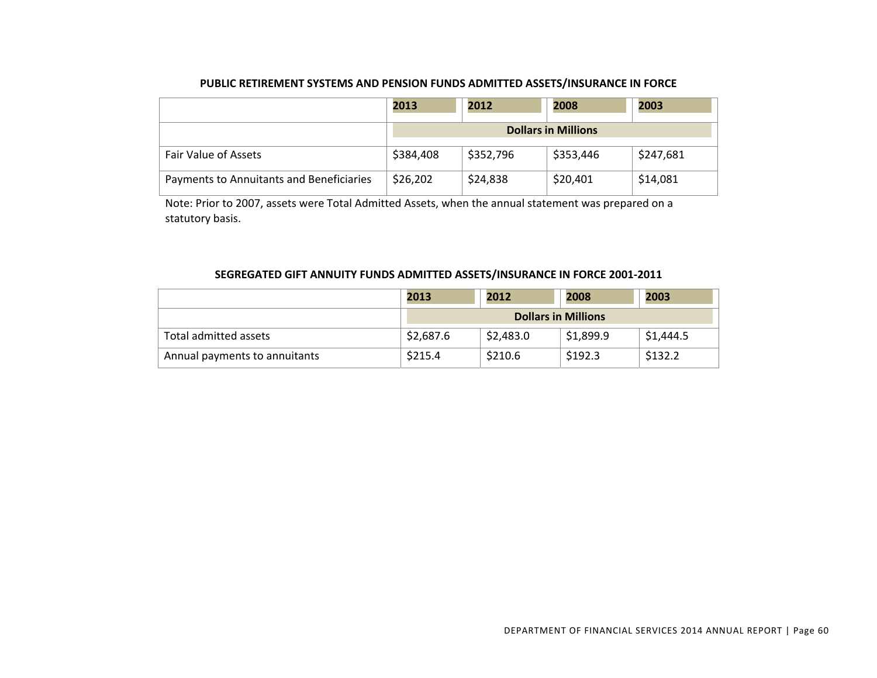#### **PUBLIC RETIREMENT SYSTEMS AND PENSION FUNDS ADMITTED ASSETS/INSURANCE IN FORCE**

|                                          | 2013      | 2012      | 2008                       | 2003      |
|------------------------------------------|-----------|-----------|----------------------------|-----------|
|                                          |           |           | <b>Dollars in Millions</b> |           |
| <b>Fair Value of Assets</b>              | \$384,408 | \$352,796 | \$353,446                  | \$247,681 |
| Payments to Annuitants and Beneficiaries | \$26,202  | \$24,838  | \$20,401                   | \$14,081  |

Note: Prior to 2007, assets were Total Admitted Assets, when the annual statement was prepared on <sup>a</sup> statutory basis.

#### **SEGREGATED GIFT ANNUITY FUNDS ADMITTED ASSETS/INSURANCE IN FORCE 2001‐2011**

|                               | 2013      | 2012                       | 2008      | 2003      |
|-------------------------------|-----------|----------------------------|-----------|-----------|
|                               |           | <b>Dollars in Millions</b> |           |           |
| Total admitted assets         | \$2,687.6 | \$2,483.0                  | \$1,899.9 | \$1,444.5 |
| Annual payments to annuitants | \$215.4   | \$210.6                    | \$192.3   | \$132.2   |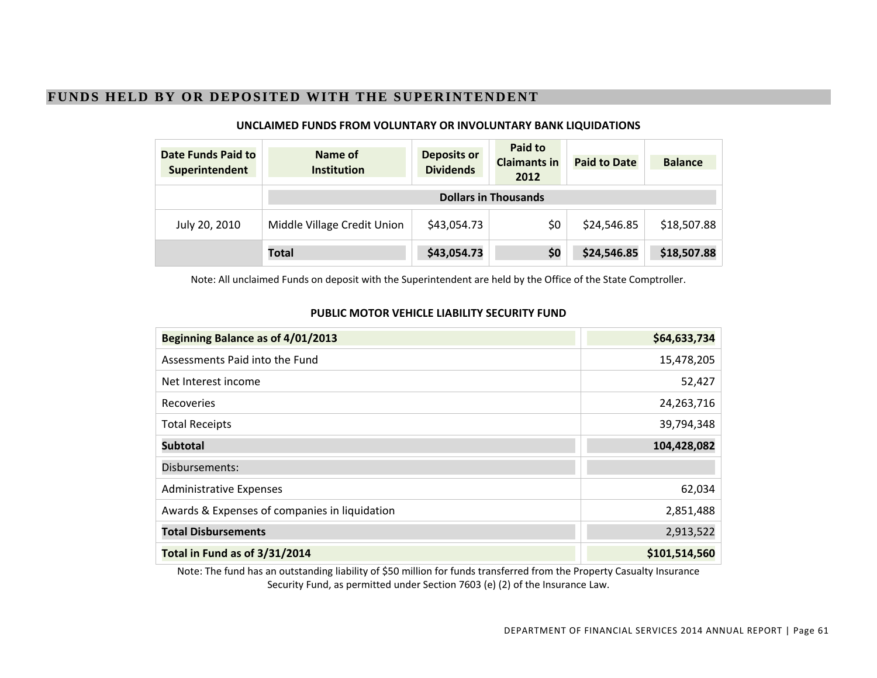# **FUNDS HELD BY OR DEPOSITED WITH THE SUPERINTENDENT**

| <b>Date Funds Paid to</b><br>Superintendent | Name of<br><b>Institution</b> | <b>Deposits or</b><br><b>Dividends</b> | Paid to<br><b>Claimants in</b><br>2012 | <b>Paid to Date</b> | <b>Balance</b> |
|---------------------------------------------|-------------------------------|----------------------------------------|----------------------------------------|---------------------|----------------|
|                                             | <b>Dollars in Thousands</b>   |                                        |                                        |                     |                |
| July 20, 2010                               | Middle Village Credit Union   | \$43,054.73                            | \$0                                    | \$24,546.85         | \$18,507.88    |
|                                             | <b>Total</b>                  | \$43,054.73                            | \$0                                    | \$24,546.85         | \$18,507.88    |

#### **UNCLAIMED FUNDS FROM VOLUNTARY OR INVOLUNTARY BANK LIQUIDATIONS**

Note: All unclaimed Funds on deposit with the Superintendent are held by the Office of the State Comptroller.

#### **PUBLIC MOTOR VEHICLE LIABILITY SECURITY FUND**

| Beginning Balance as of 4/01/2013             | \$64,633,734  |
|-----------------------------------------------|---------------|
| Assessments Paid into the Fund                | 15,478,205    |
| Net Interest income                           | 52,427        |
| <b>Recoveries</b>                             | 24,263,716    |
| <b>Total Receipts</b>                         | 39,794,348    |
| <b>Subtotal</b>                               | 104,428,082   |
| Disbursements:                                |               |
| <b>Administrative Expenses</b>                | 62,034        |
| Awards & Expenses of companies in liquidation | 2,851,488     |
| <b>Total Disbursements</b>                    | 2,913,522     |
| Total in Fund as of 3/31/2014                 | \$101,514,560 |

Note: The fund has an outstanding liability of \$50 million for funds transferred from the Property Casualty Insurance Security Fund, as permitted under Section 7603 (e) (2) of the Insurance Law.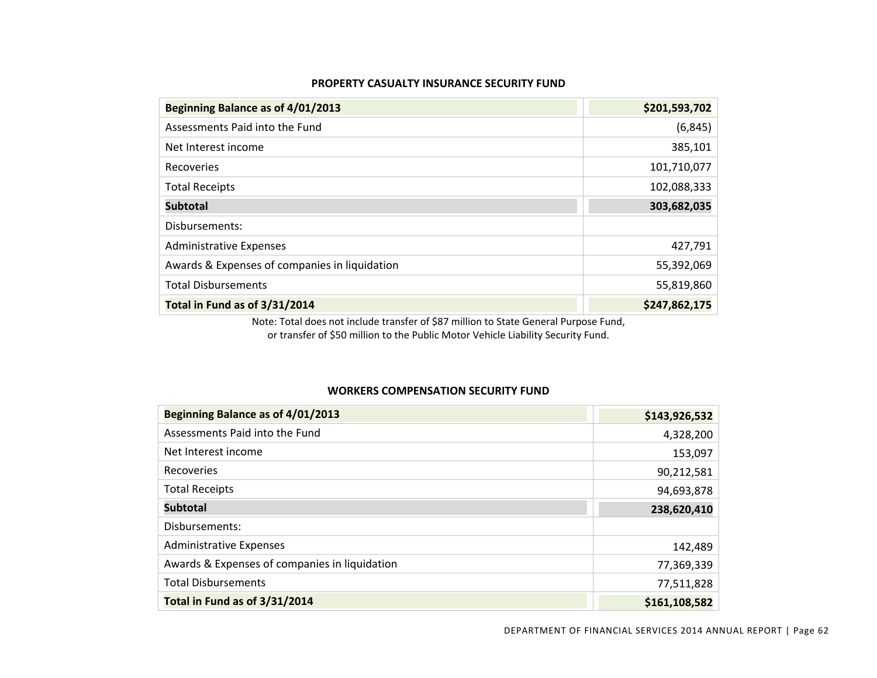| PROPERTY CASUALTY INSURANCE SECURITY FUND |
|-------------------------------------------|
|-------------------------------------------|

| Beginning Balance as of 4/01/2013             | \$201,593,702 |
|-----------------------------------------------|---------------|
| Assessments Paid into the Fund                | (6, 845)      |
| Net Interest income                           | 385,101       |
| Recoveries                                    | 101,710,077   |
| <b>Total Receipts</b>                         | 102,088,333   |
| <b>Subtotal</b>                               | 303,682,035   |
| Disbursements:                                |               |
| <b>Administrative Expenses</b>                | 427,791       |
| Awards & Expenses of companies in liquidation | 55,392,069    |
| <b>Total Disbursements</b>                    | 55,819,860    |
| Total in Fund as of 3/31/2014                 | \$247,862,175 |

Note: Total does not include transfer of \$87 million to State General Purpose Fund, or transfer of \$50 million to the Public Motor Vehicle Liability Security Fund.

#### **WORKERS COMPENSATION SECURITY FUND**

| Beginning Balance as of 4/01/2013             | \$143,926,532 |
|-----------------------------------------------|---------------|
| Assessments Paid into the Fund                | 4,328,200     |
| Net Interest income                           | 153,097       |
| Recoveries                                    | 90,212,581    |
| <b>Total Receipts</b>                         | 94,693,878    |
| <b>Subtotal</b>                               | 238,620,410   |
| Disbursements:                                |               |
| <b>Administrative Expenses</b>                | 142,489       |
| Awards & Expenses of companies in liquidation | 77,369,339    |
| <b>Total Disbursements</b>                    | 77,511,828    |
| Total in Fund as of 3/31/2014                 | \$161,108,582 |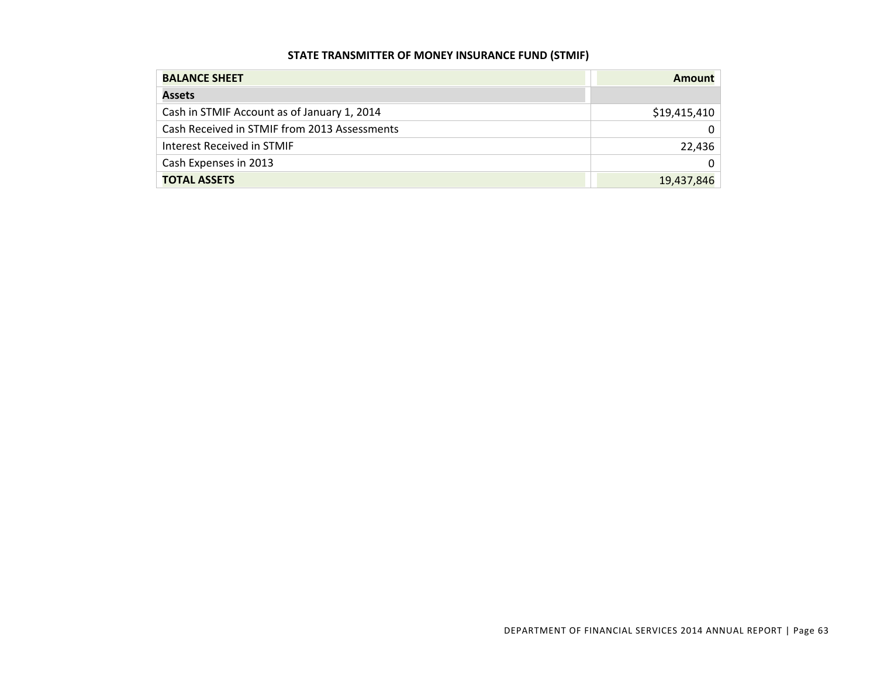#### **STATE TRANSMITTER OF MONEY INSURANCE FUND (STMIF)**

| <b>BALANCE SHEET</b>                         | Amount       |
|----------------------------------------------|--------------|
| <b>Assets</b>                                |              |
| Cash in STMIF Account as of January 1, 2014  | \$19,415,410 |
| Cash Received in STMIF from 2013 Assessments |              |
| Interest Received in STMIF                   | 22,436       |
| Cash Expenses in 2013                        |              |
| <b>TOTAL ASSETS</b>                          | 19,437,846   |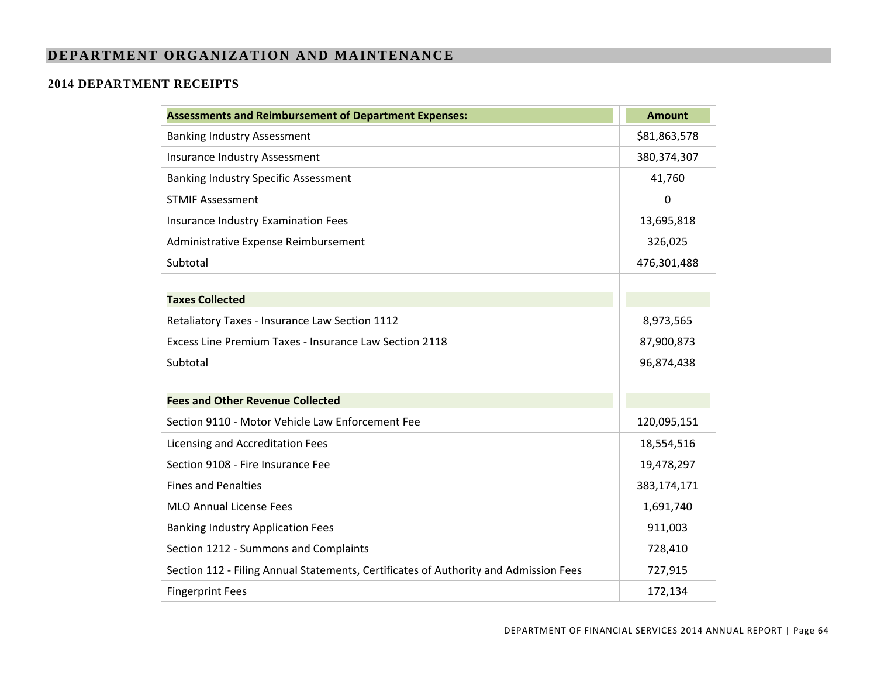## **DEPARTMENT ORGANIZATION AND MAINTENANCE**

#### **2014 DEPARTMENT RECEIPTS**

| <b>Assessments and Reimbursement of Department Expenses:</b>                         | <b>Amount</b> |
|--------------------------------------------------------------------------------------|---------------|
| <b>Banking Industry Assessment</b>                                                   | \$81,863,578  |
| <b>Insurance Industry Assessment</b>                                                 | 380, 374, 307 |
| <b>Banking Industry Specific Assessment</b>                                          | 41,760        |
| <b>STMIF Assessment</b>                                                              | $\mathbf 0$   |
| Insurance Industry Examination Fees                                                  | 13,695,818    |
| Administrative Expense Reimbursement                                                 | 326,025       |
| Subtotal                                                                             | 476,301,488   |
|                                                                                      |               |
| <b>Taxes Collected</b>                                                               |               |
| Retaliatory Taxes - Insurance Law Section 1112                                       | 8,973,565     |
| Excess Line Premium Taxes - Insurance Law Section 2118                               | 87,900,873    |
| Subtotal                                                                             | 96,874,438    |
|                                                                                      |               |
| <b>Fees and Other Revenue Collected</b>                                              |               |
| Section 9110 - Motor Vehicle Law Enforcement Fee                                     | 120,095,151   |
| Licensing and Accreditation Fees                                                     | 18,554,516    |
| Section 9108 - Fire Insurance Fee                                                    | 19,478,297    |
| <b>Fines and Penalties</b>                                                           | 383,174,171   |
| <b>MLO Annual License Fees</b>                                                       | 1,691,740     |
| <b>Banking Industry Application Fees</b>                                             | 911,003       |
| Section 1212 - Summons and Complaints                                                | 728,410       |
| Section 112 - Filing Annual Statements, Certificates of Authority and Admission Fees | 727,915       |
| <b>Fingerprint Fees</b>                                                              | 172,134       |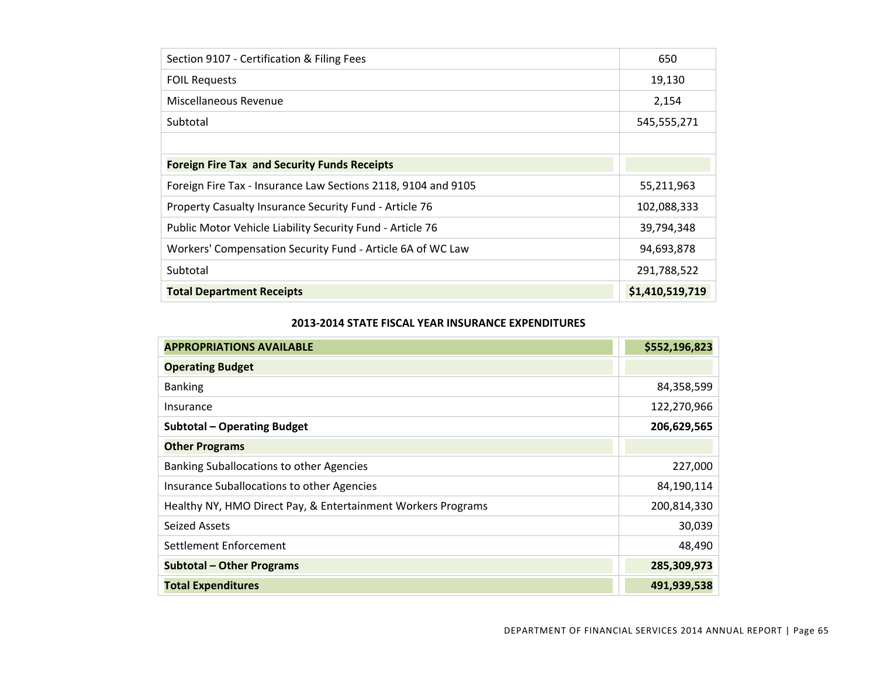| Section 9107 - Certification & Filing Fees                    | 650             |
|---------------------------------------------------------------|-----------------|
| <b>FOIL Requests</b>                                          | 19,130          |
| Miscellaneous Revenue                                         | 2,154           |
| Subtotal                                                      | 545,555,271     |
|                                                               |                 |
| <b>Foreign Fire Tax and Security Funds Receipts</b>           |                 |
| Foreign Fire Tax - Insurance Law Sections 2118, 9104 and 9105 | 55,211,963      |
| Property Casualty Insurance Security Fund - Article 76        | 102,088,333     |
| Public Motor Vehicle Liability Security Fund - Article 76     | 39,794,348      |
| Workers' Compensation Security Fund - Article 6A of WC Law    | 94,693,878      |
| Subtotal                                                      | 291,788,522     |
| <b>Total Department Receipts</b>                              | \$1,410,519,719 |

#### **2013‐2014 STATE FISCAL YEAR INSURANCE EXPENDITURES**

| <b>APPROPRIATIONS AVAILABLE</b>                              | \$552,196,823 |
|--------------------------------------------------------------|---------------|
| <b>Operating Budget</b>                                      |               |
| <b>Banking</b>                                               | 84,358,599    |
| Insurance                                                    | 122,270,966   |
| Subtotal - Operating Budget                                  | 206,629,565   |
| <b>Other Programs</b>                                        |               |
| Banking Suballocations to other Agencies                     | 227,000       |
| Insurance Suballocations to other Agencies                   | 84,190,114    |
| Healthy NY, HMO Direct Pay, & Entertainment Workers Programs | 200,814,330   |
| <b>Seized Assets</b>                                         | 30,039        |
| Settlement Enforcement                                       | 48,490        |
| <b>Subtotal - Other Programs</b>                             | 285,309,973   |
| <b>Total Expenditures</b>                                    | 491,939,538   |